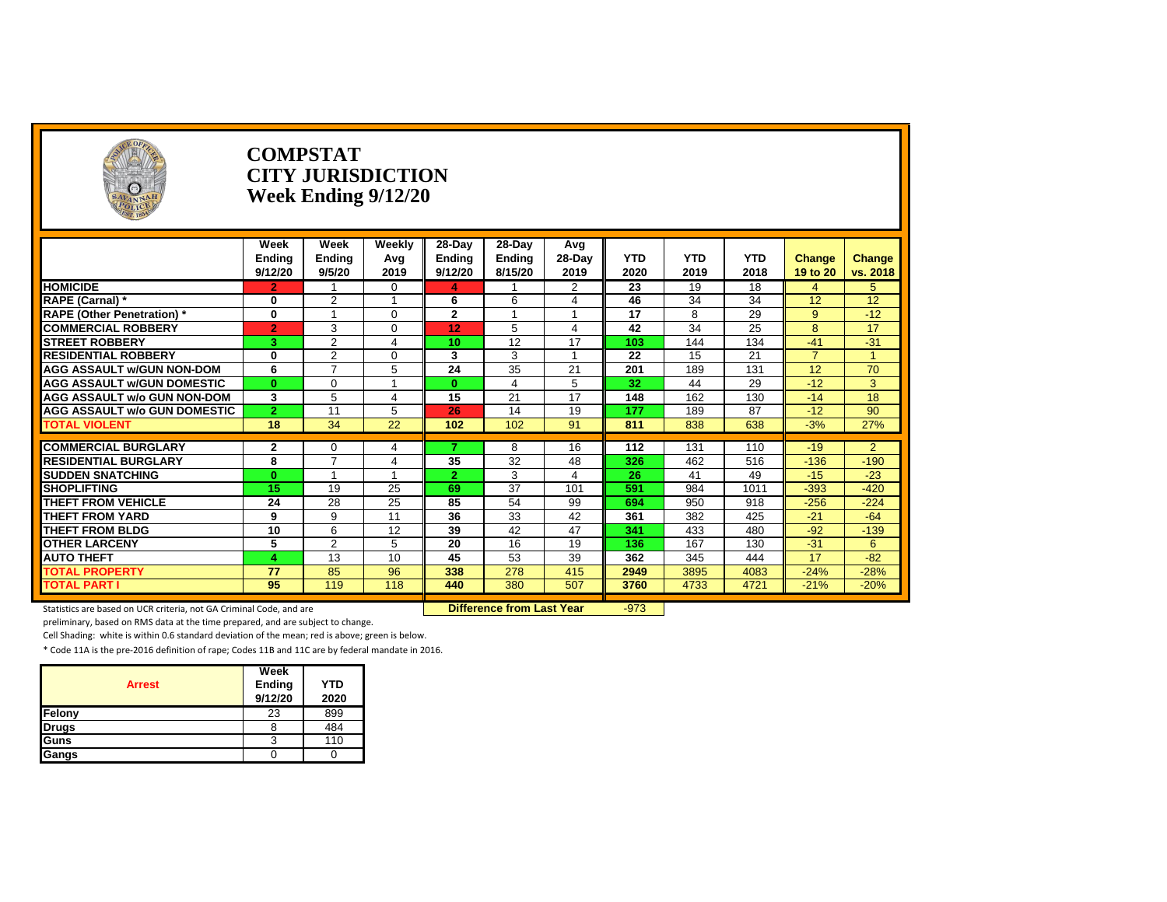| SAVANNAH                            |                | <b>COMPSTAT</b><br><b>CITY JURISDICTION</b><br>Week Ending 9/12/20 |          |                |                  |                |            |            |            |                |                |
|-------------------------------------|----------------|--------------------------------------------------------------------|----------|----------------|------------------|----------------|------------|------------|------------|----------------|----------------|
|                                     | Week           | Week                                                               | Weekly   | 28-Day         | $28-Day$         | Avg            |            |            |            |                |                |
|                                     | Endina         | <b>Ending</b>                                                      | Avg      | <b>Ending</b>  | <b>Endina</b>    | $28-Day$       | <b>YTD</b> | <b>YTD</b> | <b>YTD</b> | Change         | Change         |
|                                     | 9/12/20        | 9/5/20                                                             | 2019     | 9/12/20        | 8/15/20          | 2019           | 2020       | 2019       | 2018       | 19 to 20       | vs. 2018       |
| <b>HOMICIDE</b>                     | $\overline{2}$ |                                                                    | $\Omega$ | $\overline{4}$ |                  | $\overline{2}$ | 23         | 19         | 18         | $\overline{4}$ | 5              |
| RAPE (Carnal) *                     | 0              | $\overline{2}$                                                     | -1       | 6              | 6                | $\overline{4}$ | 46         | 34         | 34         | 12             | 12             |
| <b>RAPE (Other Penetration)*</b>    | $\bf{0}$       |                                                                    | $\Omega$ | $\mathbf{2}$   |                  |                | 17         | 8          | 29         | $\mathbf{Q}$   | $-12$          |
| <b>COMMERCIAL ROBBERY</b>           | $\overline{2}$ | 3                                                                  | 0        | 12             | 5                | 4              | 42         | 34         | 25         | 8              | 17             |
| <b>STREET ROBBERY</b>               | 3              | $\overline{2}$                                                     | 4        | 10             | 12               | 17             | 103        | 144        | 134        | $-41$          | $-31$          |
| <b>RESIDENTIAL ROBBERY</b>          | 0              | $\overline{2}$                                                     | $\Omega$ | 3              | 3                | $\overline{ }$ | 22         | 15         | 21         | $\overline{7}$ | $\overline{A}$ |
| <b>AGG ASSAULT w/GUN NON-DOM</b>    | 6              | $\overline{ }$                                                     | 5        | 24             | 35               | 21             | 201        | 189        | 131        | 12             | 70             |
| <b>AGG ASSAULT w/GUN DOMESTIC</b>   | $\bf{0}$       | $\Omega$                                                           |          | $\bf{0}$       |                  | 5              | 32         | 44         | 29         | $-12$          | 3              |
| AGG ASSAULT w/o GUN NON-DOM         | 3              | 5                                                                  | 4        | 15             | 21               | 17             | 148        | 162        | 130        | $-14$          | 18             |
| <b>AGG ASSAULT W/o GUN DOMESTIC</b> | $\mathbf{2}$   | 11                                                                 | 5        | 26             | 14               | 19             | 177        | 189        | 87         | $-12$          | 90             |
| <b>TOTAL VIOLENT</b>                | 18             | 34                                                                 | 22       | 102            | 102              | 91             | 811        | 838        | 638        | $-3%$          | 27%            |
| <b>COMMERCIAL BURGLARY</b>          | $\mathbf{2}$   | $\Omega$                                                           | 4        | 7              | 8                | 16             | 112        | 131        | 110        | $-19$          | $\overline{2}$ |
| <b>RESIDENTIAL BURGLARY</b>         | 8              | $\overline{ }$                                                     | 4        | 35             | 32               | 48             | 326        | 462        | 516        | $-136$         | $-190$         |
| <b>SUDDEN SNATCHING</b>             | $\mathbf{0}$   |                                                                    |          | $\overline{2}$ | 3                | 4              | 26         | 41         | 49         | $-15$          | $-23$          |
| <b>SHOPLIFTING</b>                  | 15             | 19                                                                 | 25       | 69             | 37               | 101            | 591        | 984        | 1011       | $-393$         | $-420$         |
| <b>THEFT FROM VEHICLE</b>           | 24             | 28                                                                 | 25       | 85             | 54               | 99             | 694        | 950        | 918        | $-256$         | $-224$         |
| <b>THEFT FROM YARD</b>              | 9              | 9                                                                  | 11       | 36             | 33               | 42             | 361        | 382        | 425        | $-21$          | $-64$          |
| <b>THEFT FROM BLDG</b>              | 10             | 6                                                                  | 12       | 39             | 42               | 47             | 341        | 433        | 480        | $-92$          | $-139$         |
| <b>OTHER LARCENY</b>                | 5              | 2                                                                  | 5        | 20             | 16               | 19             | 136        | 167        | 130        | $-31$          | 6              |
| <b>AUTO THEFT</b>                   | Δ              | 13                                                                 | 10       | 45             | $\overline{53}$  | 39             | 362        | 345        | 444        | 17             | $-82$          |
| <b>TOTAL PROPERTY</b>               | 77             | 85                                                                 | 96       | 338            | $\overline{278}$ | 415            | 2949       | 3895       | 4083       | $-24%$         | $-28%$         |
| <b>TOTAL PART I</b>                 | 95             | 119                                                                | 118      | 440            | 380              | 507            | 3760       | 4733       | 4721       | $-21%$         | $-20%$         |
|                                     |                |                                                                    |          |                |                  |                |            |            |            |                |                |

Statistics are based on UCR criteria, not GA Criminal Code, and are **Difference from Last Year** -973

preliminary, based on RMS data at the time prepared, and are subject to change.

Cell Shading: white is within 0.6 standard deviation of the mean; red is above; green is below.

| <b>Arrest</b> | Week<br>Ending | <b>YTD</b> |
|---------------|----------------|------------|
|               | 9/12/20        | 2020       |
| Felony        | 23             | 899        |
| <b>Drugs</b>  |                | 484        |
| <b>I</b> Guns | 3              | 110        |
| Gangs         |                |            |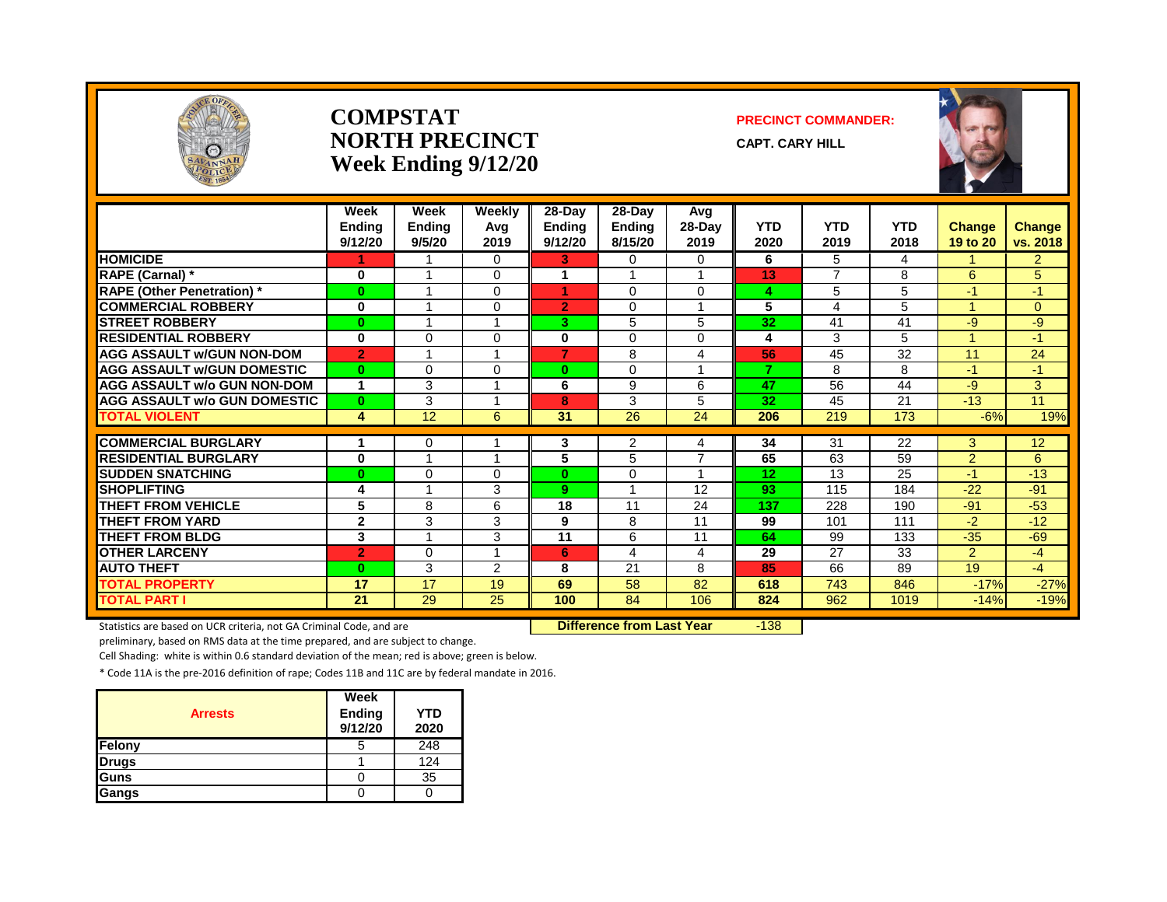

#### **COMPSTAT PRECINCT COMMANDER: NORTH PRECINCT** CAPT. CARY HILL **Week Ending 9/12/20**



|                                     | Week<br><b>Ending</b><br>9/12/20 | Week<br><b>Ending</b><br>9/5/20 | Weekly<br>Avg<br>2019 | 28-Day<br><b>Ending</b><br>9/12/20 | $28$ -Day<br>Ending<br>8/15/20 | Avg<br>$28-Day$<br>2019 | <b>YTD</b><br>2020 | <b>YTD</b><br>2019 | <b>YTD</b><br>2018 | <b>Change</b><br>19 to 20 | <b>Change</b><br>vs. 2018 |
|-------------------------------------|----------------------------------|---------------------------------|-----------------------|------------------------------------|--------------------------------|-------------------------|--------------------|--------------------|--------------------|---------------------------|---------------------------|
| <b>HOMICIDE</b>                     |                                  |                                 | $\Omega$              | 3.                                 | 0                              | 0                       | 6                  | 5                  | 4                  |                           | $\overline{2}$            |
| RAPE (Carnal) *                     | 0                                | 1                               | $\mathbf 0$           |                                    |                                |                         | 13                 | $\overline{7}$     | 8                  | 6                         | 5                         |
| <b>RAPE (Other Penetration) *</b>   | $\bf{0}$                         | 1                               | $\Omega$              | 1                                  | $\Omega$                       | $\Omega$                | 4                  | 5                  | 5                  | $-1$                      | $-1$                      |
| <b>COMMERCIAL ROBBERY</b>           | 0                                | 1                               | $\Omega$              | $\overline{2}$                     | $\Omega$                       | $\overline{\mathbf{A}}$ | 5                  | 4                  | 5                  |                           | $\Omega$                  |
| <b>STREET ROBBERY</b>               | $\bf{0}$                         | $\overline{\mathbf{A}}$         |                       | 3                                  | 5                              | 5                       | 32                 | 41                 | 41                 | -9                        | -9                        |
| <b>RESIDENTIAL ROBBERY</b>          | 0                                | 0                               | $\Omega$              | 0                                  | $\Omega$                       | 0                       | 4                  | 3                  | 5.                 |                           | $-1$                      |
| <b>AGG ASSAULT W/GUN NON-DOM</b>    | $\overline{2}$                   |                                 |                       | 7                                  | 8                              | 4                       | 56                 | 45                 | 32                 | 11                        | 24                        |
| <b>AGG ASSAULT W/GUN DOMESTIC</b>   | $\bf{0}$                         | $\Omega$                        | $\Omega$              | $\bf{0}$                           | 0                              |                         | $\overline{7}$     | 8                  | 8                  | $-1$                      | $-1$                      |
| <b>AGG ASSAULT w/o GUN NON-DOM</b>  | 1                                | 3                               |                       | 6                                  | 9                              | 6                       | 47                 | 56                 | 44                 | -9                        | 3                         |
| <b>AGG ASSAULT w/o GUN DOMESTIC</b> | $\mathbf{0}$                     | 3                               | -4                    | 8                                  | 3                              | 5                       | 32                 | 45                 | 21                 | $-13$                     | 11                        |
| <b>TOTAL VIOLENT</b>                | 4                                | 12                              | 6                     | 31                                 | 26                             | 24                      | 206                | 219                | 173                | $-6%$                     | 19%                       |
|                                     |                                  |                                 |                       |                                    |                                |                         |                    |                    |                    |                           |                           |
| <b>COMMERCIAL BURGLARY</b>          | 1                                | 0<br>4                          |                       | 3                                  | 2                              | 4<br>$\overline{7}$     | 34                 | 31                 | 22                 | 3                         | 12                        |
| <b>RESIDENTIAL BURGLARY</b>         | $\bf{0}$                         |                                 |                       | 5                                  | 5                              |                         | 65                 | 63                 | 59                 | $\overline{2}$            | 6                         |
| <b>SUDDEN SNATCHING</b>             | $\bf{0}$                         | 0                               | $\Omega$              | $\bf{0}$                           | $\Omega$                       | 4                       | 12                 | 13                 | 25                 | $-1$                      | $-13$                     |
| <b>SHOPLIFTING</b>                  | 4                                | $\overline{\mathbf{A}}$         | 3                     | 9                                  | 1                              | 12                      | 93                 | 115                | 184                | $-22$                     | $-91$                     |
| <b>THEFT FROM VEHICLE</b>           | 5                                | 8                               | 6                     | 18                                 | 11                             | 24                      | 137                | 228                | 190                | $-91$                     | $-53$                     |
| <b>THEFT FROM YARD</b>              | $\mathbf{2}$                     | 3                               | 3                     | 9                                  | 8                              | 11                      | 99                 | 101                | 111                | $-2$                      | $-12$                     |
| <b>THEFT FROM BLDG</b>              | 3                                |                                 | 3                     | 11                                 | 6                              | 11                      | 64                 | 99                 | 133                | $-35$                     | $-69$                     |
| <b>OTHER LARCENY</b>                | $\overline{2}$                   | 0                               |                       | 6                                  | 4                              | 4                       | 29                 | 27                 | 33                 | $\overline{2}$            | $-4$                      |
| <b>AUTO THEFT</b>                   | $\bf{0}$                         | 3                               | 2                     | 8                                  | 21                             | 8                       | 85                 | 66                 | 89                 | 19                        | $-4$                      |
| <b>TOTAL PROPERTY</b>               | 17                               | 17                              | 19                    | 69                                 | 58                             | 82                      | 618                | 743                | 846                | $-17%$                    | $-27%$                    |
| <b>TOTAL PART I</b>                 | 21                               | 29                              | 25                    | 100                                | 84                             | 106                     | 824                | 962                | 1019               | $-14%$                    | $-19%$                    |

Statistics are based on UCR criteria, not GA Criminal Code, and are **Difference from Last Year** -138

preliminary, based on RMS data at the time prepared, and are subject to change.

Cell Shading: white is within 0.6 standard deviation of the mean; red is above; green is below.

|                | Week              |                    |
|----------------|-------------------|--------------------|
| <b>Arrests</b> | Ending<br>9/12/20 | <b>YTD</b><br>2020 |
| Felony         | 5                 | 248                |
| <b>Drugs</b>   |                   | 124                |
| Guns           |                   | 35                 |
| Gangs          |                   |                    |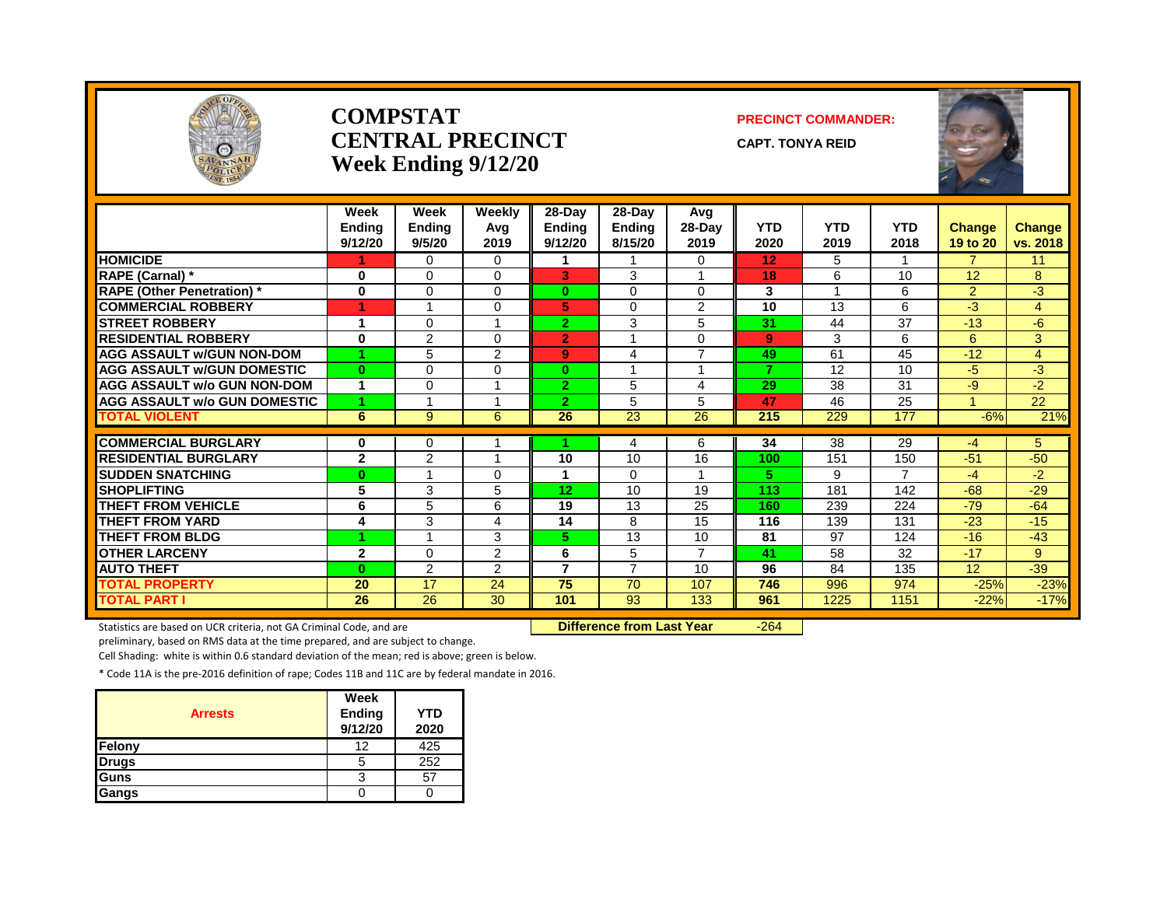

#### **COMPSTAT PRECINCT COMMANDER: CENTRAL PRECINCT** CAPT. TONYA REID **Week Ending 9/12/20**

|                                     | Week<br><b>Endina</b><br>9/12/20 | Week<br>Endina<br>9/5/20 | <b>Weekly</b><br>Avg<br>2019 | 28-Day<br><b>Endina</b><br>9/12/20 | 28-Day<br><b>Endina</b><br>8/15/20 | Avq<br>$28-Dav$<br>2019 | <b>YTD</b><br>2020 | <b>YTD</b><br>2019 | <b>YTD</b><br>2018 | <b>Change</b><br>19 to 20 | <b>Change</b><br>vs. 2018 |
|-------------------------------------|----------------------------------|--------------------------|------------------------------|------------------------------------|------------------------------------|-------------------------|--------------------|--------------------|--------------------|---------------------------|---------------------------|
| <b>HOMICIDE</b>                     |                                  | $\Omega$                 | $\Omega$                     |                                    |                                    | 0                       | 12                 | 5                  |                    | $\overline{7}$            | 11                        |
| <b>RAPE (Carnal)</b> *              | 0                                | $\Omega$                 | $\Omega$                     | 3                                  | 3                                  | 1                       | 18                 | 6                  | 10                 | 12                        | 8                         |
| <b>RAPE (Other Penetration)</b> *   | $\bf{0}$                         | $\Omega$                 | 0                            | $\mathbf{0}$                       | $\Omega$                           | 0                       | 3                  |                    | 6                  | $\overline{2}$            | -3                        |
| <b>COMMERCIAL ROBBERY</b>           | 1                                | 1                        | $\Omega$                     | 5.                                 | 0                                  | 2                       | 10                 | 13                 | 6                  | $-3$                      | $\overline{4}$            |
| <b>STREET ROBBERY</b>               |                                  | $\Omega$                 |                              | $\overline{2}$                     | 3                                  | 5                       | 31                 | 44                 | 37                 | $-13$                     | $-6$                      |
| <b>RESIDENTIAL ROBBERY</b>          | 0                                | $\overline{2}$           | $\Omega$                     | $\overline{2}$                     |                                    | 0                       | 9                  | 3                  | 6                  | 6                         | 3                         |
| <b>AGG ASSAULT W/GUN NON-DOM</b>    | 4                                | 5                        | $\overline{2}$               | 9                                  | 4                                  | $\overline{7}$          | 49                 | 61                 | 45                 | $-12$                     | $\overline{4}$            |
| <b>AGG ASSAULT W/GUN DOMESTIC</b>   | $\bf{0}$                         | $\Omega$                 | $\Omega$                     | $\mathbf{0}$                       |                                    | 4                       | 7                  | 12                 | 10                 | $-5$                      | -3                        |
| <b>AGG ASSAULT w/o GUN NON-DOM</b>  |                                  | 0                        |                              | $\overline{2}$                     | 5                                  | 4                       | 29                 | 38                 | 31                 | $-9$                      | $-2$                      |
| <b>AGG ASSAULT w/o GUN DOMESTIC</b> | 1                                |                          |                              | $\overline{2}$                     | 5                                  | 5                       | 47                 | 46                 | 25                 |                           | $\overline{22}$           |
| <b>TOTAL VIOLENT</b>                | 6                                | 9                        | 6                            | 26                                 | 23                                 | 26                      | 215                | 229                | 177                | $-6%$                     | 21%                       |
| <b>COMMERCIAL BURGLARY</b>          | 0                                | 0                        |                              |                                    | 4                                  | 6                       | 34                 | 38                 | 29                 | $-4$                      | 5                         |
| <b>RESIDENTIAL BURGLARY</b>         | $\mathbf{2}$                     | 2                        |                              | 10                                 | 10                                 | 16                      | 100                | 151                | 150                | $-51$                     | $-50$                     |
| <b>SUDDEN SNATCHING</b>             | $\bf{0}$                         |                          | $\Omega$                     |                                    | 0                                  |                         | 5                  | 9                  | 7                  | $-4$                      | $-2$                      |
| <b>ISHOPLIFTING</b>                 | 5                                | 3                        | 5                            | 12                                 | 10                                 | 19                      | 113                | 181                | 142                | $-68$                     | $-29$                     |
| <b>THEFT FROM VEHICLE</b>           | 6                                | 5                        | 6                            | 19                                 | 13                                 | 25                      | 160                | 239                | 224                | $-79$                     | $-64$                     |
| <b>THEFT FROM YARD</b>              | 4                                | 3                        | 4                            | 14                                 | 8                                  | 15                      | 116                | 139                | 131                | $-23$                     | $-15$                     |
| <b>THEFT FROM BLDG</b>              |                                  |                          | 3                            | 5.                                 | 13                                 | 10                      | 81                 | 97                 | 124                | $-16$                     | $-43$                     |
| <b>OTHER LARCENY</b>                | $\mathbf{2}$                     | $\Omega$                 | $\overline{2}$               | 6                                  | 5                                  | $\overline{7}$          | 41                 | 58                 | 32                 | $-17$                     | 9                         |
| <b>AUTO THEFT</b>                   | $\mathbf{0}$                     | $\overline{2}$           | 2                            | $\overline{7}$                     | $\overline{7}$                     | 10                      | 96                 | 84                 | 135                | 12                        | $-39$                     |
| <b>TOTAL PROPERTY</b>               | 20                               | 17                       | 24                           | 75                                 | 70                                 | 107                     | 746                | 996                | 974                | $-25%$                    | $-23%$                    |
| <b>TOTAL PART I</b>                 | 26                               | 26                       | 30                           | 101                                | 93                                 | 133                     | 961                | 1225               | 1151               | $-22%$                    | $-17%$                    |

Statistics are based on UCR criteria, not GA Criminal Code, and are **Difference from Last Year** -264

preliminary, based on RMS data at the time prepared, and are subject to change.

Cell Shading: white is within 0.6 standard deviation of the mean; red is above; green is below.

| <b>Arrests</b> | Week<br><b>Ending</b><br>9/12/20 | <b>YTD</b><br>2020 |
|----------------|----------------------------------|--------------------|
| Felony         | 12                               | 425                |
| <b>Drugs</b>   | b                                | 252                |
| Guns           | 3                                | 57                 |
| Gangs          |                                  |                    |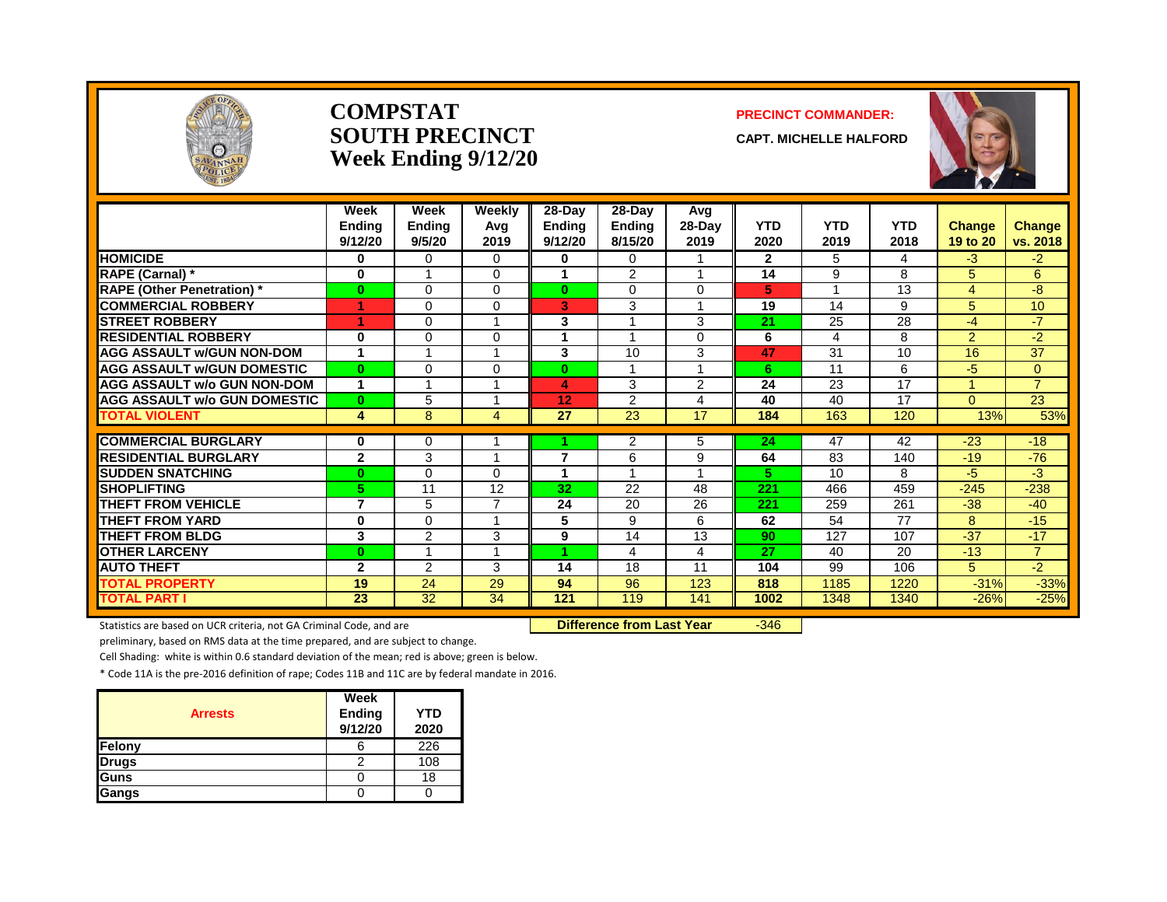

#### **COMPSTAT PRECINCT COMMANDER: SOUTH PRECINCT CAPT. MICHELLE HALFORD Week Ending 9/12/20**



|                                     | Week<br><b>Endina</b><br>9/12/20 | Week<br><b>Ending</b><br>9/5/20 | Weekly<br>Avg<br>2019 | 28-Day<br><b>Ending</b><br>9/12/20 | $28$ -Day<br>Ending<br>8/15/20 | Avg<br>$28-Day$<br>2019 | <b>YTD</b><br>2020 | <b>YTD</b><br>2019 | <b>YTD</b><br>2018 | <b>Change</b><br>19 to 20 | Change<br>vs. 2018 |
|-------------------------------------|----------------------------------|---------------------------------|-----------------------|------------------------------------|--------------------------------|-------------------------|--------------------|--------------------|--------------------|---------------------------|--------------------|
| <b>HOMICIDE</b>                     | 0                                | 0                               | 0                     | 0                                  | 0                              |                         | $\mathbf{2}$       | 5.                 | 4                  | $-3$                      | $-2$               |
| <b>RAPE (Carnal)*</b>               | $\mathbf 0$                      |                                 | $\Omega$              |                                    | $\overline{2}$                 |                         | 14                 | 9                  | 8                  | 5                         | 6                  |
| <b>RAPE (Other Penetration) *</b>   | $\mathbf{0}$                     | $\Omega$                        | $\Omega$              | $\bf{0}$                           | $\Omega$                       | $\Omega$                | 5                  |                    | 13                 | 4                         | -8                 |
| <b>COMMERCIAL ROBBERY</b>           | 4                                | $\Omega$                        | $\Omega$              | 3                                  | 3                              | $\overline{A}$          | 19                 | 14                 | 9                  | 5                         | 10 <sup>1</sup>    |
| <b>STREET ROBBERY</b>               | 4                                | $\Omega$                        | 1                     | 3                                  |                                | 3                       | 21                 | 25                 | 28                 | $-4$                      | $-7$               |
| <b>RESIDENTIAL ROBBERY</b>          | 0                                | 0                               | $\Omega$              |                                    |                                | $\Omega$                | 6                  | 4                  | 8                  | $\overline{2}$            | $-2$               |
| <b>AGG ASSAULT W/GUN NON-DOM</b>    | и                                |                                 |                       | 3                                  | 10                             | 3                       | 47                 | 31                 | 10                 | 16                        | 37                 |
| <b>AGG ASSAULT W/GUN DOMESTIC</b>   | $\mathbf{0}$                     | $\Omega$                        | $\Omega$              | $\bf{0}$                           |                                |                         | 6                  | 11                 | 6                  | -5                        | $\Omega$           |
| <b>AGG ASSAULT w/o GUN NON-DOM</b>  | 1                                |                                 |                       | 4                                  | 3                              | 2                       | 24                 | 23                 | 17                 |                           | $\overline{7}$     |
| <b>AGG ASSAULT W/o GUN DOMESTIC</b> | $\bf{0}$                         | 5                               | 1                     | 12                                 | 2                              | 4                       | 40                 | 40                 | 17                 | $\Omega$                  | 23                 |
| <b>TOTAL VIOLENT</b>                | 4                                | 8                               | 4                     | 27                                 | 23                             | 17                      | 184                | 163                | 120                | 13%                       | 53%                |
|                                     |                                  |                                 |                       |                                    |                                |                         |                    |                    |                    |                           |                    |
| <b>COMMERCIAL BURGLARY</b>          | $\bf{0}$                         | 0                               |                       |                                    | $\overline{2}$                 | 5                       | 24                 | 47                 | 42                 | $-23$                     | $-18$              |
| <b>RESIDENTIAL BURGLARY</b>         | $\overline{2}$                   | 3                               |                       | 7                                  | 6                              | 9                       | 64                 | 83                 | 140                | $-19$                     | $-76$              |
| <b>SUDDEN SNATCHING</b>             | $\bf{0}$                         | $\Omega$                        | $\Omega$              |                                    |                                |                         | 5                  | 10                 | 8                  | $-5$                      | -3                 |
| <b>SHOPLIFTING</b>                  | 5                                | 11                              | 12                    | 32                                 | 22                             | 48                      | 221                | 466                | 459                | $-245$                    | $-238$             |
| <b>THEFT FROM VEHICLE</b>           | $\overline{7}$                   | 5                               |                       | 24                                 | 20                             | 26                      | 221                | 259                | 261                | $-38$                     | $-40$              |
| <b>THEFT FROM YARD</b>              | 0                                | $\Omega$                        |                       | 5                                  | 9                              | 6                       | 62                 | 54                 | 77                 | 8                         | $-15$              |
| <b>THEFT FROM BLDG</b>              | 3                                | 2                               | 3                     | 9                                  | 14                             | 13                      | 90                 | 127                | 107                | $-37$                     | $-17$              |
| <b>OTHER LARCENY</b>                | $\bf{0}$                         |                                 |                       |                                    | 4                              | 4                       | 27                 | 40                 | 20                 | $-13$                     | $\overline{7}$     |
| <b>AUTO THEFT</b>                   | $\overline{2}$                   | 2                               | 3                     | 14                                 | 18                             | 11                      | 104                | 99                 | 106                | 5                         | $-2$               |
| <b>TOTAL PROPERTY</b>               | 19                               | 24                              | 29                    | 94                                 | 96                             | 123                     | 818                | 1185               | 1220               | $-31%$                    | $-33%$             |
| <b>TOTAL PART I</b>                 | 23                               | $\overline{32}$                 | 34                    | 121                                | 119                            | 141                     | 1002               | 1348               | 1340               | $-26%$                    | $-25%$             |

Statistics are based on UCR criteria, not GA Criminal Code, and are **Difference from Last Year** -346

preliminary, based on RMS data at the time prepared, and are subject to change.

Cell Shading: white is within 0.6 standard deviation of the mean; red is above; green is below.

| <b>Arrests</b> | Week<br>Ending<br>9/12/20 | <b>YTD</b><br>2020 |
|----------------|---------------------------|--------------------|
| Felony         |                           | 226                |
| <b>Drugs</b>   |                           | 108                |
| Guns           |                           | 18                 |
| Gangs          |                           |                    |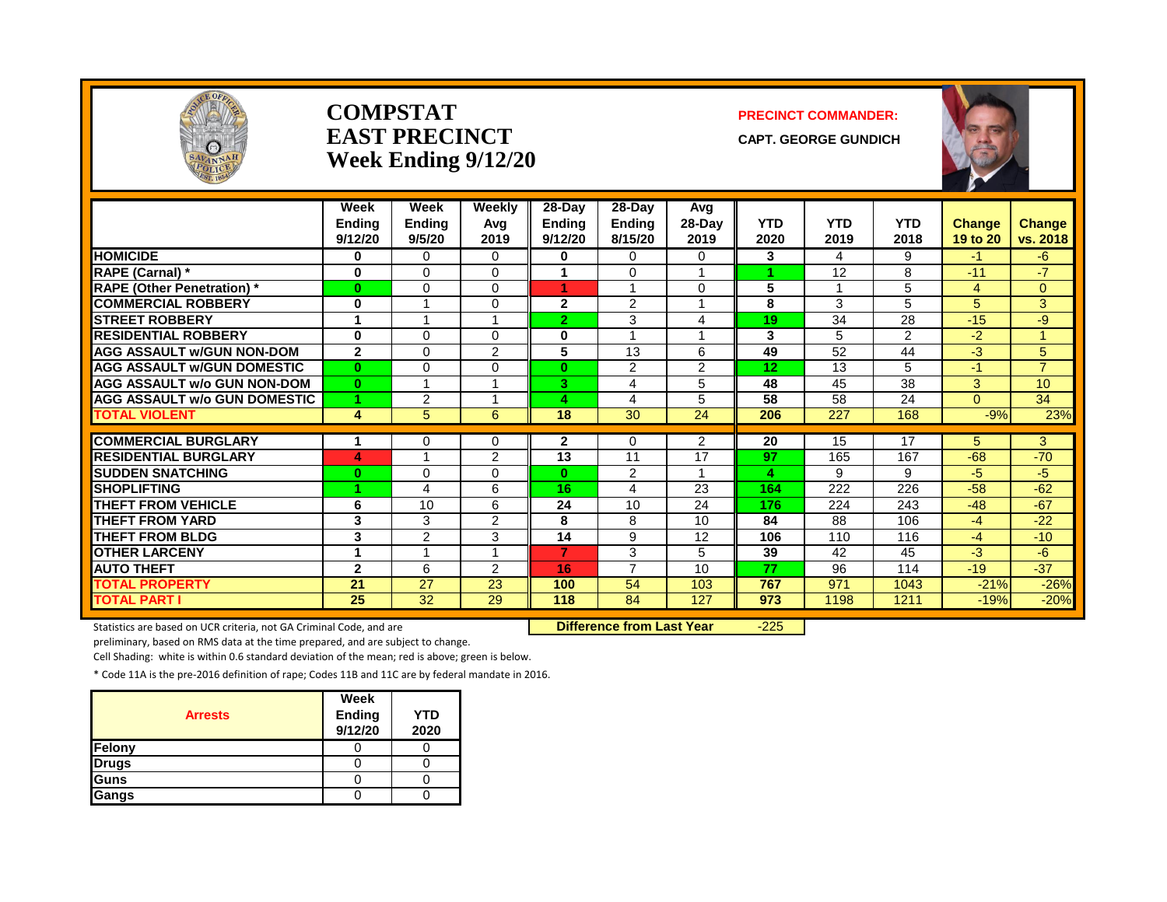

#### **COMPSTAT PRECINCT COMMANDER: EAST PRECINCT** CAPT. GEORGE GUNDICH **Week Ending 9/12/20**



|                                     | Week<br><b>Ending</b><br>9/12/20 | Week<br><b>Ending</b><br>9/5/20 | Weekly<br>Avg<br>2019 | 28-Day<br><b>Ending</b><br>9/12/20 | 28-Day<br><b>Ending</b><br>8/15/20 | Avg<br>$28-Day$<br>2019 | <b>YTD</b><br>2020 | <b>YTD</b><br>2019 | <b>YTD</b><br>2018 | <b>Change</b><br>19 to 20 | Change<br>vs. 2018 |
|-------------------------------------|----------------------------------|---------------------------------|-----------------------|------------------------------------|------------------------------------|-------------------------|--------------------|--------------------|--------------------|---------------------------|--------------------|
| <b>HOMICIDE</b>                     | $\bf{0}$                         | 0                               | $\Omega$              | 0                                  | $\Omega$                           | 0                       | 3                  | 4                  | 9                  | -1                        | -6                 |
| RAPE (Carnal) *                     | $\mathbf 0$                      | $\Omega$                        | $\Omega$              |                                    | 0                                  |                         |                    | 12                 | 8                  | $-11$                     | $-7$               |
| <b>RAPE (Other Penetration)</b> *   | $\bf{0}$                         | $\Omega$                        | $\Omega$              | 4                                  | $\overline{A}$                     | $\Omega$                | 5                  | ٠                  | 5                  | 4                         | $\Omega$           |
| <b>COMMERCIAL ROBBERY</b>           | $\mathbf 0$                      |                                 | $\Omega$              | $\mathbf{2}$                       | 2                                  |                         | 8                  | 3                  | 5                  | 5                         | 3                  |
| <b>STREET ROBBERY</b>               | 1                                |                                 |                       | $\overline{2}$                     | 3                                  | 4                       | 19                 | 34                 | 28                 | $-15$                     | -9                 |
| <b>RESIDENTIAL ROBBERY</b>          | $\mathbf 0$                      | $\Omega$                        | $\Omega$              | $\bf{0}$                           |                                    |                         | 3                  | 5                  | $\overline{2}$     | $-2$                      | $\mathbf{1}$       |
| <b>AGG ASSAULT w/GUN NON-DOM</b>    | $\mathbf{2}$                     | $\Omega$                        | $\overline{2}$        | 5                                  | 13                                 | 6                       | 49                 | 52                 | 44                 | -3                        | 5                  |
| <b>AGG ASSAULT W/GUN DOMESTIC</b>   | $\bf{0}$                         | $\Omega$                        | $\Omega$              | $\mathbf{0}$                       | 2                                  | 2                       | 12                 | 13                 | 5                  | $-1$                      | $\overline{7}$     |
| <b>AGG ASSAULT w/o GUN NON-DOM</b>  | $\bf{0}$                         |                                 |                       | 3.                                 | 4                                  | 5                       | 48                 | 45                 | 38                 | 3                         | 10                 |
| <b>AGG ASSAULT W/o GUN DOMESTIC</b> | 4                                | $\overline{2}$                  |                       | Δ                                  | 4                                  | 5                       | 58                 | 58                 | 24                 | $\Omega$                  | 34                 |
| <b>TOTAL VIOLENT</b>                | 4                                | 5                               | 6                     | 18                                 | $\overline{30}$                    | $\overline{24}$         | 206                | 227                | 168                | $-9%$                     | 23%                |
|                                     |                                  |                                 |                       |                                    |                                    |                         |                    |                    |                    |                           |                    |
| <b>COMMERCIAL BURGLARY</b>          |                                  | $\Omega$                        | 0                     | $\mathbf{2}$                       | 0                                  | 2                       | 20                 | 15                 | 17                 | 5                         | 3                  |
| <b>RESIDENTIAL BURGLARY</b>         | 4                                |                                 | $\overline{2}$        | $\overline{13}$                    | 11                                 | $\overline{17}$         | 97                 | 165                | 167                | $-68$                     | $-70$              |
| <b>SUDDEN SNATCHING</b>             | $\bf{0}$                         | $\Omega$                        | $\Omega$              | 0                                  | 2                                  |                         | 4                  | 9                  | 9                  | -5                        | $-5$               |
| <b>SHOPLIFTING</b>                  | 4                                | $\boldsymbol{\Lambda}$          | 6                     | 16                                 | 4                                  | 23                      | 164                | 222                | 226                | $-58$                     | $-62$              |
| <b>THEFT FROM VEHICLE</b>           | 6                                | 10                              | 6                     | 24                                 | 10                                 | 24                      | 176                | 224                | 243                | $-48$                     | $-67$              |
| <b>THEFT FROM YARD</b>              | 3                                | 3                               | $\overline{2}$        | 8                                  | 8                                  | 10                      | 84                 | 88                 | 106                | $-4$                      | $-22$              |
| <b>THEFT FROM BLDG</b>              | $\overline{\mathbf{3}}$          | $\overline{2}$                  | 3                     | $\overline{14}$                    | 9                                  | 12                      | 106                | 110                | 116                | $-4$                      | $-10$              |
| <b>OTHER LARCENY</b>                | 1                                |                                 | $\overline{A}$        | $\overline{7}$                     | 3                                  | 5                       | 39                 | 42                 | 45                 | -3                        | -6                 |
| <b>AUTO THEFT</b>                   | $\mathbf{2}$                     | 6                               | 2                     | 16                                 | $\overline{7}$                     | 10                      | 77                 | 96                 | 114                | $-19$                     | $-37$              |
| <b>TOTAL PROPERTY</b>               | 21                               | 27                              | 23                    | 100                                | 54                                 | 103                     | 767                | 971                | 1043               | $-21%$                    | $-26%$             |
| <b>TOTAL PART I</b>                 | 25                               | 32                              | 29                    | 118                                | 84                                 | 127                     | 973                | 1198               | 1211               | $-19%$                    | $-20%$             |

Statistics are based on UCR criteria, not GA Criminal Code, and are **Difference from Last Year** -225

preliminary, based on RMS data at the time prepared, and are subject to change.

Cell Shading: white is within 0.6 standard deviation of the mean; red is above; green is below.

| <b>Arrests</b> | Week<br>Ending<br>9/12/20 | <b>YTD</b><br>2020 |
|----------------|---------------------------|--------------------|
| Felony         |                           |                    |
| <b>Drugs</b>   |                           |                    |
| Guns           |                           |                    |
| Gangs          |                           |                    |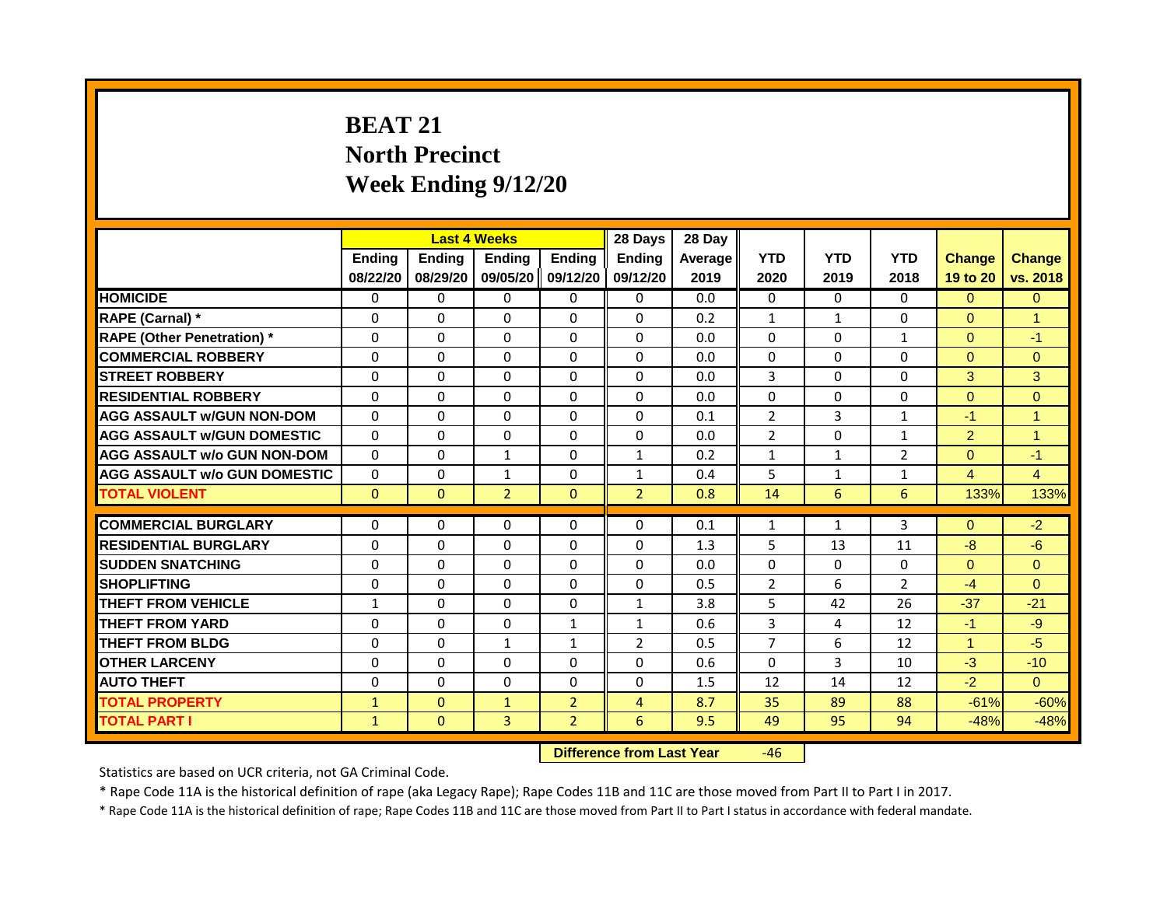# **BEAT 21 North Precinct Week Ending 9/12/20**

|                                     |               |              | <b>Last 4 Weeks</b> |                   | 28 Days                          | 28 Day  |                |              |                |                      |                      |
|-------------------------------------|---------------|--------------|---------------------|-------------------|----------------------------------|---------|----------------|--------------|----------------|----------------------|----------------------|
|                                     | <b>Ending</b> | Ending       | Ending              | <b>Ending</b>     | <b>Endina</b>                    | Average | <b>YTD</b>     | <b>YTD</b>   | <b>YTD</b>     | <b>Change</b>        | <b>Change</b>        |
|                                     | 08/22/20      | 08/29/20     |                     | 09/05/20 09/12/20 | 09/12/20                         | 2019    | 2020           | 2019         | 2018           | 19 to 20             | vs. 2018             |
| <b>HOMICIDE</b>                     | 0             | 0            | $\mathbf{0}$        | 0                 | 0                                | 0.0     | $\mathbf{0}$   | $\Omega$     | $\Omega$       | $\Omega$             | $\Omega$             |
| RAPE (Carnal) *                     | $\Omega$      | $\Omega$     | 0                   | $\Omega$          | $\Omega$                         | 0.2     | $\mathbf{1}$   | $\mathbf{1}$ | $\Omega$       | $\Omega$             | $\overline{1}$       |
| <b>RAPE (Other Penetration)</b> *   | $\Omega$      | $\Omega$     | $\Omega$            | $\Omega$          | $\Omega$                         | 0.0     | $\Omega$       | $\Omega$     | $\mathbf{1}$   | $\Omega$             | $-1$                 |
| <b>COMMERCIAL ROBBERY</b>           | $\Omega$      | $\Omega$     | $\Omega$            | $\Omega$          | $\Omega$                         | 0.0     | $\Omega$       | $\Omega$     | $\Omega$       | $\Omega$             | $\Omega$             |
| <b>STREET ROBBERY</b>               | $\Omega$      | $\Omega$     | 0                   | $\Omega$          | $\Omega$                         | 0.0     | 3              | $\Omega$     | $\Omega$       | 3                    | 3                    |
| <b>RESIDENTIAL ROBBERY</b>          | $\Omega$      | $\Omega$     | $\Omega$            | $\Omega$          | $\Omega$                         | 0.0     | $\Omega$       | $\Omega$     | $\Omega$       | $\Omega$             | $\Omega$             |
| <b>AGG ASSAULT w/GUN NON-DOM</b>    | $\Omega$      | $\Omega$     | $\Omega$            | $\Omega$          | $\Omega$                         | 0.1     | $\overline{2}$ | 3            | $\mathbf{1}$   | $-1$                 | $\overline{1}$       |
| <b>AGG ASSAULT W/GUN DOMESTIC</b>   | $\Omega$      | $\Omega$     | $\Omega$            | $\Omega$          | $\Omega$                         | 0.0     | $\overline{2}$ | $\Omega$     | $\mathbf{1}$   | $\overline{2}$       | $\blacktriangleleft$ |
| <b>AGG ASSAULT w/o GUN NON-DOM</b>  | $\Omega$      | $\Omega$     | 1                   | $\Omega$          | $\mathbf{1}$                     | 0.2     | 1              | $\mathbf{1}$ | $\overline{2}$ | $\Omega$             | $-1$                 |
| <b>AGG ASSAULT w/o GUN DOMESTIC</b> | $\Omega$      | $\Omega$     | $\mathbf{1}$        | $\Omega$          | $\mathbf{1}$                     | 0.4     | 5              | $\mathbf{1}$ | $\mathbf{1}$   | $\overline{4}$       | $\overline{4}$       |
| <b>TOTAL VIOLENT</b>                | $\Omega$      | $\Omega$     | $\overline{2}$      | $\Omega$          | $\overline{2}$                   | 0.8     | 14             | 6            | 6              | 133%                 | 133%                 |
|                                     |               |              |                     |                   |                                  |         |                |              |                |                      |                      |
| <b>COMMERCIAL BURGLARY</b>          | $\Omega$      | $\Omega$     | $\Omega$            | $\Omega$          | $\Omega$                         | 0.1     | 1              | $\mathbf{1}$ | 3              | $\Omega$             | $-2$                 |
| <b>RESIDENTIAL BURGLARY</b>         | $\Omega$      | $\Omega$     | $\Omega$            | $\Omega$          | $\Omega$                         | 1.3     | 5              | 13           | 11             | $-8$                 | $-6$                 |
| <b>SUDDEN SNATCHING</b>             | $\Omega$      | $\Omega$     | $\Omega$            | $\Omega$          | 0                                | 0.0     | $\Omega$       | $\Omega$     | $\Omega$       | $\Omega$             | $\Omega$             |
| <b>SHOPLIFTING</b>                  | $\Omega$      | $\Omega$     | $\Omega$            | $\Omega$          | $\Omega$                         | 0.5     | $\overline{2}$ | 6            | $\overline{2}$ | $-4$                 | $\Omega$             |
| <b>THEFT FROM VEHICLE</b>           | $\mathbf{1}$  | $\Omega$     | $\Omega$            | $\Omega$          | $\mathbf{1}$                     | 3.8     | 5              | 42           | 26             | $-37$                | $-21$                |
| <b>THEFT FROM YARD</b>              | $\Omega$      | $\Omega$     | $\Omega$            | $\mathbf{1}$      | $\mathbf{1}$                     | 0.6     | 3              | 4            | 12             | $-1$                 | $-9$                 |
| <b>THEFT FROM BLDG</b>              | $\Omega$      | $\Omega$     | $\mathbf{1}$        | $\mathbf{1}$      | $\overline{2}$                   | 0.5     | $\overline{7}$ | 6            | 12             | $\blacktriangleleft$ | $-5$                 |
| <b>OTHER LARCENY</b>                | $\Omega$      | $\Omega$     | 0                   | $\Omega$          | 0                                | 0.6     | $\Omega$       | 3            | 10             | $-3$                 | $-10$                |
| <b>AUTO THEFT</b>                   | $\Omega$      | $\Omega$     | $\Omega$            | $\Omega$          | $\Omega$                         | 1.5     | 12             | 14           | 12             | $-2$                 | $\Omega$             |
| <b>TOTAL PROPERTY</b>               | $\mathbf{1}$  | $\Omega$     | $\mathbf{1}$        | $\overline{2}$    | 4                                | 8.7     | 35             | 89           | 88             | $-61%$               | $-60%$               |
| <b>TOTAL PART I</b>                 | $\mathbf{1}$  | $\mathbf{0}$ | 3                   | $\overline{2}$    | 6                                | 9.5     | 49             | 95           | 94             | $-48%$               | $-48%$               |
|                                     |               |              |                     |                   | <b>Difference from Last Year</b> |         | $-46$          |              |                |                      |                      |

Statistics are based on UCR criteria, not GA Criminal Code.

\* Rape Code 11A is the historical definition of rape (aka Legacy Rape); Rape Codes 11B and 11C are those moved from Part II to Part I in 2017.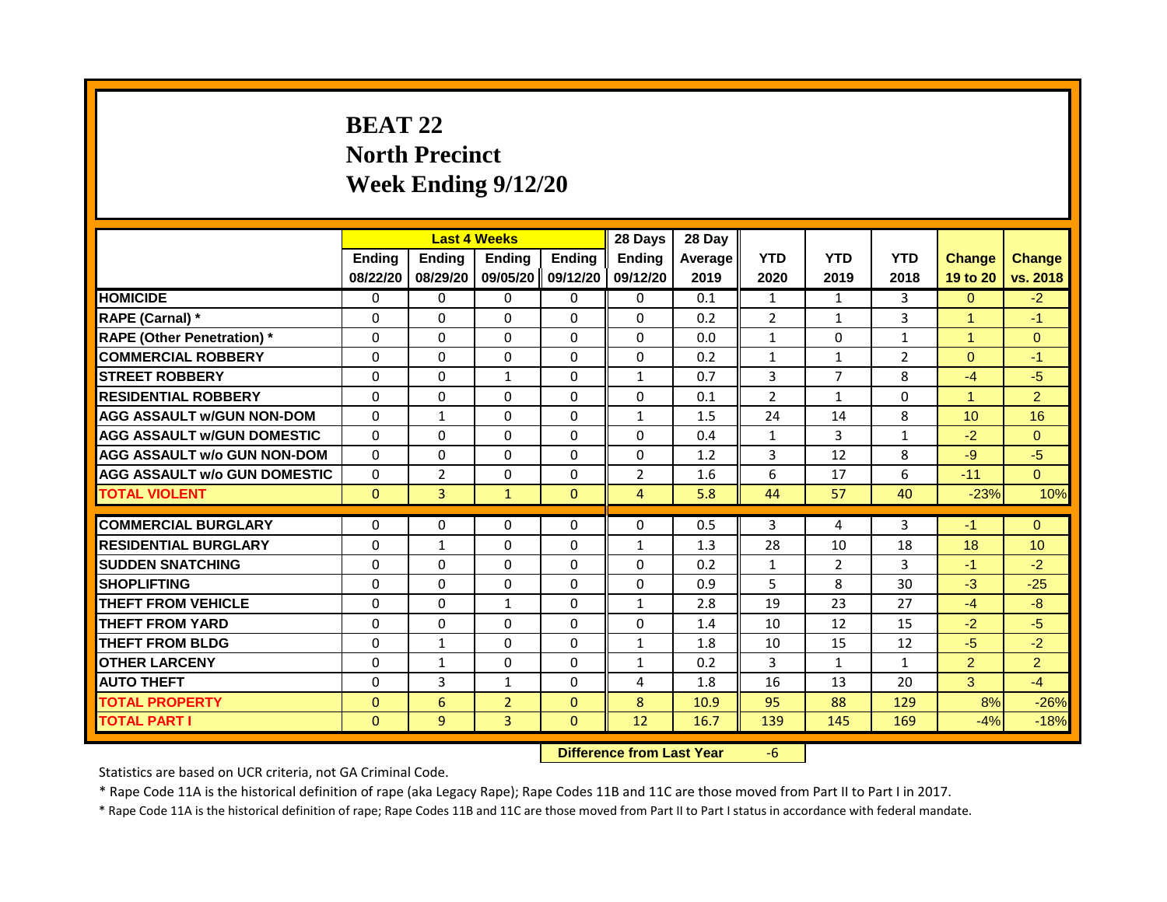# **BEAT 22 North Precinct Week Ending 9/12/20**

|                                     |               | <b>Last 4 Weeks</b> |                |                   | 28 Days                          | 28 Day  |                |                |                |                      |                 |
|-------------------------------------|---------------|---------------------|----------------|-------------------|----------------------------------|---------|----------------|----------------|----------------|----------------------|-----------------|
|                                     | <b>Ending</b> | <b>Ending</b>       | <b>Ending</b>  | <b>Ending</b>     | <b>Ending</b>                    | Average | <b>YTD</b>     | <b>YTD</b>     | <b>YTD</b>     | <b>Change</b>        | <b>Change</b>   |
|                                     | 08/22/20      | 08/29/20            |                | 09/05/20 09/12/20 | 09/12/20                         | 2019    | 2020           | 2019           | 2018           | 19 to 20             | vs. 2018        |
| <b>HOMICIDE</b>                     | 0             | 0                   | 0              | 0                 | 0                                | 0.1     | 1              | 1              | 3              | $\overline{0}$       | $-2$            |
| RAPE (Carnal) *                     | 0             | $\Omega$            | $\Omega$       | $\Omega$          | $\Omega$                         | 0.2     | $\overline{2}$ | $\mathbf{1}$   | 3              | $\blacktriangleleft$ | $-1$            |
| <b>RAPE (Other Penetration)</b> *   | $\Omega$      | $\Omega$            | $\Omega$       | $\Omega$          | $\Omega$                         | 0.0     | $\mathbf{1}$   | $\Omega$       | $\mathbf{1}$   | $\blacktriangleleft$ | $\overline{0}$  |
| <b>COMMERCIAL ROBBERY</b>           | 0             | 0                   | 0              | 0                 | 0                                | 0.2     | $\mathbf{1}$   | 1              | $\overline{2}$ | $\Omega$             | $-1$            |
| <b>STREET ROBBERY</b>               | 0             | $\Omega$            | $\mathbf{1}$   | $\Omega$          | $\mathbf{1}$                     | 0.7     | 3              | $\overline{7}$ | 8              | $-4$                 | $-5$            |
| <b>RESIDENTIAL ROBBERY</b>          | $\Omega$      | 0                   | $\Omega$       | $\Omega$          | 0                                | 0.1     | $\overline{2}$ | 1              | $\Omega$       | $\blacktriangleleft$ | $\overline{2}$  |
| <b>AGG ASSAULT w/GUN NON-DOM</b>    | $\Omega$      | $\mathbf{1}$        | $\Omega$       | $\Omega$          | $\mathbf{1}$                     | 1.5     | 24             | 14             | 8              | 10                   | 16              |
| <b>AGG ASSAULT W/GUN DOMESTIC</b>   | $\Omega$      | $\Omega$            | $\Omega$       | $\Omega$          | $\Omega$                         | 0.4     | $\mathbf{1}$   | 3              | $\mathbf{1}$   | $-2$                 | $\Omega$        |
| <b>AGG ASSAULT w/o GUN NON-DOM</b>  | $\Omega$      | 0                   | $\Omega$       | $\Omega$          | 0                                | 1.2     | 3              | 12             | 8              | $-9$                 | $-5$            |
| <b>AGG ASSAULT w/o GUN DOMESTIC</b> | $\Omega$      | $\overline{2}$      | 0              | $\Omega$          | $\overline{2}$                   | 1.6     | 6              | 17             | 6              | $-11$                | $\Omega$        |
| <b>TOTAL VIOLENT</b>                | $\mathbf{0}$  | 3                   | $\mathbf{1}$   | $\mathbf{0}$      | $\overline{4}$                   | 5.8     | 44             | 57             | 40             | $-23%$               | 10%             |
| <b>COMMERCIAL BURGLARY</b>          | 0             | 0                   | $\Omega$       | 0                 | 0                                | 0.5     | 3              | 4              | 3              | $-1$                 | $\Omega$        |
| <b>RESIDENTIAL BURGLARY</b>         | $\Omega$      | $\mathbf{1}$        | $\mathbf{0}$   | $\Omega$          | $\mathbf{1}$                     | 1.3     | 28             | 10             | 18             | 18                   | 10 <sup>°</sup> |
| <b>SUDDEN SNATCHING</b>             | $\Omega$      | $\Omega$            | $\Omega$       | $\Omega$          | $\Omega$                         | 0.2     | $\mathbf{1}$   | $\overline{2}$ | $\overline{3}$ | $-1$                 | $-2$            |
| <b>SHOPLIFTING</b>                  | $\Omega$      |                     | $\Omega$       | $\Omega$          | $\Omega$                         |         | 5              | 8              | 30             | $-3$                 |                 |
| <b>THEFT FROM VEHICLE</b>           |               | $\mathbf{0}$        | $\mathbf{1}$   |                   |                                  | 0.9     |                |                |                | $-4$                 | $-25$<br>$-8$   |
|                                     | $\Omega$      | $\Omega$            |                | $\Omega$          | $\mathbf{1}$                     | 2.8     | 19             | 23             | 27             |                      |                 |
| <b>THEFT FROM YARD</b>              | $\Omega$      | $\Omega$            | $\Omega$       | $\Omega$          | $\Omega$                         | 1.4     | 10             | 12             | 15             | $-2$                 | $-5$            |
| <b>THEFT FROM BLDG</b>              | 0             | $\mathbf{1}$        | 0              | $\Omega$          | $\mathbf{1}$                     | 1.8     | 10             | 15             | 12             | $-5$                 | $-2$            |
| <b>OTHER LARCENY</b>                | $\Omega$      | $\mathbf{1}$        | $\Omega$       | $\Omega$          | $\mathbf{1}$                     | 0.2     | 3              | $\mathbf{1}$   | 1              | 2 <sup>1</sup>       | $\overline{2}$  |
| <b>AUTO THEFT</b>                   | $\mathbf 0$   | 3                   | $\mathbf{1}$   | 0                 | 4                                | 1.8     | 16             | 13             | 20             | 3                    | $-4$            |
| <b>TOTAL PROPERTY</b>               | $\mathbf{0}$  | 6                   | $\overline{2}$ | $\Omega$          | 8                                | 10.9    | 95             | 88             | 129            | 8%                   | $-26%$          |
| <b>TOTAL PART I</b>                 | $\mathbf{0}$  | 9                   | $\overline{3}$ | $\mathbf{0}$      | 12                               | 16.7    | 139            | 145            | 169            | $-4%$                | $-18%$          |
|                                     |               |                     |                |                   | <b>Difference from Last Year</b> |         | $-6$           |                |                |                      |                 |

Statistics are based on UCR criteria, not GA Criminal Code.

\* Rape Code 11A is the historical definition of rape (aka Legacy Rape); Rape Codes 11B and 11C are those moved from Part II to Part I in 2017.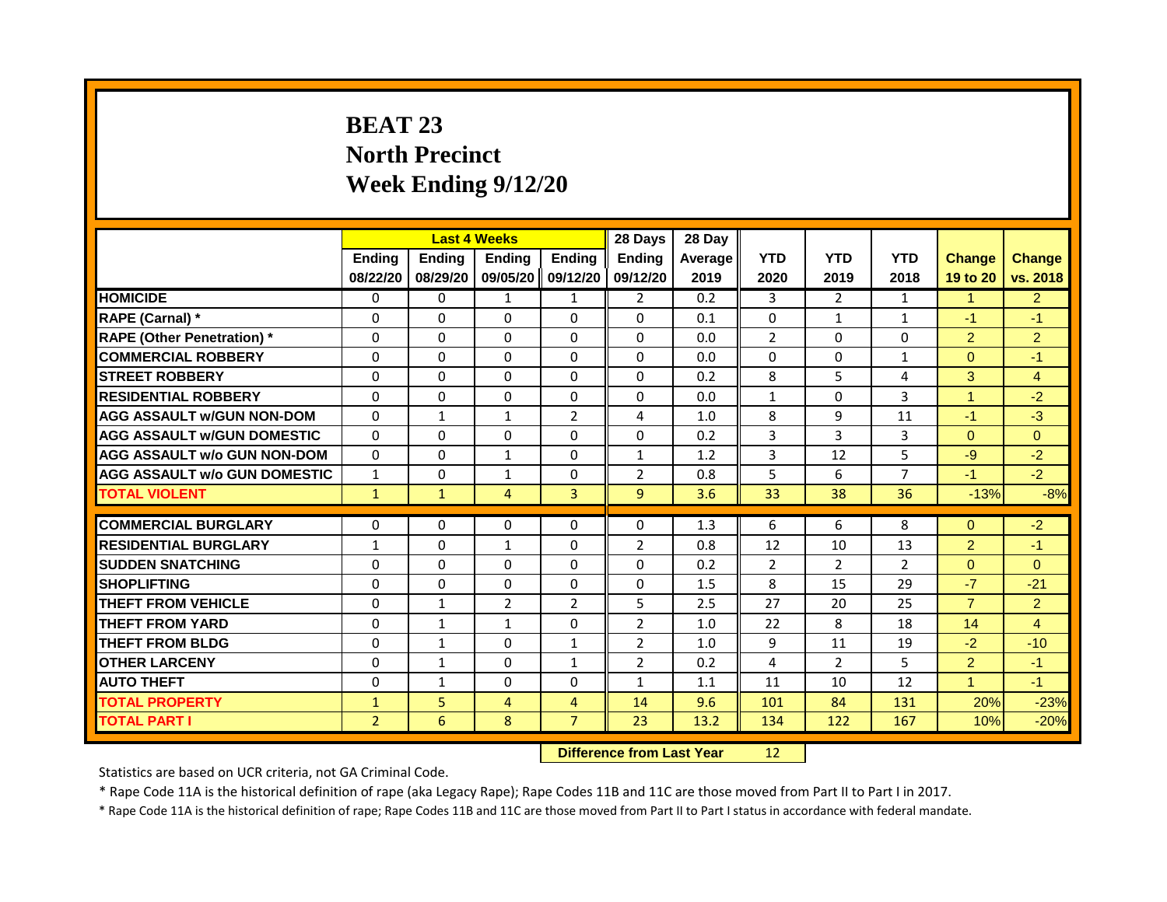# **BEAT 23 North Precinct Week Ending 9/12/20**

|                                     | <b>Last 4 Weeks</b> |               |                                  | 28 Days           | 28 Day         |         |                |                |                |                      |                |
|-------------------------------------|---------------------|---------------|----------------------------------|-------------------|----------------|---------|----------------|----------------|----------------|----------------------|----------------|
|                                     | <b>Ending</b>       | <b>Ending</b> | <b>Ending</b>                    | <b>Ending</b>     | <b>Ending</b>  | Average | <b>YTD</b>     | <b>YTD</b>     | <b>YTD</b>     | <b>Change</b>        | <b>Change</b>  |
|                                     | 08/22/20            | 08/29/20      |                                  | 09/05/20 09/12/20 | 09/12/20       | 2019    | 2020           | 2019           | 2018           | 19 to 20             | vs. 2018       |
| <b>HOMICIDE</b>                     | 0                   | 0             | 1                                | 1                 | $\overline{2}$ | 0.2     | 3              | $\overline{2}$ | 1              | 1                    | $\overline{2}$ |
| RAPE (Carnal) *                     | 0                   | $\Omega$      | $\Omega$                         | $\Omega$          | $\Omega$       | 0.1     | $\Omega$       | $\mathbf{1}$   | $\mathbf{1}$   | $-1$                 | $-1$           |
| <b>RAPE (Other Penetration)</b> *   | $\Omega$            | $\Omega$      | $\Omega$                         | $\Omega$          | $\Omega$       | 0.0     | $\overline{2}$ | $\Omega$       | $\Omega$       | $\mathcal{P}$        | $\overline{2}$ |
| <b>COMMERCIAL ROBBERY</b>           | 0                   | 0             | 0                                | 0                 | 0              | 0.0     | 0              | $\mathbf{0}$   | 1              | $\Omega$             | $-1$           |
| <b>STREET ROBBERY</b>               | 0                   | $\Omega$      | $\Omega$                         | $\Omega$          | $\Omega$       | 0.2     | 8              | 5              | 4              | 3                    | $\overline{4}$ |
| <b>RESIDENTIAL ROBBERY</b>          | $\Omega$            | 0             | $\Omega$                         | 0                 | 0              | 0.0     | $\mathbf{1}$   | $\Omega$       | 3              | $\blacktriangleleft$ | $-2$           |
| <b>AGG ASSAULT w/GUN NON-DOM</b>    | $\mathbf{0}$        | $\mathbf{1}$  | $\mathbf{1}$                     | $\overline{2}$    | 4              | 1.0     | 8              | 9              | 11             | $-1$                 | $-3$           |
| <b>AGG ASSAULT W/GUN DOMESTIC</b>   | $\Omega$            | $\Omega$      | $\Omega$                         | $\Omega$          | $\Omega$       | 0.2     | 3              | 3              | 3              | $\Omega$             | $\Omega$       |
| <b>AGG ASSAULT w/o GUN NON-DOM</b>  | $\Omega$            | 0             | 1                                | 0                 | 1              | 1.2     | 3              | 12             | 5              | $-9$                 | $-2$           |
| <b>AGG ASSAULT w/o GUN DOMESTIC</b> | $\mathbf{1}$        | 0             | $\mathbf{1}$                     | 0                 | $\overline{2}$ | 0.8     | 5              | 6              | 7              | $-1$                 | $-2$           |
| <b>TOTAL VIOLENT</b>                | $\mathbf{1}$        | $\mathbf{1}$  | $\overline{4}$                   | $\overline{3}$    | 9              | 3.6     | 33             | 38             | 36             | $-13%$               | $-8%$          |
| <b>COMMERCIAL BURGLARY</b>          | 0                   | 0             | $\Omega$                         | 0                 | 0              | 1.3     | 6              | 6              | 8              | $\Omega$             | $-2$           |
| <b>RESIDENTIAL BURGLARY</b>         |                     |               |                                  |                   |                | 0.8     |                |                |                |                      |                |
|                                     | $\mathbf{1}$        | $\Omega$      | $\mathbf{1}$<br>$\Omega$         | $\Omega$          | $\overline{2}$ |         | 12             | 10             | 13             | 2 <sup>1</sup>       | $-1$           |
| <b>SUDDEN SNATCHING</b>             | $\Omega$            | $\Omega$      |                                  | $\Omega$          | $\Omega$       | 0.2     | $\overline{2}$ | $\overline{2}$ | $\overline{2}$ | $\Omega$             | $\Omega$       |
| <b>SHOPLIFTING</b>                  | $\Omega$            | $\mathbf{0}$  | $\Omega$                         | $\Omega$          | $\Omega$       | 1.5     | 8              | 15             | 29             | $-7$                 | $-21$          |
| <b>THEFT FROM VEHICLE</b>           | $\Omega$            | $\mathbf{1}$  | $\overline{2}$                   | 2                 | 5              | 2.5     | 27             | 20             | 25             | $\overline{7}$       | $\overline{2}$ |
| <b>THEFT FROM YARD</b>              | $\Omega$            | $\mathbf{1}$  | $\mathbf{1}$                     | $\Omega$          | $\overline{2}$ | 1.0     | 22             | 8              | 18             | 14                   | $\overline{4}$ |
| <b>THEFT FROM BLDG</b>              | 0                   | $\mathbf{1}$  | 0                                | $\mathbf{1}$      | $\overline{2}$ | 1.0     | 9              | 11             | 19             | $-2$                 | $-10$          |
| <b>OTHER LARCENY</b>                | $\Omega$            | $\mathbf{1}$  | $\Omega$                         | $\mathbf{1}$      | $\overline{2}$ | 0.2     | 4              | $\overline{2}$ | 5              | $\overline{2}$       | $-1$           |
| <b>AUTO THEFT</b>                   | $\mathbf 0$         | 1             | $\Omega$                         | 0                 | 1              | 1.1     | 11             | 10             | 12             | $\blacktriangleleft$ | $-1$           |
| <b>TOTAL PROPERTY</b>               | $\mathbf{1}$        | 5             | $\overline{4}$                   | $\overline{4}$    | 14             | 9.6     | 101            | 84             | 131            | 20%                  | $-23%$         |
| <b>TOTAL PART I</b>                 | $\overline{2}$      | 6             | 8                                | $\overline{7}$    | 23             | 13.2    | 134            | 122            | 167            | 10%                  | $-20%$         |
|                                     |                     |               | <b>Difference from Last Year</b> |                   | 12             |         |                |                |                |                      |                |

Statistics are based on UCR criteria, not GA Criminal Code.

\* Rape Code 11A is the historical definition of rape (aka Legacy Rape); Rape Codes 11B and 11C are those moved from Part II to Part I in 2017.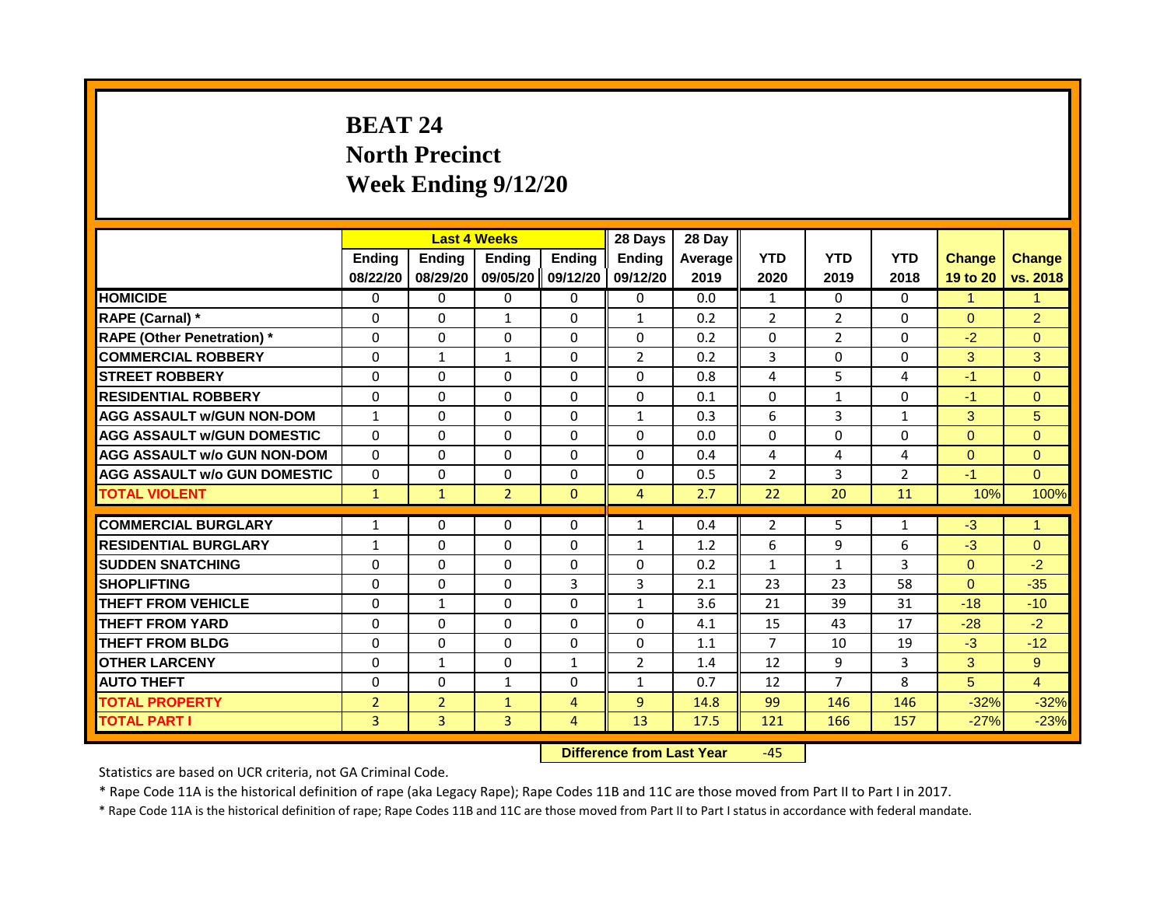# **BEAT 24 North Precinct Week Ending 9/12/20**

|                                     | <b>Last 4 Weeks</b> |                                  |                | 28 Days           | 28 Day                   |         |                |                |                |                 |                      |
|-------------------------------------|---------------------|----------------------------------|----------------|-------------------|--------------------------|---------|----------------|----------------|----------------|-----------------|----------------------|
|                                     | <b>Ending</b>       | <b>Ending</b>                    | <b>Ending</b>  | <b>Ending</b>     | <b>Ending</b>            | Average | <b>YTD</b>     | <b>YTD</b>     | <b>YTD</b>     | <b>Change</b>   | <b>Change</b>        |
|                                     | 08/22/20            | 08/29/20                         |                | 09/05/20 09/12/20 | 09/12/20                 | 2019    | 2020           | 2019           | 2018           | 19 to 20        | vs. 2018             |
| <b>HOMICIDE</b>                     | 0                   | 0                                | 0              | 0                 | 0                        | 0.0     | 1              | 0              | 0              | 1               | 1                    |
| RAPE (Carnal) *                     | 0                   | $\Omega$                         | $\mathbf{1}$   | $\Omega$          | $\mathbf{1}$             | 0.2     | 2              | $\overline{2}$ | $\Omega$       | $\Omega$        | $\overline{2}$       |
| <b>RAPE (Other Penetration)</b> *   | $\Omega$            | $\Omega$                         | $\Omega$       | $\Omega$          | $\Omega$                 | 0.2     | $\Omega$       | $\overline{2}$ | $\Omega$       | $-2$            | $\Omega$             |
| <b>COMMERCIAL ROBBERY</b>           | 0                   | 1                                | 1              | 0                 | $\overline{2}$           | 0.2     | 3              | $\mathbf{0}$   | 0              | 3               | 3                    |
| <b>STREET ROBBERY</b>               | 0                   | $\Omega$                         | $\Omega$       | $\Omega$          | $\Omega$                 | 0.8     | 4              | 5              | 4              | $-1$            | $\Omega$             |
| <b>RESIDENTIAL ROBBERY</b>          | 0                   | 0                                | $\Omega$       | $\Omega$          | 0                        | 0.1     | $\mathbf 0$    | $\mathbf{1}$   | $\Omega$       | $-1$            | $\overline{0}$       |
| <b>AGG ASSAULT w/GUN NON-DOM</b>    | $\mathbf{1}$        | $\Omega$                         | $\Omega$       | $\Omega$          | $\mathbf{1}$             | 0.3     | 6              | $\overline{3}$ | 1              | 3               | 5                    |
| <b>AGG ASSAULT W/GUN DOMESTIC</b>   | $\Omega$            | $\Omega$                         | $\Omega$       | $\Omega$          | $\Omega$                 | 0.0     | $\Omega$       | $\Omega$       | $\Omega$       | $\Omega$        | $\Omega$             |
| <b>AGG ASSAULT w/o GUN NON-DOM</b>  | $\Omega$            | 0                                | $\Omega$       | $\Omega$          | 0                        | 0.4     | 4              | 4              | 4              | $\Omega$        | $\Omega$             |
| <b>AGG ASSAULT w/o GUN DOMESTIC</b> | $\Omega$            | 0                                | 0              | $\Omega$          | 0                        | 0.5     | $\overline{2}$ | 3              | $\overline{2}$ | $-1$            | $\Omega$             |
| <b>TOTAL VIOLENT</b>                | $\mathbf{1}$        | $\mathbf{1}$                     | $\overline{2}$ | $\overline{0}$    | $\overline{4}$           | 2.7     | 22             | 20             | 11             | 10%             | 100%                 |
| <b>COMMERCIAL BURGLARY</b>          | 1                   | 0                                | $\Omega$       | 0                 | 1                        | 0.4     | $\overline{2}$ | 5              | 1              | $-3$            | $\blacktriangleleft$ |
| <b>RESIDENTIAL BURGLARY</b>         |                     | $\Omega$                         | $\mathbf{0}$   | $\Omega$          |                          |         | 6              | 9              | 6              | $-3$            | $\Omega$             |
|                                     | $\mathbf{1}$        |                                  |                |                   | $\mathbf{1}$<br>$\Omega$ | 1.2     |                |                | 3              | $\Omega$        |                      |
| <b>SUDDEN SNATCHING</b>             | $\Omega$            | $\Omega$                         | $\Omega$       | $\Omega$          |                          | 0.2     | $\mathbf{1}$   | $\mathbf{1}$   |                |                 | $-2$                 |
| <b>SHOPLIFTING</b>                  | $\Omega$            | $\mathbf{0}$                     | $\Omega$       | 3                 | 3                        | 2.1     | 23             | 23             | 58             | $\Omega$        | $-35$                |
| <b>THEFT FROM VEHICLE</b>           | $\Omega$            | $\mathbf{1}$                     | $\Omega$       | $\Omega$          | $\mathbf{1}$             | 3.6     | 21             | 39             | 31             | $-18$           | $-10$                |
| <b>THEFT FROM YARD</b>              | $\Omega$            | $\Omega$                         | $\Omega$       | $\Omega$          | $\Omega$                 | 4.1     | 15             | 43             | 17             | $-28$           | $-2$                 |
| <b>THEFT FROM BLDG</b>              | 0                   | $\mathbf{0}$                     | 0              | $\Omega$          | $\Omega$                 | 1.1     | $\overline{7}$ | 10             | 19             | $-3$            | $-12$                |
| <b>OTHER LARCENY</b>                | $\Omega$            | $\mathbf{1}$                     | $\Omega$       | $\mathbf{1}$      | $\overline{2}$           | 1.4     | 12             | 9              | 3              | 3               | 9                    |
| <b>AUTO THEFT</b>                   | $\mathbf 0$         | 0                                | $\mathbf{1}$   | 0                 | 1                        | 0.7     | 12             | $\overline{7}$ | 8              | $5\phantom{.0}$ | $\overline{4}$       |
| <b>TOTAL PROPERTY</b>               | $\overline{2}$      | $\overline{2}$                   | $\mathbf{1}$   | $\overline{4}$    | $\overline{9}$           | 14.8    | 99             | 146            | 146            | $-32%$          | $-32%$               |
| <b>TOTAL PART I</b>                 | 3                   | $\overline{3}$                   | $\overline{3}$ | $\overline{4}$    | 13                       | 17.5    | 121            | 166            | 157            | $-27%$          | $-23%$               |
|                                     |                     | <b>Difference from Last Year</b> |                | $-45$             |                          |         |                |                |                |                 |                      |

Statistics are based on UCR criteria, not GA Criminal Code.

\* Rape Code 11A is the historical definition of rape (aka Legacy Rape); Rape Codes 11B and 11C are those moved from Part II to Part I in 2017.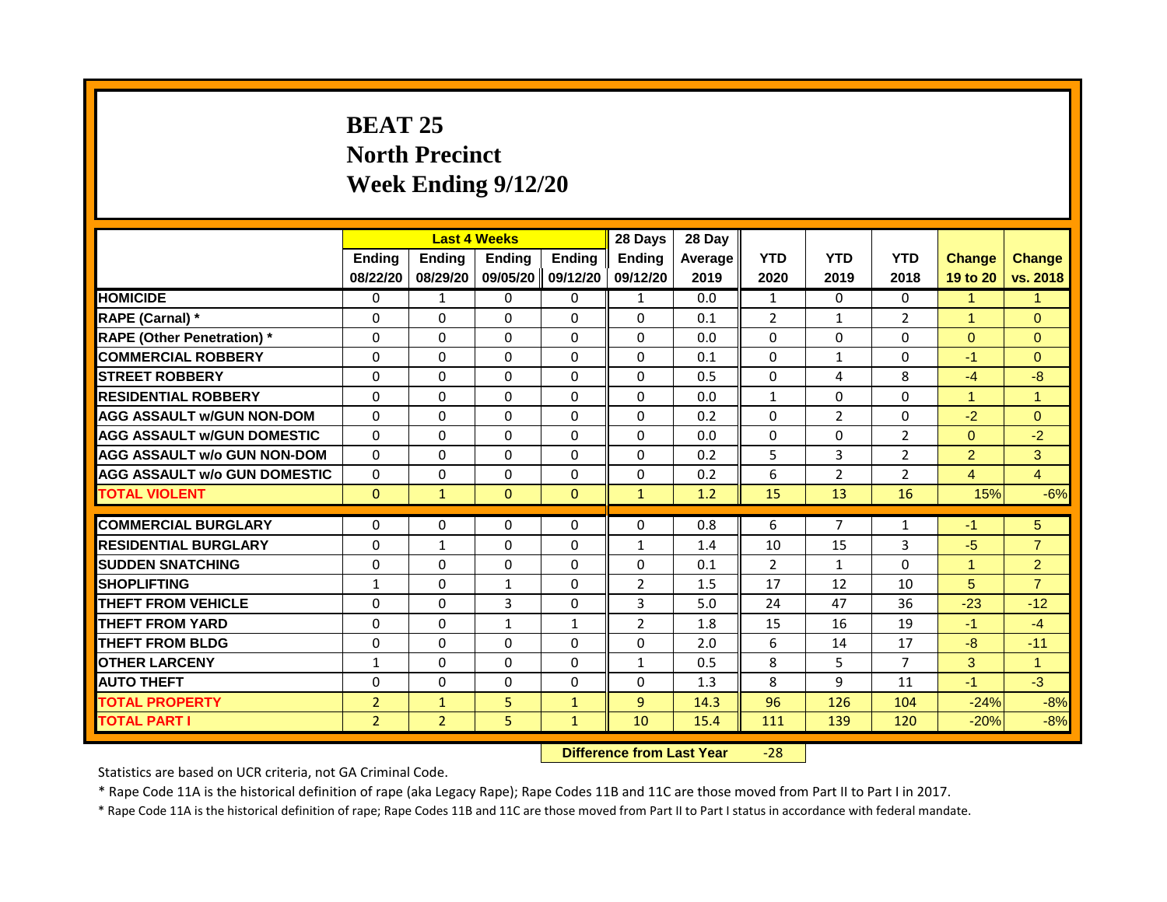# **BEAT 25 North Precinct Week Ending 9/12/20**

|                                     | <b>Last 4 Weeks</b> |                                  |                   | 28 Days       | 28 Day         |         |                |                |                |                      |                      |
|-------------------------------------|---------------------|----------------------------------|-------------------|---------------|----------------|---------|----------------|----------------|----------------|----------------------|----------------------|
|                                     | <b>Ending</b>       | <b>Ending</b>                    | Ending            | <b>Ending</b> | <b>Ending</b>  | Average | <b>YTD</b>     | <b>YTD</b>     | <b>YTD</b>     | <b>Change</b>        | <b>Change</b>        |
|                                     | 08/22/20            | 08/29/20                         | 09/05/20 09/12/20 |               | 09/12/20       | 2019    | 2020           | 2019           | 2018           | 19 to 20             | vs. 2018             |
| <b>HOMICIDE</b>                     | 0                   | 1                                | 0                 | 0             | 1              | 0.0     | 1              | 0              | 0              | 1                    | 1                    |
| RAPE (Carnal) *                     | 0                   | $\Omega$                         | $\Omega$          | $\mathbf{0}$  | $\Omega$       | 0.1     | $\overline{2}$ | $\mathbf{1}$   | $\overline{2}$ | $\mathbf{1}$         | $\Omega$             |
| <b>RAPE (Other Penetration)</b> *   | $\Omega$            | $\Omega$                         | $\Omega$          | $\Omega$      | $\Omega$       | 0.0     | $\Omega$       | $\Omega$       | $\Omega$       | $\Omega$             | $\Omega$             |
| <b>COMMERCIAL ROBBERY</b>           | 0                   | 0                                | 0                 | 0             | 0              | 0.1     | $\mathbf 0$    | 1              | 0              | $-1$                 | $\overline{0}$       |
| <b>STREET ROBBERY</b>               | 0                   | $\Omega$                         | $\Omega$          | $\mathbf{0}$  | $\Omega$       | 0.5     | $\mathbf{0}$   | 4              | 8              | $-4$                 | $-8$                 |
| <b>RESIDENTIAL ROBBERY</b>          | $\mathbf{0}$        | 0                                | $\mathbf{0}$      | $\mathbf 0$   | 0              | 0.0     | $\mathbf{1}$   | $\Omega$       | $\Omega$       | $\mathbf{1}$         | $\mathbf{1}$         |
| <b>AGG ASSAULT W/GUN NON-DOM</b>    | $\mathbf{0}$        | $\Omega$                         | $\Omega$          | $\mathbf{0}$  | $\Omega$       | 0.2     | $\mathbf{0}$   | $\overline{2}$ | 0              | $-2$                 | $\Omega$             |
| <b>AGG ASSAULT W/GUN DOMESTIC</b>   | $\Omega$            | $\Omega$                         | $\Omega$          | $\Omega$      | $\Omega$       | 0.0     | $\Omega$       | $\Omega$       | $\overline{2}$ | $\Omega$             | $-2$                 |
| <b>AGG ASSAULT w/o GUN NON-DOM</b>  | $\Omega$            | 0                                | $\Omega$          | $\mathbf{0}$  | 0              | 0.2     | 5              | 3              | $\overline{2}$ | 2 <sup>1</sup>       | 3                    |
| <b>AGG ASSAULT W/o GUN DOMESTIC</b> | $\Omega$            | 0                                | 0                 | $\mathbf{0}$  | 0              | 0.2     | 6              | $\overline{2}$ | $\overline{2}$ | $\overline{4}$       | $\overline{4}$       |
| <b>TOTAL VIOLENT</b>                | $\mathbf{0}$        | $\mathbf{1}$                     | $\mathbf{0}$      | $\mathbf{0}$  | $\mathbf{1}$   | 1.2     | 15             | 13             | 16             | 15%                  | $-6%$                |
|                                     |                     |                                  | $\Omega$          |               |                |         | 6              | $\overline{7}$ |                |                      |                      |
| <b>COMMERCIAL BURGLARY</b>          | 0                   | 0                                |                   | $\mathbf 0$   | $\Omega$       | 0.8     |                |                | 1              | $-1$                 | 5 <sup>5</sup>       |
| <b>RESIDENTIAL BURGLARY</b>         | $\mathbf{0}$        | $\mathbf{1}$                     | $\Omega$          | $\mathbf{0}$  | $\mathbf{1}$   | 1.4     | 10             | 15             | 3              | $-5$                 | $\overline{7}$       |
| <b>SUDDEN SNATCHING</b>             | $\Omega$            | $\Omega$                         | $\Omega$          | $\Omega$      | $\Omega$       | 0.1     | 2              | $\mathbf{1}$   | $\Omega$       | $\blacktriangleleft$ | $\overline{2}$       |
| <b>SHOPLIFTING</b>                  | 1                   | $\Omega$                         | 1                 | $\mathbf{0}$  | $\overline{2}$ | 1.5     | 17             | 12             | 10             | 5                    | $\overline{7}$       |
| <b>THEFT FROM VEHICLE</b>           | $\Omega$            | $\Omega$                         | 3                 | $\mathbf{0}$  | 3              | 5.0     | 24             | 47             | 36             | $-23$                | $-12$                |
| <b>THEFT FROM YARD</b>              | $\Omega$            | $\Omega$                         | $\mathbf{1}$      | $\mathbf{1}$  | $\overline{2}$ | 1.8     | 15             | 16             | 19             | $-1$                 | $-4$                 |
| <b>THEFT FROM BLDG</b>              | 0                   | $\mathbf{0}$                     | 0                 | $\Omega$      | 0              | 2.0     | 6              | 14             | 17             | -8                   | $-11$                |
| <b>OTHER LARCENY</b>                | $\mathbf{1}$        | $\Omega$                         | $\Omega$          | $\mathbf{0}$  | $\mathbf{1}$   | 0.5     | 8              | 5              | $\overline{7}$ | 3                    | $\blacktriangleleft$ |
| <b>AUTO THEFT</b>                   | $\mathbf 0$         | 0                                | $\mathbf 0$       | $\mathbf 0$   | 0              | 1.3     | 8              | 9              | 11             | $-1$                 | $-3$                 |
| <b>TOTAL PROPERTY</b>               | $\overline{2}$      | $\mathbf{1}$                     | 5                 | $\mathbf{1}$  | $\mathbf{q}$   | 14.3    | 96             | 126            | 104            | $-24%$               | $-8%$                |
| <b>TOTAL PART I</b>                 | $\overline{2}$      | $\overline{2}$                   | 5                 | $\mathbf{1}$  | 10             | 15.4    | 111            | 139            | 120            | $-20%$               | $-8%$                |
|                                     |                     | <b>Difference from Last Year</b> |                   | $-28$         |                |         |                |                |                |                      |                      |

Statistics are based on UCR criteria, not GA Criminal Code.

\* Rape Code 11A is the historical definition of rape (aka Legacy Rape); Rape Codes 11B and 11C are those moved from Part II to Part I in 2017.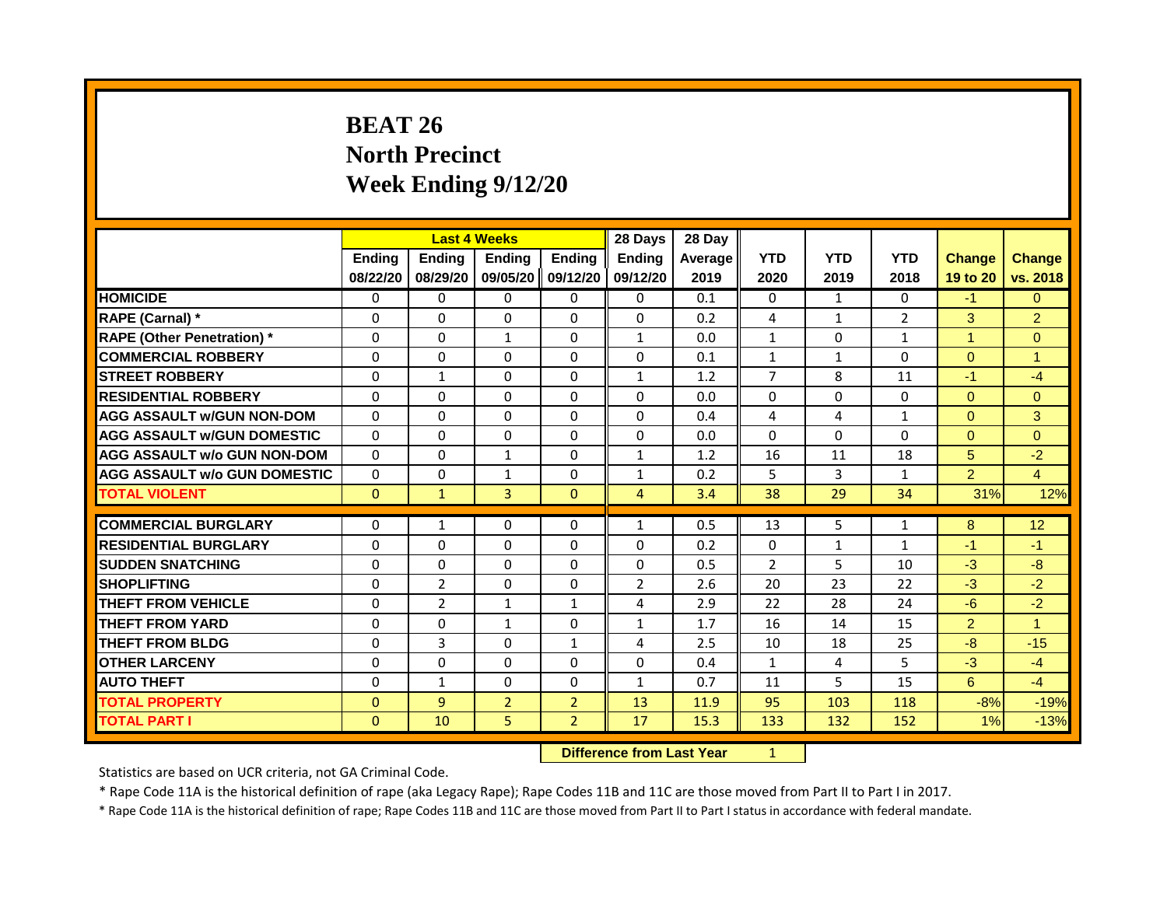# **BEAT 26 North Precinct Week Ending 9/12/20**

|                                     |               |                | <b>Last 4 Weeks</b> |                | 28 Days        | 28 Day  |                |              |                |                |                |
|-------------------------------------|---------------|----------------|---------------------|----------------|----------------|---------|----------------|--------------|----------------|----------------|----------------|
|                                     | <b>Ending</b> | <b>Ending</b>  | <b>Ending</b>       | <b>Ending</b>  | Endina         | Average | <b>YTD</b>     | <b>YTD</b>   | <b>YTD</b>     | <b>Change</b>  | <b>Change</b>  |
|                                     | 08/22/20      | 08/29/20       | 09/05/20            | 09/12/20       | 09/12/20       | 2019    | 2020           | 2019         | 2018           | 19 to 20       | vs. 2018       |
| <b>HOMICIDE</b>                     | 0             | 0              | $\mathbf{0}$        | $\mathbf{0}$   | $\mathbf{0}$   | 0.1     | 0              | $\mathbf{1}$ | 0              | $-1$           | $\Omega$       |
| RAPE (Carnal) *                     | $\Omega$      | $\Omega$       | $\Omega$            | $\Omega$       | $\Omega$       | 0.2     | 4              | 1            | $\overline{2}$ | 3              | $\overline{2}$ |
| <b>RAPE (Other Penetration) *</b>   | $\Omega$      | $\Omega$       | $\mathbf{1}$        | $\Omega$       | $\mathbf{1}$   | 0.0     | $\mathbf{1}$   | $\Omega$     | $\mathbf{1}$   | $\mathbf{1}$   | $\Omega$       |
| <b>COMMERCIAL ROBBERY</b>           | $\Omega$      | $\mathbf{0}$   | $\Omega$            | $\Omega$       | $\Omega$       | 0.1     | $\mathbf{1}$   | $\mathbf{1}$ | 0              | $\Omega$       | $\mathbf{1}$   |
| <b>STREET ROBBERY</b>               | $\Omega$      | $\mathbf{1}$   | $\Omega$            | $\Omega$       | $\mathbf{1}$   | 1.2     | $\overline{7}$ | 8            | 11             | $-1$           | $-4$           |
| <b>RESIDENTIAL ROBBERY</b>          | $\Omega$      | $\Omega$       | $\Omega$            | $\Omega$       | $\Omega$       | 0.0     | $\Omega$       | 0            | 0              | $\Omega$       | $\Omega$       |
| <b>AGG ASSAULT w/GUN NON-DOM</b>    | $\Omega$      | $\Omega$       | $\Omega$            | $\Omega$       | $\Omega$       | 0.4     | 4              | 4            | $\mathbf{1}$   | $\Omega$       | 3              |
| <b>AGG ASSAULT W/GUN DOMESTIC</b>   | $\Omega$      | $\Omega$       | $\Omega$            | $\Omega$       | $\Omega$       | 0.0     | $\Omega$       | $\Omega$     | $\Omega$       | $\Omega$       | $\Omega$       |
| <b>AGG ASSAULT w/o GUN NON-DOM</b>  | $\Omega$      | $\Omega$       | $\mathbf{1}$        | $\Omega$       | $\mathbf{1}$   | 1.2     | 16             | 11           | 18             | 5              | $-2$           |
| <b>AGG ASSAULT w/o GUN DOMESTIC</b> | $\Omega$      | $\Omega$       | $\mathbf{1}$        | $\Omega$       | $\mathbf{1}$   | 0.2     | 5              | 3            | $\mathbf{1}$   | $\overline{2}$ | $\overline{4}$ |
| <b>TOTAL VIOLENT</b>                | $\mathbf{0}$  | $\mathbf{1}$   | 3                   | $\mathbf{0}$   | $\overline{4}$ | 3.4     | 38             | 29           | 34             | 31%            | 12%            |
|                                     |               |                |                     |                |                |         |                |              |                |                |                |
| <b>COMMERCIAL BURGLARY</b>          | $\Omega$      | $\mathbf{1}$   | $\Omega$            | $\Omega$       | $\mathbf{1}$   | 0.5     | 13             | 5            | $\mathbf{1}$   | 8              | 12             |
| <b>RESIDENTIAL BURGLARY</b>         | $\Omega$      | $\Omega$       | $\Omega$            | $\Omega$       | $\Omega$       | 0.2     | $\Omega$       | $\mathbf{1}$ | $\mathbf{1}$   | $-1$           | $-1$           |
| <b>SUDDEN SNATCHING</b>             | $\Omega$      | 0              | $\mathbf{0}$        | 0              | $\Omega$       | 0.5     | $\overline{2}$ | 5            | 10             | $-3$           | $-8$           |
| <b>SHOPLIFTING</b>                  | $\Omega$      | $\overline{2}$ | $\Omega$            | $\Omega$       | $\overline{2}$ | 2.6     | 20             | 23           | 22             | $-3$           | $-2$           |
| <b>THEFT FROM VEHICLE</b>           | $\mathbf 0$   | $\overline{2}$ | $\mathbf{1}$        | $\mathbf{1}$   | 4              | 2.9     | 22             | 28           | 24             | $-6$           | $-2$           |
| <b>THEFT FROM YARD</b>              | $\Omega$      | $\mathbf{0}$   | $\mathbf{1}$        | $\Omega$       | $\mathbf{1}$   | 1.7     | 16             | 14           | 15             | $\overline{2}$ | $\mathbf{1}$   |
| <b>THEFT FROM BLDG</b>              | $\Omega$      | 3              | $\Omega$            | $\mathbf{1}$   | 4              | 2.5     | 10             | 18           | 25             | $-8$           | $-15$          |
| <b>OTHER LARCENY</b>                | $\Omega$      | $\Omega$       | $\Omega$            | $\Omega$       | $\Omega$       | 0.4     | 1              | 4            | 5.             | $-3$           | $-4$           |
| <b>AUTO THEFT</b>                   | $\Omega$      | $\mathbf{1}$   | $\Omega$            | $\Omega$       | $\mathbf{1}$   | 0.7     | 11             | 5.           | 15             | 6              | $-4$           |
| <b>TOTAL PROPERTY</b>               | $\mathbf{0}$  | $\overline{9}$ | $\overline{2}$      | $\overline{2}$ | 13             | 11.9    | 95             | 103          | 118            | $-8%$          | $-19%$         |
| <b>TOTAL PART I</b>                 | $\mathbf{0}$  | 10             | 5                   | $\overline{2}$ | 17             | 15.3    | 133            | 132          | 152            | 1%             | $-13%$         |
|                                     |               |                |                     | <b>Section</b> |                |         |                |              |                |                |                |

**Difference from Last Year** 1

Statistics are based on UCR criteria, not GA Criminal Code.

\* Rape Code 11A is the historical definition of rape (aka Legacy Rape); Rape Codes 11B and 11C are those moved from Part II to Part I in 2017.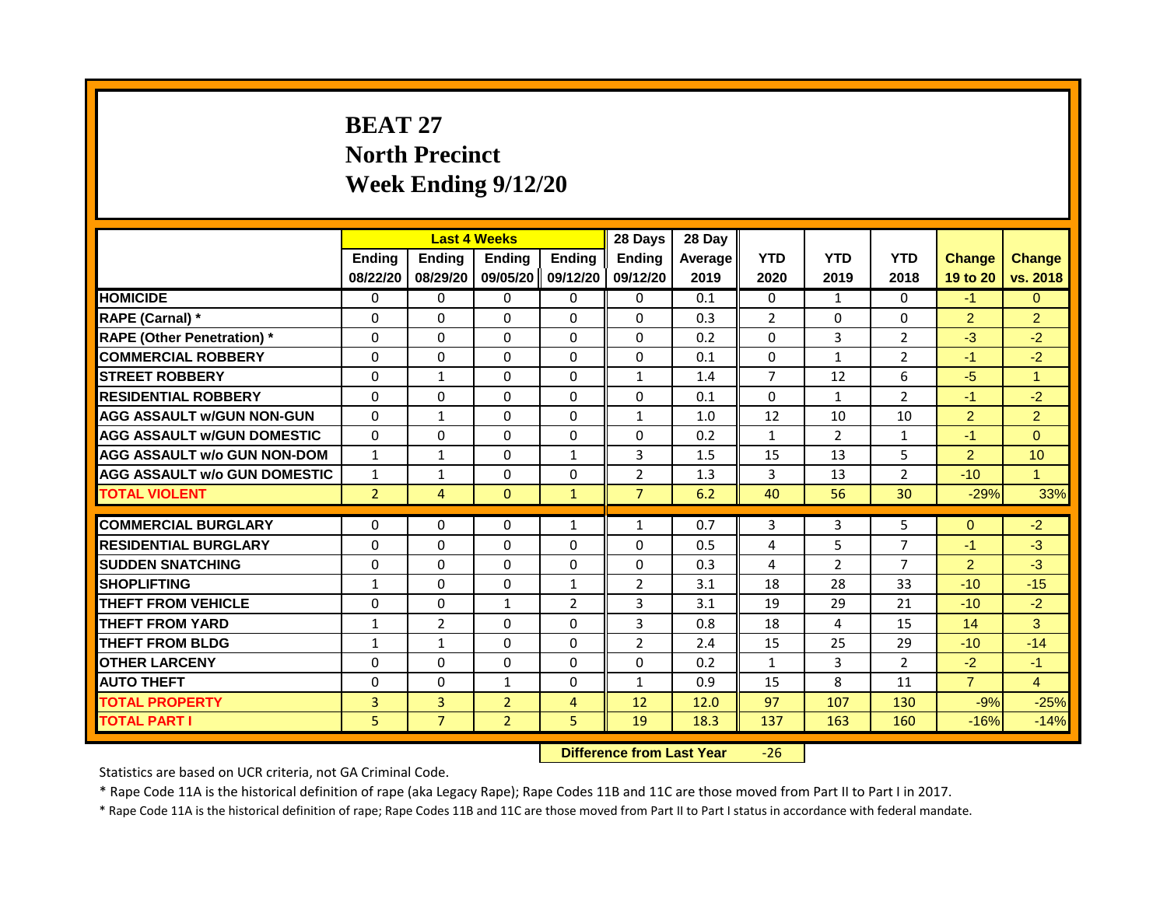# **BEAT 27 North Precinct Week Ending 9/12/20**

|                                     | <b>Last 4 Weeks</b> |                |                                  | 28 Days        | 28 Day         |         |                |                |                |                |                      |
|-------------------------------------|---------------------|----------------|----------------------------------|----------------|----------------|---------|----------------|----------------|----------------|----------------|----------------------|
|                                     | <b>Ending</b>       | Ending         | <b>Ending</b>                    | <b>Ending</b>  | <b>Endina</b>  | Average | <b>YTD</b>     | <b>YTD</b>     | <b>YTD</b>     | <b>Change</b>  | <b>Change</b>        |
|                                     | 08/22/20            | 08/29/20       | 09/05/20 09/12/20                |                | 09/12/20       | 2019    | 2020           | 2019           | 2018           | 19 to 20       | vs. 2018             |
| <b>HOMICIDE</b>                     | 0                   | 0              | $\mathbf{0}$                     | 0              | 0              | 0.1     | $\mathbf{0}$   | $\mathbf{1}$   | $\mathbf{0}$   | $-1$           | $\Omega$             |
| RAPE (Carnal) *                     | 0                   | $\Omega$       | 0                                | $\Omega$       | $\Omega$       | 0.3     | $\overline{2}$ | $\Omega$       | $\Omega$       | $\overline{2}$ | $\overline{2}$       |
| <b>RAPE (Other Penetration)</b> *   | $\Omega$            | $\Omega$       | $\Omega$                         | $\Omega$       | $\Omega$       | 0.2     | $\Omega$       | 3              | $\overline{2}$ | $-3$           | $-2$                 |
| <b>COMMERCIAL ROBBERY</b>           | $\Omega$            | $\Omega$       | $\Omega$                         | $\Omega$       | $\Omega$       | 0.1     | $\Omega$       | $\mathbf{1}$   | $\overline{2}$ | $-1$           | $-2$                 |
| <b>STREET ROBBERY</b>               | $\Omega$            | $\mathbf{1}$   | 0                                | $\Omega$       | $\mathbf{1}$   | 1.4     | $\overline{7}$ | 12             | 6              | $-5$           | $\mathbf{1}$         |
| <b>RESIDENTIAL ROBBERY</b>          | $\Omega$            | $\Omega$       | $\Omega$                         | $\Omega$       | $\Omega$       | 0.1     | $\Omega$       | $\mathbf{1}$   | $\overline{2}$ | $-1$           | $-2$                 |
| <b>AGG ASSAULT w/GUN NON-GUN</b>    | $\Omega$            | $\mathbf{1}$   | $\Omega$                         | $\Omega$       | $\mathbf{1}$   | 1.0     | 12             | 10             | 10             | $\overline{2}$ | $\overline{2}$       |
| <b>AGG ASSAULT W/GUN DOMESTIC</b>   | $\Omega$            | $\Omega$       | $\Omega$                         | $\Omega$       | 0              | 0.2     | $\mathbf{1}$   | $\overline{2}$ | $\mathbf{1}$   | $-1$           | $\Omega$             |
| <b>AGG ASSAULT w/o GUN NON-DOM</b>  | $\mathbf{1}$        | $\mathbf{1}$   | 0                                | $\mathbf{1}$   | 3              | 1.5     | 15             | 13             | 5              | $\overline{2}$ | 10                   |
| <b>AGG ASSAULT w/o GUN DOMESTIC</b> | $\mathbf{1}$        | 1              | 0                                | $\Omega$       | $\overline{2}$ | 1.3     | 3              | 13             | 2              | $-10$          | $\blacktriangleleft$ |
| <b>TOTAL VIOLENT</b>                | $\overline{2}$      | $\overline{4}$ | $\mathbf{0}$                     | $\mathbf{1}$   | $\overline{7}$ | 6.2     | 40             | 56             | 30             | $-29%$         | 33%                  |
|                                     |                     |                |                                  |                |                |         |                |                |                |                |                      |
| <b>COMMERCIAL BURGLARY</b>          | $\Omega$            | $\Omega$       | $\Omega$                         | $\mathbf{1}$   | 1              | 0.7     | 3              | 3              | 5              | $\Omega$       | $-2$                 |
| <b>RESIDENTIAL BURGLARY</b>         | $\Omega$            | $\Omega$       | $\Omega$                         | $\Omega$       | $\Omega$       | 0.5     | 4              | 5              | $\overline{7}$ | $-1$           | $-3$                 |
| <b>SUDDEN SNATCHING</b>             | $\Omega$            | $\Omega$       | $\Omega$                         | $\Omega$       | 0              | 0.3     | 4              | $\overline{2}$ | $\overline{7}$ | $\overline{2}$ | $-3$                 |
| <b>SHOPLIFTING</b>                  | 1                   | $\Omega$       | $\Omega$                         | $\mathbf{1}$   | $\overline{2}$ | 3.1     | 18             | 28             | 33             | $-10$          | $-15$                |
| <b>THEFT FROM VEHICLE</b>           | $\Omega$            | $\Omega$       | $\mathbf{1}$                     | $\overline{2}$ | 3              | 3.1     | 19             | 29             | 21             | $-10$          | $-2$                 |
| <b>THEFT FROM YARD</b>              | $\mathbf{1}$        | $\overline{2}$ | $\Omega$                         | $\Omega$       | 3              | 0.8     | 18             | 4              | 15             | 14             | $\overline{3}$       |
| <b>THEFT FROM BLDG</b>              | $\mathbf{1}$        | $\mathbf{1}$   | $\Omega$                         | $\Omega$       | 2              | 2.4     | 15             | 25             | 29             | $-10$          | $-14$                |
| <b>OTHER LARCENY</b>                | $\Omega$            | $\Omega$       | 0                                | $\Omega$       | 0              | 0.2     | $\mathbf{1}$   | 3              | $\overline{2}$ | $-2$           | $-1$                 |
| <b>AUTO THEFT</b>                   | 0                   | $\Omega$       | $\mathbf{1}$                     | $\Omega$       | $\mathbf{1}$   | 0.9     | 15             | 8              | 11             | $\overline{7}$ | $\overline{4}$       |
| <b>TOTAL PROPERTY</b>               | 3                   | 3              | $\overline{2}$                   | $\overline{4}$ | 12             | 12.0    | 97             | 107            | 130            | $-9%$          | $-25%$               |
| <b>TOTAL PART I</b>                 | 5                   | $\overline{7}$ | $\overline{2}$                   | 5              | 19             | 18.3    | 137            | 163            | 160            | $-16%$         | $-14%$               |
|                                     |                     |                | <b>Difference from Last Year</b> |                | $-26$          |         |                |                |                |                |                      |

Statistics are based on UCR criteria, not GA Criminal Code.

\* Rape Code 11A is the historical definition of rape (aka Legacy Rape); Rape Codes 11B and 11C are those moved from Part II to Part I in 2017.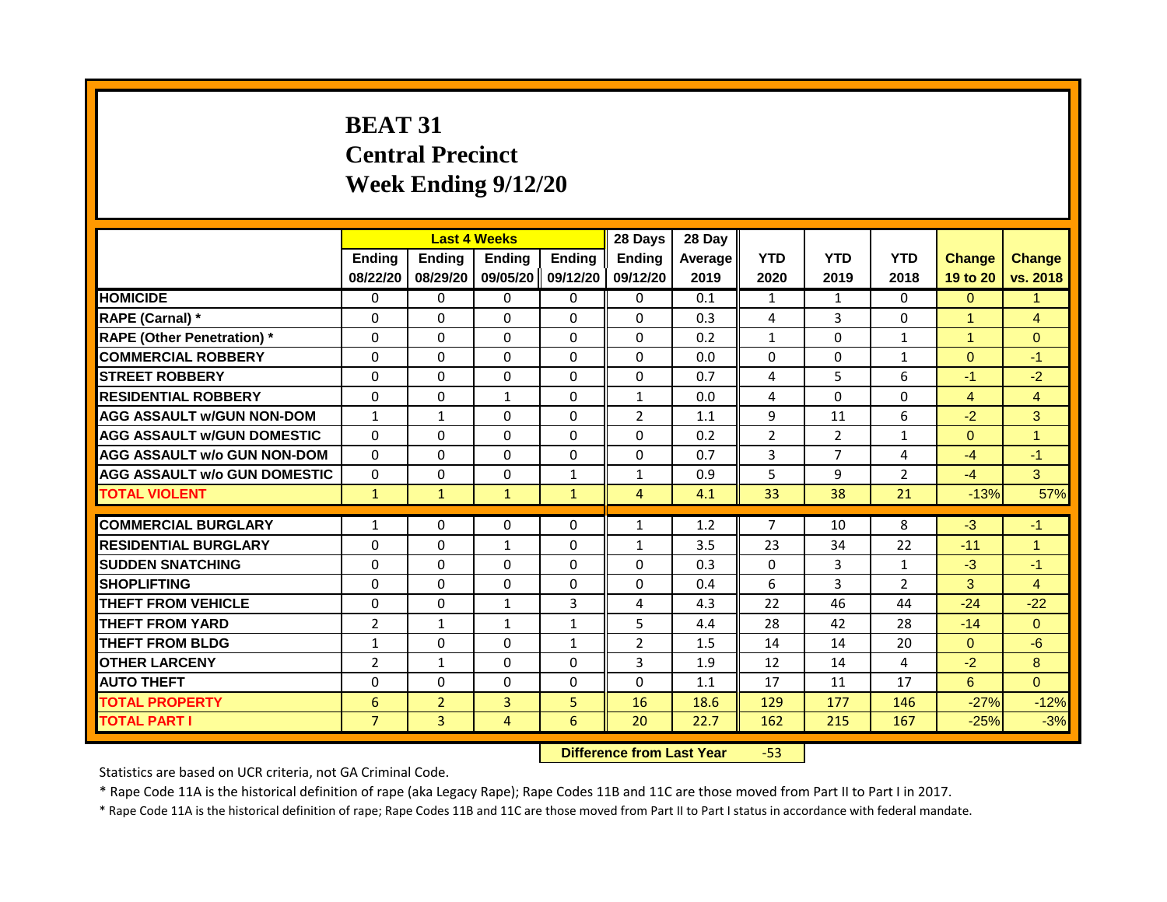# **BEAT 31 Central Precinct Week Ending 9/12/20**

|                                     | <b>Last 4 Weeks</b><br>Ending<br><b>Ending</b><br><b>Ending</b> |                |                                  | 28 Days       | 28 Day         |         |                |                |                |                      |                      |
|-------------------------------------|-----------------------------------------------------------------|----------------|----------------------------------|---------------|----------------|---------|----------------|----------------|----------------|----------------------|----------------------|
|                                     |                                                                 |                |                                  | <b>Ending</b> | <b>Ending</b>  | Average | <b>YTD</b>     | <b>YTD</b>     | <b>YTD</b>     | <b>Change</b>        | <b>Change</b>        |
|                                     | 08/22/20                                                        | 08/29/20       | 09/05/20                         | 09/12/20      | 09/12/20       | 2019    | 2020           | 2019           | 2018           | 19 to 20             | vs. 2018             |
| <b>HOMICIDE</b>                     | 0                                                               | 0              | $\mathbf{0}$                     | $\mathbf{0}$  | $\mathbf{0}$   | 0.1     | $\mathbf{1}$   | $\mathbf{1}$   | $\mathbf{0}$   | $\mathbf{0}$         | $\mathbf{1}$         |
| RAPE (Carnal) *                     | $\Omega$                                                        | $\Omega$       | 0                                | $\Omega$      | $\Omega$       | 0.3     | 4              | $\overline{3}$ | $\Omega$       | $\blacktriangleleft$ | $\overline{4}$       |
| <b>RAPE (Other Penetration)</b> *   | 0                                                               | $\Omega$       | $\Omega$                         | $\Omega$      | $\Omega$       | 0.2     | $\mathbf{1}$   | $\Omega$       | $\mathbf{1}$   | $\overline{1}$       | $\Omega$             |
| <b>COMMERCIAL ROBBERY</b>           | $\Omega$                                                        | $\Omega$       | $\Omega$                         | $\Omega$      | $\Omega$       | 0.0     | $\Omega$       | $\Omega$       | 1              | $\Omega$             | $-1$                 |
| <b>STREET ROBBERY</b>               | 0                                                               | $\Omega$       | $\Omega$                         | $\Omega$      | $\Omega$       | 0.7     | 4              | 5              | 6              | $-1$                 | $-2$                 |
| <b>RESIDENTIAL ROBBERY</b>          | $\Omega$                                                        | $\Omega$       | $\mathbf{1}$                     | $\Omega$      | $\mathbf{1}$   | 0.0     | 4              | $\Omega$       | $\Omega$       | $\overline{4}$       | $\overline{4}$       |
| <b>AGG ASSAULT w/GUN NON-DOM</b>    | $\mathbf{1}$                                                    | $\mathbf{1}$   | $\Omega$                         | $\Omega$      | $\overline{2}$ | 1.1     | 9              | 11             | 6              | $-2$                 | $\mathbf{3}$         |
| <b>AGG ASSAULT W/GUN DOMESTIC</b>   | $\Omega$                                                        | $\Omega$       | $\Omega$                         | $\Omega$      | 0              | 0.2     | $\overline{2}$ | $\overline{2}$ | 1              | $\Omega$             | $\blacktriangleleft$ |
| <b>AGG ASSAULT w/o GUN NON-DOM</b>  | $\Omega$                                                        | $\Omega$       | 0                                | $\Omega$      | $\Omega$       | 0.7     | 3              | $\overline{7}$ | 4              | $-4$                 | $-1$                 |
| <b>AGG ASSAULT w/o GUN DOMESTIC</b> | $\Omega$                                                        | $\Omega$       | 0                                | $\mathbf{1}$  | $\mathbf{1}$   | 0.9     | 5              | 9              | $\overline{2}$ | $-4$                 | $\overline{3}$       |
| <b>TOTAL VIOLENT</b>                | $\mathbf{1}$                                                    | $\mathbf{1}$   | $\mathbf{1}$                     | $\mathbf{1}$  | $\overline{4}$ | 4.1     | 33             | 38             | 21             | $-13%$               | 57%                  |
| <b>COMMERCIAL BURGLARY</b>          |                                                                 |                |                                  |               |                |         | $\overline{7}$ |                |                |                      |                      |
|                                     | $\mathbf{1}$                                                    | 0              | $\mathbf{0}$                     | $\Omega$      | 1              | 1.2     |                | 10             | 8              | $-3$                 | -1                   |
| <b>RESIDENTIAL BURGLARY</b>         | $\Omega$                                                        | $\Omega$       | $\mathbf{1}$                     | $\Omega$      | $\mathbf{1}$   | 3.5     | 23             | 34             | 22             | $-11$                | $\overline{1}$       |
| <b>SUDDEN SNATCHING</b>             | $\Omega$                                                        | $\Omega$       | $\Omega$                         | $\Omega$      | $\Omega$       | 0.3     | $\Omega$       | $\overline{3}$ | $\mathbf{1}$   | $-3$                 | $-1$                 |
| <b>SHOPLIFTING</b>                  | 0                                                               | 0              | 0                                | 0             | 0              | 0.4     | 6              | 3              | $\overline{2}$ | $\mathbf{3}$         | $\overline{4}$       |
| <b>THEFT FROM VEHICLE</b>           | $\Omega$                                                        | $\Omega$       | $\mathbf{1}$                     | 3             | 4              | 4.3     | 22             | 46             | 44             | $-24$                | $-22$                |
| <b>THEFT FROM YARD</b>              | $\overline{2}$                                                  | $\mathbf{1}$   | $\mathbf{1}$                     | $\mathbf{1}$  | 5              | 4.4     | 28             | 42             | 28             | $-14$                | $\Omega$             |
| <b>THEFT FROM BLDG</b>              | $\mathbf{1}$                                                    | $\Omega$       | $\Omega$                         | $\mathbf{1}$  | $\overline{2}$ | 1.5     | 14             | 14             | 20             | $\Omega$             | $-6$                 |
| <b>OTHER LARCENY</b>                | $\overline{2}$                                                  | $\mathbf{1}$   | 0                                | $\Omega$      | 3              | 1.9     | 12             | 14             | 4              | $-2$                 | 8                    |
| <b>AUTO THEFT</b>                   | $\Omega$                                                        | $\Omega$       | $\Omega$                         | $\Omega$      | $\Omega$       | 1.1     | 17             | 11             | 17             | 6                    | $\Omega$             |
| <b>TOTAL PROPERTY</b>               | 6                                                               | $\overline{2}$ | $\overline{3}$                   | 5             | 16             | 18.6    | 129            | 177            | 146            | $-27%$               | $-12%$               |
| <b>TOTAL PART I</b>                 | $\overline{7}$                                                  | 3              | 4                                | 6             | 20             | 22.7    | 162            | 215            | 167            | $-25%$               | $-3%$                |
|                                     |                                                                 |                | <b>Difference from Last Year</b> |               | $-53$          |         |                |                |                |                      |                      |

Statistics are based on UCR criteria, not GA Criminal Code.

\* Rape Code 11A is the historical definition of rape (aka Legacy Rape); Rape Codes 11B and 11C are those moved from Part II to Part I in 2017.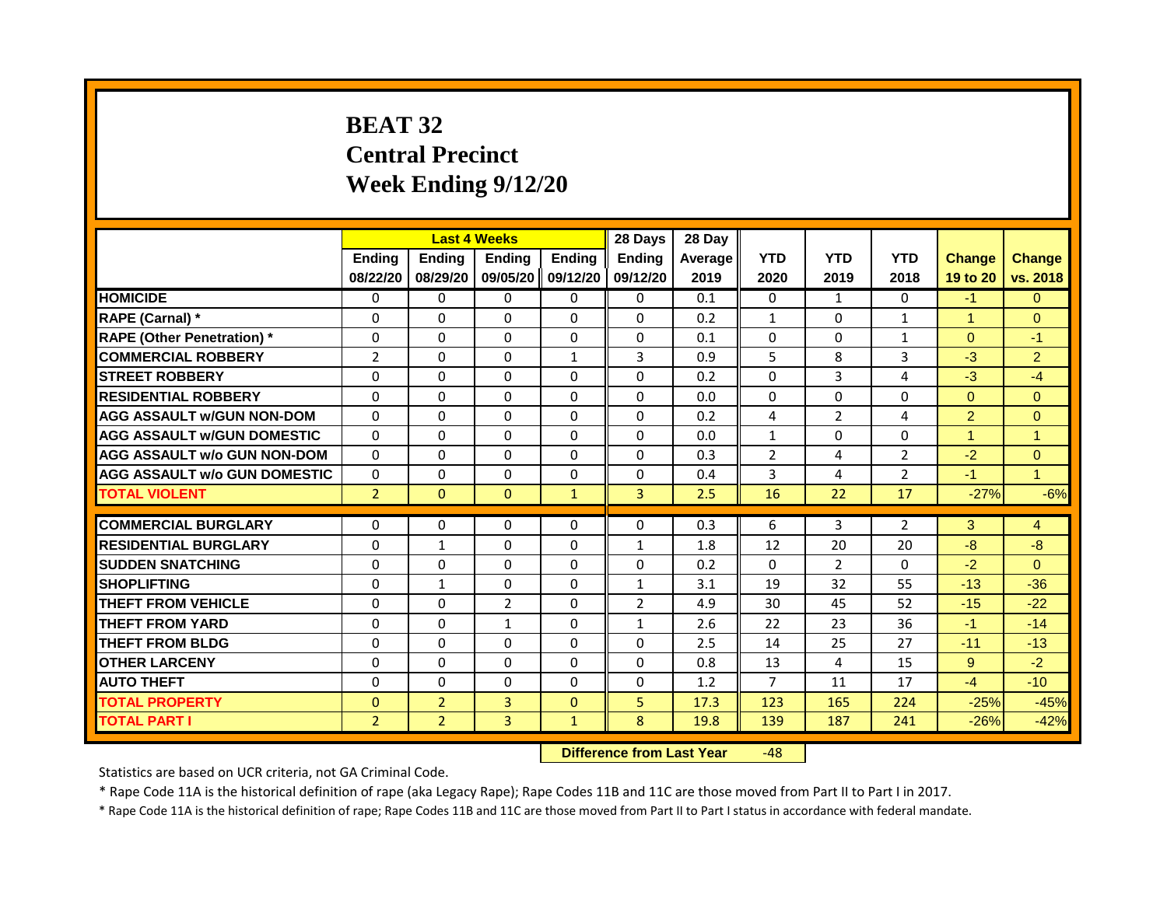# **BEAT 32 Central Precinct Week Ending 9/12/20**

|                                     | <b>Last 4 Weeks</b> |                                  |                | 28 Days       | 28 Day         |         |                |                |                |                      |                      |
|-------------------------------------|---------------------|----------------------------------|----------------|---------------|----------------|---------|----------------|----------------|----------------|----------------------|----------------------|
|                                     | <b>Ending</b>       | <b>Ending</b>                    | Ending         | <b>Ending</b> | <b>Ending</b>  | Average | <b>YTD</b>     | <b>YTD</b>     | <b>YTD</b>     | <b>Change</b>        | <b>Change</b>        |
|                                     | 08/22/20            | 08/29/20                         | 09/05/20       | 09/12/20      | 09/12/20       | 2019    | 2020           | 2019           | 2018           | 19 to 20             | vs. 2018             |
| <b>HOMICIDE</b>                     | 0                   | 0                                | 0              | 0             | 0              | 0.1     | 0              | $\mathbf{1}$   | 0              | $-1$                 | $\Omega$             |
| RAPE (Carnal) *                     | $\mathbf{0}$        | $\Omega$                         | $\Omega$       | $\Omega$      | $\Omega$       | 0.2     | $\mathbf{1}$   | $\mathbf{0}$   | $\mathbf{1}$   | $\blacktriangleleft$ | $\Omega$             |
| <b>RAPE (Other Penetration)</b> *   | $\Omega$            | $\Omega$                         | $\Omega$       | $\Omega$      | $\Omega$       | 0.1     | $\Omega$       | $\Omega$       | $\mathbf{1}$   | $\Omega$             | $-1$                 |
| <b>COMMERCIAL ROBBERY</b>           | $\overline{2}$      | 0                                | $\Omega$       | $\mathbf{1}$  | 3              | 0.9     | 5              | 8              | 3              | $-3$                 | $\overline{2}$       |
| <b>STREET ROBBERY</b>               | 0                   | $\Omega$                         | $\Omega$       | $\Omega$      | $\Omega$       | 0.2     | $\Omega$       | 3              | 4              | $-3$                 | $-4$                 |
| <b>RESIDENTIAL ROBBERY</b>          | $\Omega$            | $\Omega$                         | $\Omega$       | $\Omega$      | $\Omega$       | 0.0     | $\Omega$       | $\Omega$       | $\Omega$       | $\Omega$             | $\Omega$             |
| <b>AGG ASSAULT w/GUN NON-DOM</b>    | $\Omega$            | $\Omega$                         | $\Omega$       | $\Omega$      | $\Omega$       | 0.2     | 4              | $\overline{2}$ | 4              | $\overline{2}$       | $\Omega$             |
| <b>AGG ASSAULT w/GUN DOMESTIC</b>   | 0                   | 0                                | 0              | 0             | 0              | 0.0     | $\mathbf{1}$   | $\Omega$       | 0              | -1                   | $\blacktriangleleft$ |
| <b>AGG ASSAULT w/o GUN NON-DOM</b>  | $\Omega$            | $\Omega$                         | $\Omega$       | $\Omega$      | $\Omega$       | 0.3     | $\overline{2}$ | 4              | $\overline{2}$ | $-2$                 | $\Omega$             |
| <b>AGG ASSAULT w/o GUN DOMESTIC</b> | 0                   | 0                                | 0              | 0             | 0              | 0.4     | 3              | 4              | $\overline{2}$ | $-1$                 | $\mathbf{1}$         |
| <b>TOTAL VIOLENT</b>                | $\overline{2}$      | $\mathbf{0}$                     | $\Omega$       | $\mathbf{1}$  | $\overline{3}$ | 2.5     | 16             | 22             | 17             | $-27%$               | $-6%$                |
|                                     |                     |                                  |                |               |                |         |                |                |                |                      |                      |
| <b>COMMERCIAL BURGLARY</b>          | 0                   | 0                                | $\Omega$       | 0             | $\Omega$       | 0.3     | 6              | 3              | $\overline{2}$ | 3                    | $\overline{4}$       |
| <b>RESIDENTIAL BURGLARY</b>         | 0                   | $\mathbf{1}$                     | $\Omega$       | $\Omega$      | $\mathbf{1}$   | 1.8     | 12             | 20             | 20             | $-8$                 | $-8$                 |
| <b>SUDDEN SNATCHING</b>             | $\Omega$            | $\Omega$                         | $\Omega$       | $\Omega$      | $\Omega$       | 0.2     | $\Omega$       | $\overline{2}$ | $\Omega$       | $-2$                 | $\Omega$             |
| <b>SHOPLIFTING</b>                  | $\Omega$            | $\mathbf{1}$                     | $\Omega$       | $\Omega$      | $\mathbf{1}$   | 3.1     | 19             | 32             | 55             | $-13$                | $-36$                |
| <b>THEFT FROM VEHICLE</b>           | 0                   | $\Omega$                         | $\overline{2}$ | $\Omega$      | $\overline{2}$ | 4.9     | 30             | 45             | 52             | $-15$                | $-22$                |
| <b>THEFT FROM YARD</b>              | $\Omega$            | $\Omega$                         | $\mathbf{1}$   | $\Omega$      | $\mathbf{1}$   | 2.6     | 22             | 23             | 36             | $-1$                 | $-14$                |
| <b>THEFT FROM BLDG</b>              | 0                   | 0                                | 0              | 0             | 0              | 2.5     | 14             | 25             | 27             | $-11$                | $-13$                |
| <b>OTHER LARCENY</b>                | $\Omega$            | $\Omega$                         | $\Omega$       | $\Omega$      | $\Omega$       | 0.8     | 13             | 4              | 15             | 9                    | $-2$                 |
| <b>AUTO THEFT</b>                   | $\mathbf 0$         | 0                                | 0              | 0             | 0              | 1.2     | $\overline{7}$ | 11             | 17             | $-4$                 | $-10$                |
| <b>TOTAL PROPERTY</b>               | $\mathbf{0}$        | $\overline{2}$                   | $\overline{3}$ | $\Omega$      | 5              | 17.3    | 123            | 165            | 224            | $-25%$               | $-45%$               |
| <b>TOTAL PART I</b>                 | $\overline{2}$      | $\overline{2}$                   | 3              | $\mathbf{1}$  | 8              | 19.8    | 139            | 187            | 241            | $-26%$               | $-42%$               |
|                                     |                     | <b>Difference from Last Year</b> |                | $-48$         |                |         |                |                |                |                      |                      |

Statistics are based on UCR criteria, not GA Criminal Code.

\* Rape Code 11A is the historical definition of rape (aka Legacy Rape); Rape Codes 11B and 11C are those moved from Part II to Part I in 2017.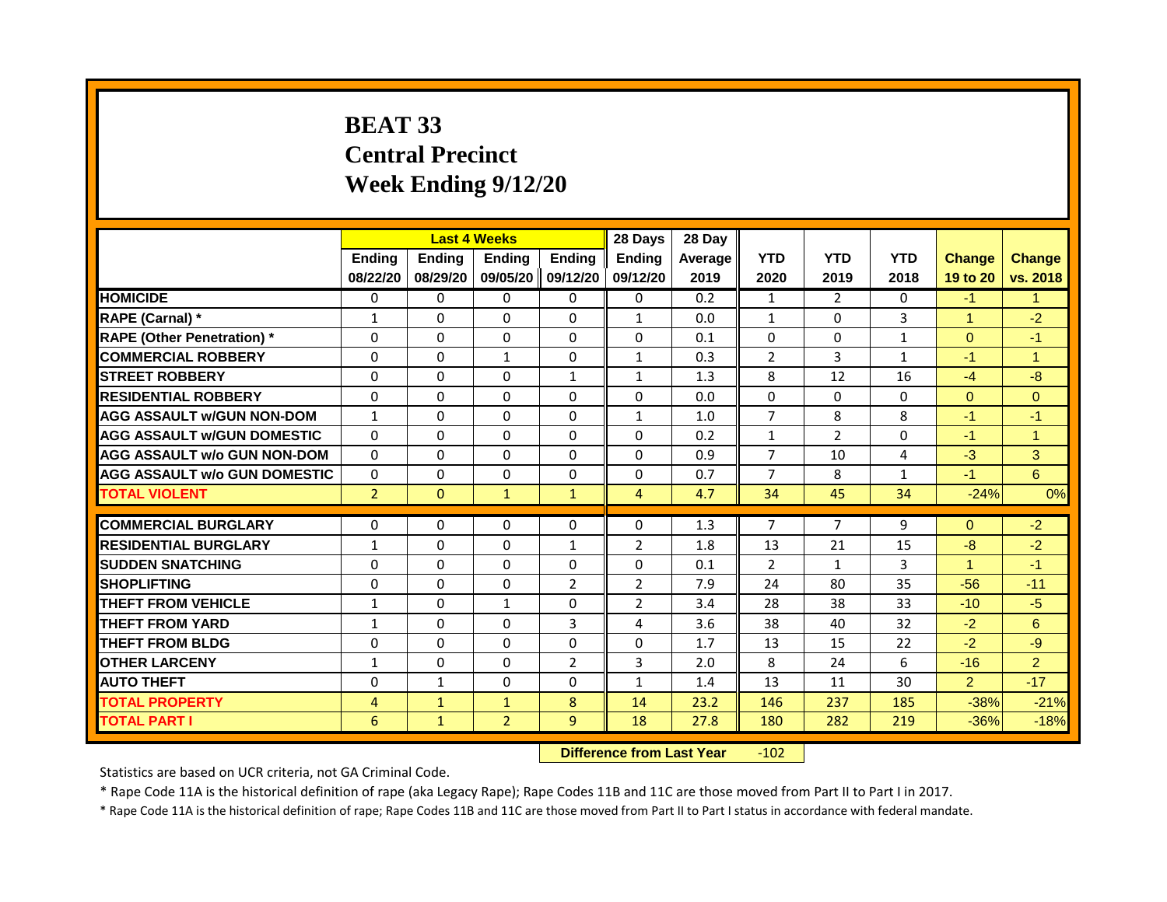# **BEAT 33 Central Precinct Week Ending 9/12/20**

|                                     | <b>Last 4 Weeks</b>      |              |                                  | 28 Days        | 28 Day         |         |                |                |              |                |                |
|-------------------------------------|--------------------------|--------------|----------------------------------|----------------|----------------|---------|----------------|----------------|--------------|----------------|----------------|
|                                     | Ending                   | Ending       | Ending                           | Ending         | <b>Ending</b>  | Average | <b>YTD</b>     | <b>YTD</b>     | <b>YTD</b>   | <b>Change</b>  | <b>Change</b>  |
|                                     | 08/22/20                 | 08/29/20     | 09/05/20                         | 09/12/20       | 09/12/20       | 2019    | 2020           | 2019           | 2018         | 19 to 20       | vs. 2018       |
| <b>HOMICIDE</b>                     | 0                        | 0            | 0                                | 0              | 0              | 0.2     | 1              | $\overline{2}$ | 0            | $-1$           | $\mathbf{1}$   |
| <b>RAPE (Carnal) *</b>              | 1                        | $\mathbf{0}$ | $\Omega$                         | $\Omega$       | $\mathbf{1}$   | 0.0     | $\mathbf{1}$   | $\Omega$       | 3            | $\mathbf{1}$   | $-2$           |
| <b>RAPE (Other Penetration)</b> *   | $\Omega$                 | $\mathbf{0}$ | $\Omega$                         | $\Omega$       | $\Omega$       | 0.1     | $\Omega$       | $\Omega$       | $\mathbf{1}$ | $\Omega$       | $-1$           |
| <b>COMMERCIAL ROBBERY</b>           | 0                        | 0            | 1                                | 0              | 1              | 0.3     | $\overline{2}$ | 3              | 1            | $-1$           | $\mathbf{1}$   |
| <b>STREET ROBBERY</b>               | $\Omega$                 | $\Omega$     | $\Omega$                         | $\mathbf{1}$   | $\mathbf{1}$   | 1.3     | 8              | 12             | 16           | $-4$           | $-8$           |
| <b>RESIDENTIAL ROBBERY</b>          | $\mathbf 0$              | 0            | 0                                | 0              | 0              | 0.0     | $\mathbf 0$    | $\mathbf 0$    | 0            | $\mathbf{0}$   | $\overline{0}$ |
| <b>AGG ASSAULT w/GUN NON-DOM</b>    | $\mathbf{1}$             | $\mathbf{0}$ | $\Omega$                         | $\Omega$       | $\mathbf{1}$   | 1.0     | $\overline{7}$ | 8              | 8            | $-1$           | $-1$           |
| <b>AGG ASSAULT w/GUN DOMESTIC</b>   | $\Omega$                 | $\Omega$     | 0                                | $\Omega$       | 0              | 0.2     | $\mathbf{1}$   | 2              | 0            | $-1$           | $\mathbf{1}$   |
| <b>AGG ASSAULT w/o GUN NON-DOM</b>  | $\Omega$                 | $\mathbf 0$  | $\Omega$                         | 0              | 0              | 0.9     | $\overline{7}$ | 10             | 4            | $-3$           | 3              |
| <b>AGG ASSAULT w/o GUN DOMESTIC</b> | $\Omega$                 | 0            | 0                                | 0              | 0              | 0.7     | $\overline{7}$ | 8              | 1            | $-1$           | 6              |
| <b>TOTAL VIOLENT</b>                | $\overline{2}$           | $\mathbf{0}$ | $\mathbf{1}$                     | $\mathbf{1}$   | $\overline{4}$ | 4.7     | 34             | 45             | 34           | $-24%$         | 0%             |
| <b>COMMERCIAL BURGLARY</b>          | 0                        | 0            | 0                                | 0              | 0              | 1.3     | 7              | $\overline{7}$ | 9            | $\overline{0}$ | $-2$           |
| <b>RESIDENTIAL BURGLARY</b>         |                          | $\Omega$     | $\Omega$                         | $\mathbf{1}$   | $\overline{2}$ | 1.8     | 13             | 21             | 15           | $-8$           | $-2$           |
| <b>SUDDEN SNATCHING</b>             | $\mathbf{1}$<br>$\Omega$ | $\Omega$     | $\Omega$                         | $\Omega$       | $\Omega$       | 0.1     | $\overline{2}$ | $\mathbf{1}$   | 3            | $\mathbf{1}$   | $-1$           |
|                                     |                          |              |                                  |                |                |         |                |                |              |                |                |
| <b>SHOPLIFTING</b>                  | $\mathbf{0}$             | $\mathbf{0}$ | $\Omega$                         | 2              | $\overline{2}$ | 7.9     | 24             | 80             | 35           | $-56$          | $-11$          |
| <b>THEFT FROM VEHICLE</b>           | $\mathbf{1}$             | $\mathbf{0}$ | $\mathbf{1}$                     | $\mathbf{0}$   | $\overline{2}$ | 3.4     | 28             | 38             | 33           | $-10$          | $-5$           |
| <b>THEFT FROM YARD</b>              | $\mathbf{1}$             | $\mathbf{0}$ | $\Omega$                         | 3              | 4              | 3.6     | 38             | 40             | 32           | $-2$           | 6              |
| <b>THEFT FROM BLDG</b>              | $\mathbf{0}$             | $\mathbf{0}$ | $\Omega$                         | $\Omega$       | $\Omega$       | 1.7     | 13             | 15             | 22           | $-2$           | $-9$           |
| <b>OTHER LARCENY</b>                | $\mathbf{1}$             | $\Omega$     | $\Omega$                         | $\overline{2}$ | 3              | 2.0     | 8              | 24             | 6            | $-16$          | $\overline{2}$ |
| <b>AUTO THEFT</b>                   | $\mathbf 0$              | $\mathbf{1}$ | 0                                | $\mathbf 0$    | $\mathbf{1}$   | 1.4     | 13             | 11             | 30           | $\overline{2}$ | $-17$          |
| <b>TOTAL PROPERTY</b>               | $\overline{4}$           | $\mathbf{1}$ | $\mathbf{1}$                     | 8              | 14             | 23.2    | 146            | 237            | 185          | $-38%$         | $-21%$         |
| <b>TOTAL PART I</b>                 | 6                        | $\mathbf{1}$ | $\overline{2}$                   | 9              | 18             | 27.8    | 180            | 282            | 219          | $-36%$         | $-18%$         |
|                                     |                          |              | <b>Difference from Last Year</b> |                | $-102$         |         |                |                |              |                |                |

Statistics are based on UCR criteria, not GA Criminal Code.

\* Rape Code 11A is the historical definition of rape (aka Legacy Rape); Rape Codes 11B and 11C are those moved from Part II to Part I in 2017.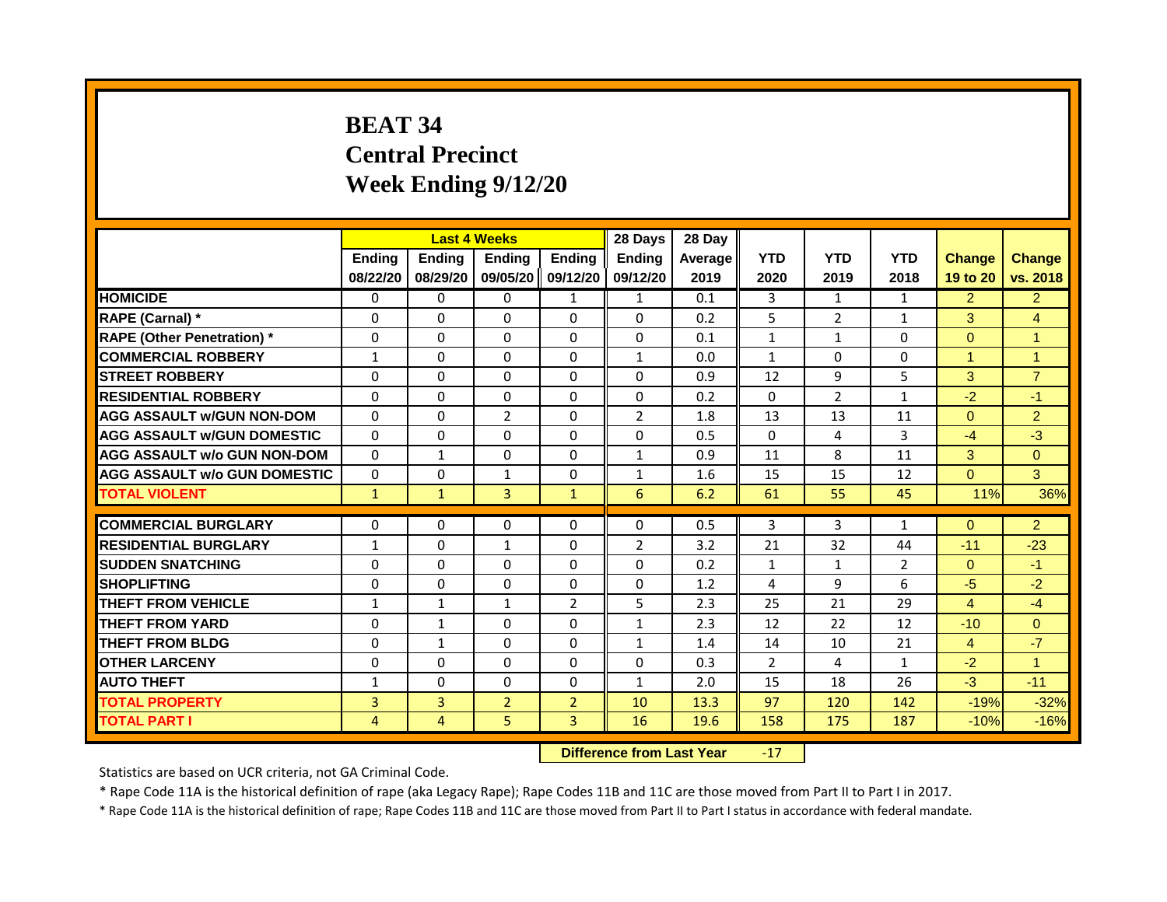# **BEAT 34 Central Precinct Week Ending 9/12/20**

|                                     | <b>Last 4 Weeks</b><br>Ending<br>Ending<br><b>Ending</b> |                |                | 28 Days        | 28 Day                    |         |              |                |                |                |                      |
|-------------------------------------|----------------------------------------------------------|----------------|----------------|----------------|---------------------------|---------|--------------|----------------|----------------|----------------|----------------------|
|                                     |                                                          |                |                | Ending         | Ending                    | Average | <b>YTD</b>   | <b>YTD</b>     | <b>YTD</b>     | <b>Change</b>  | Change               |
|                                     | 08/22/20                                                 | 08/29/20       | 09/05/20       | 09/12/20       | 09/12/20                  | 2019    | 2020         | 2019           | 2018           | 19 to 20       | vs. 2018             |
| <b>HOMICIDE</b>                     | 0                                                        | $\Omega$       | $\Omega$       | $\mathbf{1}$   | $\mathbf{1}$              | 0.1     | 3            | $\mathbf{1}$   | $\mathbf{1}$   | 2              | 2 <sup>2</sup>       |
| RAPE (Carnal) *                     | 0                                                        | $\Omega$       | 0              | $\Omega$       | $\Omega$                  | 0.2     | 5            | $\overline{2}$ | $\mathbf{1}$   | 3 <sup>1</sup> | $\overline{4}$       |
| <b>RAPE (Other Penetration) *</b>   | $\Omega$                                                 | $\Omega$       | $\Omega$       | $\Omega$       | $\Omega$                  | 0.1     | $\mathbf{1}$ | $\mathbf{1}$   | $\Omega$       | $\Omega$       | $\blacktriangleleft$ |
| <b>COMMERCIAL ROBBERY</b>           | $\mathbf{1}$                                             | $\Omega$       | $\Omega$       | $\Omega$       | $\mathbf{1}$              | 0.0     | $\mathbf{1}$ | $\mathbf{0}$   | $\Omega$       | $\overline{1}$ | $\overline{1}$       |
| <b>STREET ROBBERY</b>               | $\Omega$                                                 | $\Omega$       | $\Omega$       | $\Omega$       | $\Omega$                  | 0.9     | 12           | 9              | 5              | 3              | $\overline{7}$       |
| <b>RESIDENTIAL ROBBERY</b>          | 0                                                        | 0              | $\mathbf{0}$   | 0              | $\Omega$                  | 0.2     | $\mathbf{0}$ | $\overline{2}$ | $\mathbf{1}$   | $-2$           | $-1$                 |
| <b>AGG ASSAULT w/GUN NON-DOM</b>    | $\Omega$                                                 | $\Omega$       | $\overline{2}$ | $\Omega$       | $\overline{2}$            | 1.8     | 13           | 13             | 11             | $\Omega$       | 2 <sup>2</sup>       |
| <b>AGG ASSAULT W/GUN DOMESTIC</b>   | $\Omega$                                                 | $\Omega$       | $\Omega$       | $\Omega$       | $\Omega$                  | 0.5     | $\Omega$     | 4              | 3              | $-4$           | $-3$                 |
| <b>AGG ASSAULT w/o GUN NON-DOM</b>  | $\Omega$                                                 | $\mathbf{1}$   | $\Omega$       | $\Omega$       | $\mathbf{1}$              | 0.9     | 11           | 8              | 11             | $\mathbf{3}$   | $\Omega$             |
| <b>AGG ASSAULT w/o GUN DOMESTIC</b> | $\Omega$                                                 | 0              | $\mathbf{1}$   | 0              | $\mathbf{1}$              | 1.6     | 15           | 15             | 12             | $\Omega$       | 3                    |
| <b>TOTAL VIOLENT</b>                | $\mathbf{1}$                                             | $\mathbf{1}$   | $\overline{3}$ | $\mathbf{1}$   | 6                         | 6.2     | 61           | 55             | 45             | 11%            | 36%                  |
| <b>COMMERCIAL BURGLARY</b>          | $\Omega$                                                 | $\Omega$       | $\Omega$       | $\Omega$       | 0                         | 0.5     | 3            | $\overline{3}$ | $\mathbf{1}$   | $\Omega$       | 2 <sup>2</sup>       |
| <b>RESIDENTIAL BURGLARY</b>         | 1                                                        | $\Omega$       | 1              | 0              | $\overline{2}$            | 3.2     | 21           | 32             | 44             | $-11$          | $-23$                |
| <b>SUDDEN SNATCHING</b>             | $\Omega$                                                 | $\Omega$       | $\Omega$       | $\Omega$       | 0                         | 0.2     | $\mathbf{1}$ | $\mathbf{1}$   | $\overline{2}$ | $\Omega$       | $-1$                 |
| <b>SHOPLIFTING</b>                  | $\Omega$                                                 | $\Omega$       | 0              | $\Omega$       | $\Omega$                  | 1.2     | 4            | 9              | 6              | $-5$           | $-2$                 |
| <b>THEFT FROM VEHICLE</b>           | $\mathbf{1}$                                             | $\mathbf{1}$   | $\mathbf{1}$   | $\overline{2}$ | 5                         | 2.3     | 25           | 21             | 29             | $\overline{4}$ | $-4$                 |
| <b>THEFT FROM YARD</b>              | 0                                                        | $\mathbf{1}$   | $\Omega$       | $\Omega$       | $\mathbf{1}$              | 2.3     | 12           | 22             | 12             | $-10$          | $\Omega$             |
| <b>THEFT FROM BLDG</b>              | $\Omega$                                                 | $\mathbf{1}$   | 0              | $\Omega$       | $\mathbf{1}$              | 1.4     | 14           | 10             | 21             | $\overline{4}$ | $-7$                 |
| <b>OTHER LARCENY</b>                | $\Omega$                                                 | $\Omega$       | $\Omega$       | $\Omega$       | $\Omega$                  | 0.3     | 2            | 4              | 1              | $-2$           | $\blacktriangleleft$ |
| <b>AUTO THEFT</b>                   | $\mathbf{1}$                                             | $\Omega$       | $\Omega$       | $\Omega$       | $\mathbf{1}$              | 2.0     | 15           | 18             | 26             | $-3$           | $-11$                |
| <b>TOTAL PROPERTY</b>               | 3                                                        | $\overline{3}$ | $\overline{2}$ | 2 <sup>1</sup> | 10                        | 13.3    | 97           | 120            | 142            | $-19%$         | $-32%$               |
| <b>TOTAL PART I</b>                 | 4                                                        | 4              | 5              | $\overline{3}$ | 16                        | 19.6    | 158          | 175            | 187            | $-10%$         | $-16%$               |
|                                     |                                                          |                |                |                | Difference from Loot Vear |         | 17           |                |                |                |                      |

**Difference from Last Year** -17

Statistics are based on UCR criteria, not GA Criminal Code.

\* Rape Code 11A is the historical definition of rape (aka Legacy Rape); Rape Codes 11B and 11C are those moved from Part II to Part I in 2017.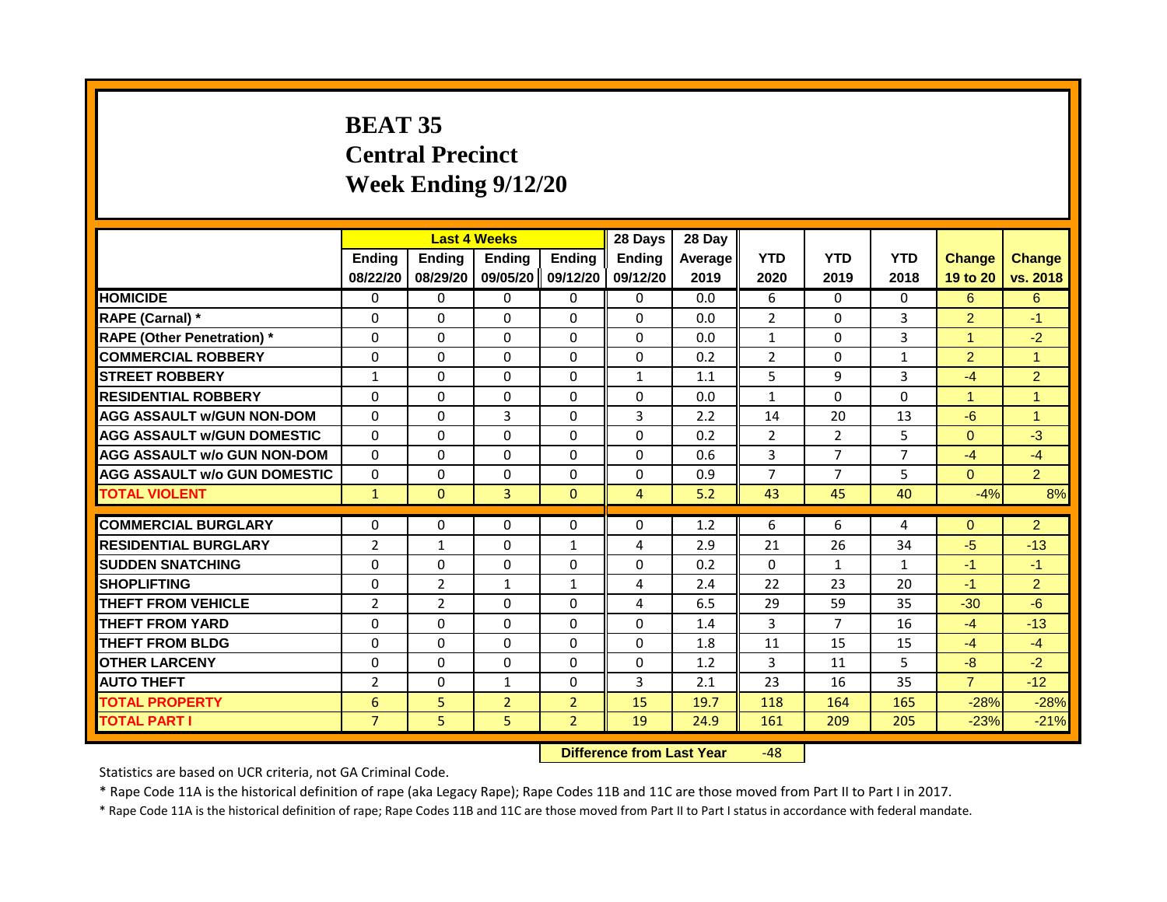# **BEAT 35 Central Precinct Week Ending 9/12/20**

|                                     | <b>Last 4 Weeks</b> |                                  |                | 28 Days           | 28 Day         |         |                |                |                |                |                      |
|-------------------------------------|---------------------|----------------------------------|----------------|-------------------|----------------|---------|----------------|----------------|----------------|----------------|----------------------|
|                                     | <b>Ending</b>       | Ending                           | <b>Ending</b>  | <b>Ending</b>     | <b>Endina</b>  | Average | <b>YTD</b>     | <b>YTD</b>     | <b>YTD</b>     | <b>Change</b>  | <b>Change</b>        |
|                                     | 08/22/20            | 08/29/20                         |                | 09/05/20 09/12/20 | 09/12/20       | 2019    | 2020           | 2019           | 2018           | 19 to 20       | vs. 2018             |
| <b>HOMICIDE</b>                     | 0                   | 0                                | $\mathbf{0}$   | 0                 | 0              | 0.0     | 6              | $\Omega$       | $\mathbf{0}$   | 6              | 6                    |
| RAPE (Carnal) *                     | 0                   | $\Omega$                         | 0              | $\Omega$          | $\Omega$       | 0.0     | $\overline{2}$ | $\Omega$       | 3              | $\overline{2}$ | $-1$                 |
| <b>RAPE (Other Penetration)</b> *   | $\Omega$            | $\Omega$                         | $\Omega$       | $\Omega$          | $\Omega$       | 0.0     | $\mathbf{1}$   | $\Omega$       | 3              | $\overline{1}$ | $-2$                 |
| <b>COMMERCIAL ROBBERY</b>           | $\Omega$            | $\Omega$                         | $\Omega$       | $\Omega$          | $\Omega$       | 0.2     | $\overline{2}$ | $\Omega$       | 1              | $\overline{2}$ | $\blacktriangleleft$ |
| <b>STREET ROBBERY</b>               | 1                   | $\Omega$                         | 0              | $\Omega$          | $\mathbf{1}$   | 1.1     | 5              | 9              | 3              | $-4$           | $\overline{2}$       |
| <b>RESIDENTIAL ROBBERY</b>          | $\Omega$            | $\Omega$                         | $\Omega$       | $\Omega$          | $\Omega$       | 0.0     | $\mathbf{1}$   | $\Omega$       | $\Omega$       | $\overline{1}$ | $\blacktriangleleft$ |
| <b>AGG ASSAULT w/GUN NON-DOM</b>    | $\Omega$            | $\Omega$                         | 3              | $\Omega$          | 3              | 2.2     | 14             | 20             | 13             | $-6$           | $\blacktriangleleft$ |
| <b>AGG ASSAULT W/GUN DOMESTIC</b>   | $\Omega$            | $\Omega$                         | $\Omega$       | $\Omega$          | $\Omega$       | 0.2     | 2              | $\overline{2}$ | 5              | $\Omega$       | $-3$                 |
| <b>AGG ASSAULT w/o GUN NON-DOM</b>  | $\Omega$            | $\Omega$                         | 0              | $\Omega$          | $\Omega$       | 0.6     | 3              | $\overline{7}$ | $\overline{7}$ | $-4$           | $-4$                 |
| <b>AGG ASSAULT w/o GUN DOMESTIC</b> | $\Omega$            | $\Omega$                         | 0              | $\Omega$          | $\Omega$       | 0.9     | $\overline{7}$ | $\overline{7}$ | 5              | $\Omega$       | 2 <sup>1</sup>       |
| <b>TOTAL VIOLENT</b>                | $\mathbf{1}$        | $\Omega$                         | $\overline{3}$ | $\mathbf{0}$      | $\overline{4}$ | 5.2     | 43             | 45             | 40             | $-4%$          | 8%                   |
|                                     |                     |                                  |                |                   |                |         |                |                |                |                |                      |
| <b>COMMERCIAL BURGLARY</b>          | $\Omega$            | $\Omega$                         | $\Omega$       | $\Omega$          | $\Omega$       | 1.2     | 6              | 6              | 4              | $\Omega$       | 2                    |
| <b>RESIDENTIAL BURGLARY</b>         | $\overline{2}$      | $\mathbf{1}$                     | $\Omega$       | $\mathbf{1}$      | 4              | 2.9     | 21             | 26             | 34             | $-5$           | $-13$                |
| <b>SUDDEN SNATCHING</b>             | $\Omega$            | $\Omega$                         | $\Omega$       | $\Omega$          | 0              | 0.2     | $\Omega$       | $\mathbf{1}$   | $\mathbf{1}$   | $-1$           | $-1$                 |
| <b>SHOPLIFTING</b>                  | $\Omega$            | $\overline{2}$                   | $\mathbf{1}$   | $\mathbf{1}$      | 4              | 2.4     | 22             | 23             | 20             | $-1$           | $\overline{2}$       |
| <b>THEFT FROM VEHICLE</b>           | $\overline{2}$      | $\overline{2}$                   | $\Omega$       | $\Omega$          | 4              | 6.5     | 29             | 59             | 35             | $-30$          | $-6$                 |
| <b>THEFT FROM YARD</b>              | $\Omega$            | $\Omega$                         | $\Omega$       | $\Omega$          | $\Omega$       | 1.4     | 3              | $\overline{7}$ | 16             | $-4$           | $-13$                |
| <b>THEFT FROM BLDG</b>              | $\Omega$            | $\Omega$                         | $\Omega$       | $\Omega$          | $\Omega$       | 1.8     | 11             | 15             | 15             | $-4$           | $-4$                 |
| <b>OTHER LARCENY</b>                | $\Omega$            | $\Omega$                         | 0              | $\Omega$          | 0              | 1.2     | 3              | 11             | 5              | $-8$           | $-2$                 |
| <b>AUTO THEFT</b>                   | $\overline{2}$      | $\Omega$                         | $\mathbf{1}$   | $\Omega$          | 3              | 2.1     | 23             | 16             | 35             | $\overline{7}$ | $-12$                |
| <b>TOTAL PROPERTY</b>               | 6                   | 5                                | $\overline{2}$ | $\overline{2}$    | 15             | 19.7    | 118            | 164            | 165            | $-28%$         | $-28%$               |
| <b>TOTAL PART I</b>                 | $\overline{7}$      | 5                                | 5              | $\overline{2}$    | 19             | 24.9    | 161            | 209            | 205            | $-23%$         | $-21%$               |
|                                     |                     | <b>Difference from Last Year</b> |                | $-48$             |                |         |                |                |                |                |                      |

Statistics are based on UCR criteria, not GA Criminal Code.

\* Rape Code 11A is the historical definition of rape (aka Legacy Rape); Rape Codes 11B and 11C are those moved from Part II to Part I in 2017.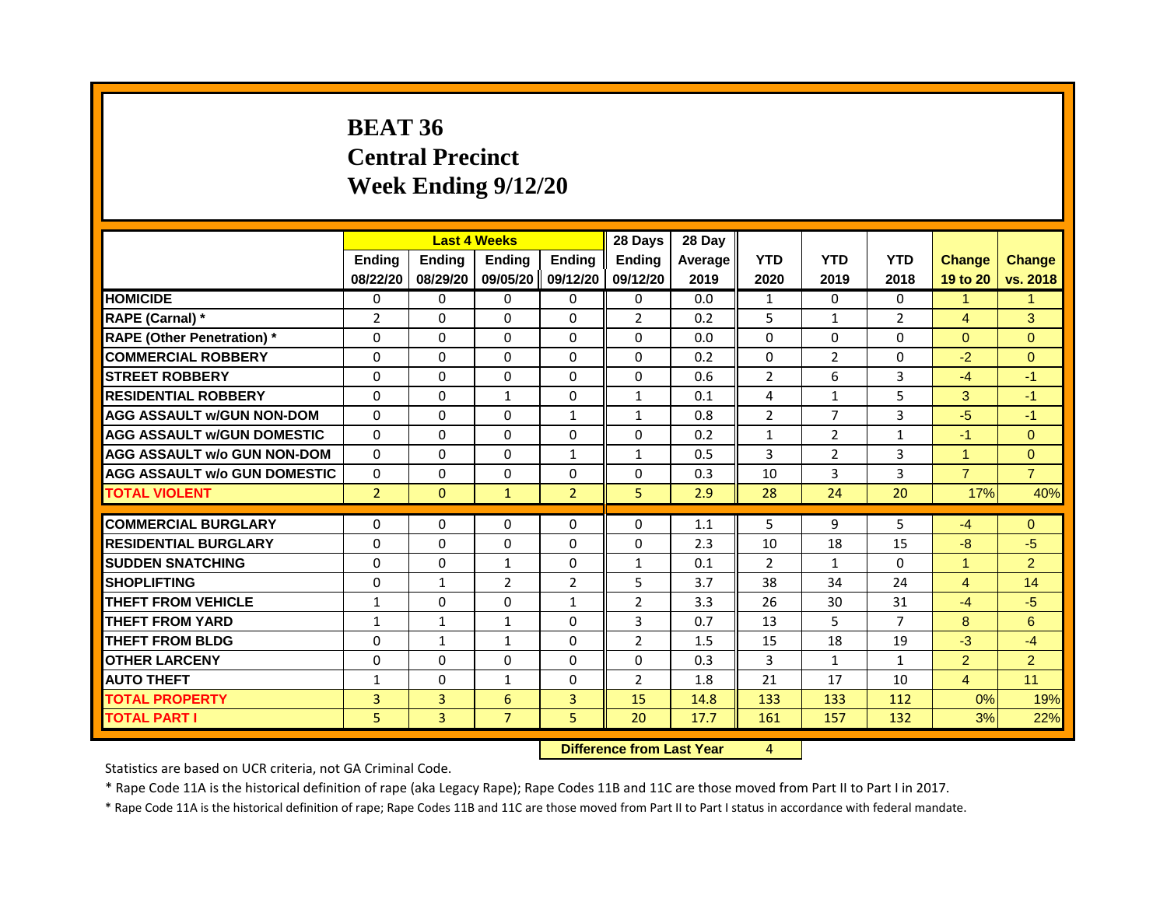# **BEAT 36 Central Precinct Week Ending 9/12/20**

|                                     |                |                | <b>Last 4 Weeks</b> |                | 28 Days        | 28 Day  |                |                |                |                |                 |
|-------------------------------------|----------------|----------------|---------------------|----------------|----------------|---------|----------------|----------------|----------------|----------------|-----------------|
|                                     | <b>Ending</b>  | <b>Ending</b>  | <b>Ending</b>       | <b>Endina</b>  | <b>Endina</b>  | Average | <b>YTD</b>     | <b>YTD</b>     | <b>YTD</b>     | <b>Change</b>  | <b>Change</b>   |
|                                     | 08/22/20       | 08/29/20       | 09/05/20            | 09/12/20       | 09/12/20       | 2019    | 2020           | 2019           | 2018           | 19 to 20       | vs. 2018        |
| <b>HOMICIDE</b>                     | 0              | $\mathbf{0}$   | $\Omega$            | $\Omega$       | 0              | 0.0     | $\mathbf{1}$   | $\Omega$       | $\Omega$       | $\mathbf{1}$   | $\mathbf{1}$    |
| RAPE (Carnal) *                     | 2              | $\Omega$       | $\Omega$            | $\Omega$       | $\overline{2}$ | 0.2     | 5              | $\mathbf{1}$   | $\overline{2}$ | $\overline{4}$ | 3               |
| <b>RAPE (Other Penetration) *</b>   | $\Omega$       | 0              | $\Omega$            | $\Omega$       | $\Omega$       | 0.0     | $\Omega$       | $\Omega$       | 0              | $\Omega$       | $\overline{0}$  |
| <b>COMMERCIAL ROBBERY</b>           | $\Omega$       | $\Omega$       | $\Omega$            | $\Omega$       | $\Omega$       | 0.2     | $\Omega$       | $\overline{2}$ | $\Omega$       | $-2$           | $\overline{0}$  |
| <b>STREET ROBBERY</b>               | $\Omega$       | $\Omega$       | $\Omega$            | $\Omega$       | $\Omega$       | 0.6     | $\overline{2}$ | 6              | $\overline{3}$ | $-4$           | $-1$            |
| <b>RESIDENTIAL ROBBERY</b>          | $\Omega$       | $\Omega$       | $\mathbf{1}$        | $\Omega$       | $\mathbf{1}$   | 0.1     | 4              | $\mathbf{1}$   | 5              | 3              | $-1$            |
| <b>AGG ASSAULT W/GUN NON-DOM</b>    | $\Omega$       | $\Omega$       | $\Omega$            | $\mathbf{1}$   | $\mathbf{1}$   | 0.8     | $\overline{2}$ | $\overline{7}$ | $\overline{3}$ | $-5$           | $-1$            |
| <b>AGG ASSAULT W/GUN DOMESTIC</b>   | $\Omega$       | $\Omega$       | $\Omega$            | $\Omega$       | 0              | 0.2     | 1              | $\overline{2}$ | $\mathbf{1}$   | $-1$           | $\mathbf{0}$    |
| <b>AGG ASSAULT w/o GUN NON-DOM</b>  | $\Omega$       | $\Omega$       | $\Omega$            | $\mathbf{1}$   | $\mathbf{1}$   | 0.5     | 3              | $\overline{2}$ | 3              | 1              | $\overline{0}$  |
| <b>AGG ASSAULT w/o GUN DOMESTIC</b> | $\Omega$       | 0              | 0                   | $\Omega$       | 0              | 0.3     | 10             | 3              | 3              | $\overline{7}$ | $\overline{7}$  |
| <b>TOTAL VIOLENT</b>                | $\overline{2}$ | $\overline{0}$ | $\mathbf{1}$        | $\overline{2}$ | 5              | 2.9     | 28             | 24             | 20             | 17%            | 40%             |
|                                     |                |                |                     |                |                |         |                |                |                |                |                 |
| <b>COMMERCIAL BURGLARY</b>          | 0              | 0              | 0                   | $\mathbf{0}$   | $\Omega$       | 1.1     | 5              | 9              | 5              | $-4$           | $\overline{0}$  |
| <b>RESIDENTIAL BURGLARY</b>         | $\Omega$       | $\Omega$       | $\Omega$            | $\Omega$       | $\Omega$       | 2.3     | 10             | 18             | 15             | $-8$           | $-5$            |
| <b>SUDDEN SNATCHING</b>             | $\Omega$       | 0              | $\mathbf{1}$        | 0              | $\mathbf{1}$   | 0.1     | $\overline{2}$ | $\mathbf{1}$   | $\Omega$       | $\mathbf{1}$   | $\overline{2}$  |
| <b>SHOPLIFTING</b>                  | $\Omega$       | $\mathbf{1}$   | $\overline{2}$      | $\overline{2}$ | 5              | 3.7     | 38             | 34             | 24             | $\overline{4}$ | 14              |
| <b>THEFT FROM VEHICLE</b>           | $\mathbf{1}$   | $\Omega$       | $\Omega$            | $\mathbf{1}$   | $\overline{2}$ | 3.3     | 26             | 30             | 31             | $-4$           | $-5$            |
| <b>THEFT FROM YARD</b>              | 1              | $\mathbf{1}$   | $\mathbf{1}$        | $\Omega$       | 3              | 0.7     | 13             | 5.             | $\overline{7}$ | 8              | $6\overline{6}$ |
| <b>THEFT FROM BLDG</b>              | $\Omega$       | $\mathbf{1}$   | $\mathbf{1}$        | $\Omega$       | $\overline{2}$ | 1.5     | 15             | 18             | 19             | $-3$           | $-4$            |
| <b>OTHER LARCENY</b>                | $\Omega$       | $\Omega$       | $\Omega$            | $\Omega$       | $\Omega$       | 0.3     | 3              | $\mathbf{1}$   | 1              | $\overline{2}$ | $\overline{2}$  |
| <b>AUTO THEFT</b>                   | $\mathbf{1}$   | 0              | $\mathbf{1}$        | $\Omega$       | $\overline{2}$ | 1.8     | 21             | 17             | 10             | $\overline{4}$ | 11              |
| <b>TOTAL PROPERTY</b>               | 3              | 3              | 6                   | $\overline{3}$ | 15             | 14.8    | 133            | 133            | 112            | 0%             | 19%             |
| <b>TOTAL PART I</b>                 | 5              | $\overline{3}$ | $\overline{7}$      | 5              | 20             | 17.7    | 161            | 157            | 132            | 3%             | 22%             |

**Difference from Last Year** 4

Statistics are based on UCR criteria, not GA Criminal Code.

\* Rape Code 11A is the historical definition of rape (aka Legacy Rape); Rape Codes 11B and 11C are those moved from Part II to Part I in 2017.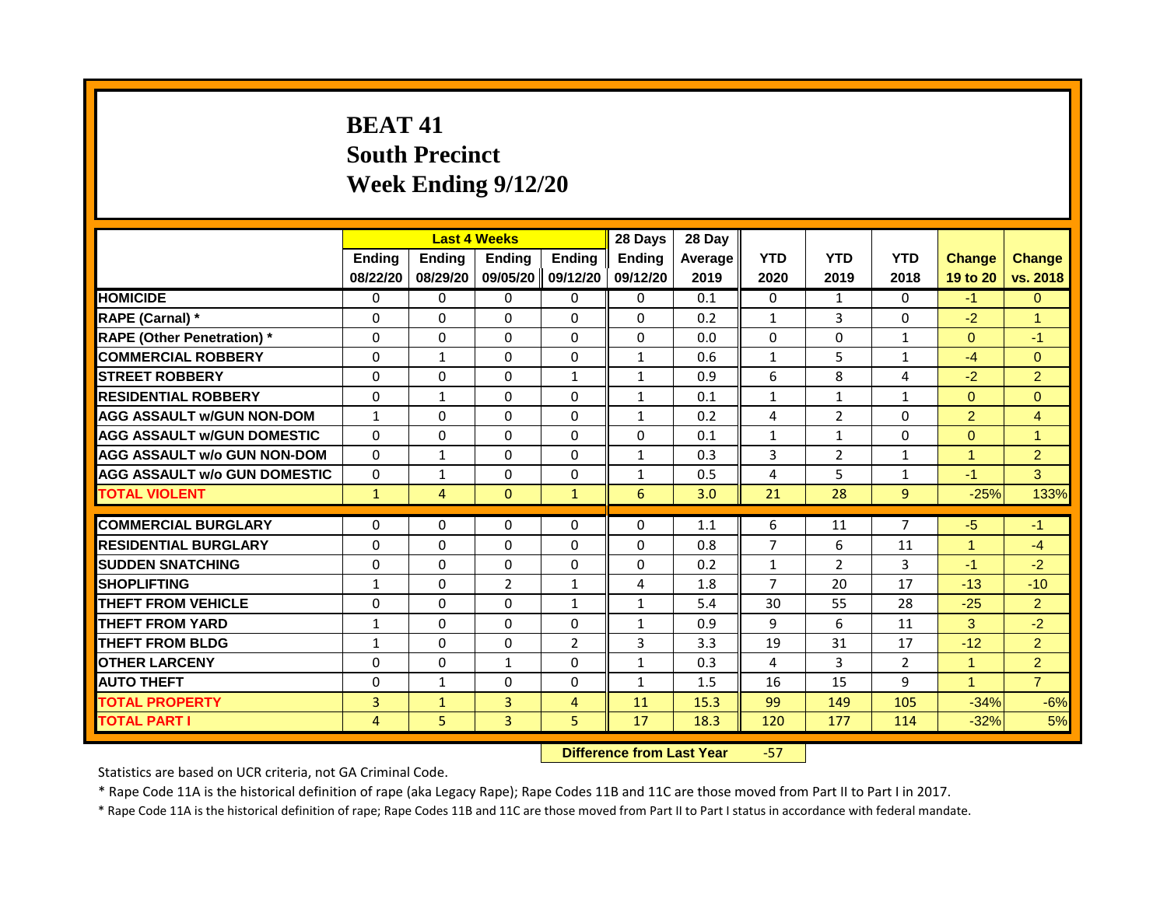# **BEAT 41 South Precinct Week Ending 9/12/20**

|                                     | <b>Last 4 Weeks</b> |                |                                  | 28 Days        | 28 Day        |         |                |                |                |                      |                |
|-------------------------------------|---------------------|----------------|----------------------------------|----------------|---------------|---------|----------------|----------------|----------------|----------------------|----------------|
|                                     | <b>Ending</b>       | <b>Ending</b>  | <b>Ending</b>                    | <b>Ending</b>  | <b>Endina</b> | Average | <b>YTD</b>     | <b>YTD</b>     | <b>YTD</b>     | <b>Change</b>        | <b>Change</b>  |
|                                     | 08/22/20            | 08/29/20       | 09/05/20 09/12/20                |                | 09/12/20      | 2019    | 2020           | 2019           | 2018           | 19 to 20             | vs. 2018       |
| <b>HOMICIDE</b>                     | 0                   | $\Omega$       | $\mathbf{0}$                     | $\mathbf{0}$   | 0             | 0.1     | 0              | $\mathbf{1}$   | $\mathbf{0}$   | $-1$                 | $\Omega$       |
| RAPE (Carnal) *                     | 0                   | $\mathbf{0}$   | $\Omega$                         | $\Omega$       | $\Omega$      | 0.2     | $\mathbf{1}$   | 3              | $\Omega$       | $-2$                 | $\overline{1}$ |
| <b>RAPE (Other Penetration) *</b>   | $\Omega$            | $\mathbf{0}$   | $\Omega$                         | $\Omega$       | $\Omega$      | 0.0     | $\Omega$       | $\Omega$       | $\mathbf{1}$   | $\Omega$             | $-1$           |
| <b>COMMERCIAL ROBBERY</b>           | $\Omega$            | $\mathbf{1}$   | $\Omega$                         | $\Omega$       | $\mathbf{1}$  | 0.6     | $\mathbf{1}$   | 5              | 1              | $-4$                 | $\Omega$       |
| <b>STREET ROBBERY</b>               | $\Omega$            | $\Omega$       | $\Omega$                         | $\mathbf{1}$   | $\mathbf{1}$  | 0.9     | 6              | 8              | 4              | $-2$                 | $\overline{2}$ |
| <b>RESIDENTIAL ROBBERY</b>          | $\Omega$            | $\mathbf{1}$   | $\Omega$                         | $\Omega$       | 1             | 0.1     | $\mathbf{1}$   | $\mathbf{1}$   | 1              | $\Omega$             | $\Omega$       |
| <b>AGG ASSAULT w/GUN NON-DOM</b>    | $\mathbf{1}$        | $\mathbf{0}$   | $\Omega$                         | $\Omega$       | $\mathbf{1}$  | 0.2     | 4              | $\overline{2}$ | $\Omega$       | $\overline{2}$       | $\overline{4}$ |
| <b>AGG ASSAULT W/GUN DOMESTIC</b>   | $\Omega$            | $\Omega$       | $\Omega$                         | $\Omega$       | $\Omega$      | 0.1     | $\mathbf{1}$   | $\mathbf{1}$   | $\Omega$       | $\Omega$             | $\mathbf{1}$   |
| <b>AGG ASSAULT w/o GUN NON-DOM</b>  | $\Omega$            | $\mathbf{1}$   | $\Omega$                         | $\Omega$       | $\mathbf{1}$  | 0.3     | $\overline{3}$ | $\overline{2}$ | $\mathbf{1}$   | $\mathbf{1}$         | $\overline{2}$ |
| <b>AGG ASSAULT W/o GUN DOMESTIC</b> | $\Omega$            | $\mathbf{1}$   | $\Omega$                         | $\Omega$       | $\mathbf{1}$  | 0.5     | 4              | 5              | $\mathbf{1}$   | $-1$                 | 3              |
| <b>TOTAL VIOLENT</b>                | $\mathbf{1}$        | $\overline{4}$ | $\mathbf{0}$                     | $\mathbf{1}$   | 6             | 3.0     | 21             | 28             | $\overline{9}$ | $-25%$               | 133%           |
|                                     |                     |                |                                  |                |               |         |                |                |                |                      |                |
| <b>COMMERCIAL BURGLARY</b>          | $\Omega$            | $\Omega$       | $\Omega$                         | $\Omega$       | $\Omega$      | 1.1     | 6              | 11             | $\overline{7}$ | $-5$                 | $-1$           |
| <b>RESIDENTIAL BURGLARY</b>         | $\Omega$            | $\Omega$       | $\Omega$                         | $\Omega$       | $\Omega$      | 0.8     | $\overline{7}$ | 6              | 11             | $\overline{1}$       | $-4$           |
| <b>SUDDEN SNATCHING</b>             | $\Omega$            | $\Omega$       | $\Omega$                         | $\Omega$       | $\Omega$      | 0.2     | $\mathbf{1}$   | $\overline{2}$ | 3              | $-1$                 | $-2$           |
| <b>SHOPLIFTING</b>                  | 1                   | 0              | 2                                | $\mathbf{1}$   | 4             | 1.8     | $\overline{7}$ | 20             | 17             | $-13$                | $-10$          |
| <b>THEFT FROM VEHICLE</b>           | $\Omega$            | $\Omega$       | $\Omega$                         | $\mathbf{1}$   | $\mathbf{1}$  | 5.4     | 30             | 55             | 28             | $-25$                | $\overline{2}$ |
| <b>THEFT FROM YARD</b>              | $\mathbf{1}$        | $\mathbf{0}$   | $\mathbf 0$                      | $\Omega$       | $\mathbf{1}$  | 0.9     | 9              | 6              | 11             | $\mathbf{3}$         | $-2$           |
| <b>THEFT FROM BLDG</b>              | $\mathbf{1}$        | $\Omega$       | $\Omega$                         | $\overline{2}$ | 3             | 3.3     | 19             | 31             | 17             | $-12$                | 2              |
| <b>OTHER LARCENY</b>                | 0                   | $\Omega$       | $\mathbf{1}$                     | $\Omega$       | $\mathbf{1}$  | 0.3     | 4              | 3              | $\overline{2}$ | $\blacktriangleleft$ | 2 <sup>1</sup> |
| <b>AUTO THEFT</b>                   | $\Omega$            | $\mathbf{1}$   | $\Omega$                         | $\Omega$       | $\mathbf{1}$  | 1.5     | 16             | 15             | 9              | $\overline{1}$       | $\overline{7}$ |
| <b>TOTAL PROPERTY</b>               | $\overline{3}$      | $\mathbf{1}$   | 3                                | $\overline{4}$ | 11            | 15.3    | 99             | 149            | 105            | $-34%$               | $-6%$          |
| <b>TOTAL PART I</b>                 | $\overline{4}$      | 5              | $\mathbf{3}$                     | 5              | 17            | 18.3    | 120            | 177            | 114            | $-32%$               | 5%             |
|                                     |                     |                | <b>Difference from Last Year</b> |                | $-57$         |         |                |                |                |                      |                |

Statistics are based on UCR criteria, not GA Criminal Code.

\* Rape Code 11A is the historical definition of rape (aka Legacy Rape); Rape Codes 11B and 11C are those moved from Part II to Part I in 2017.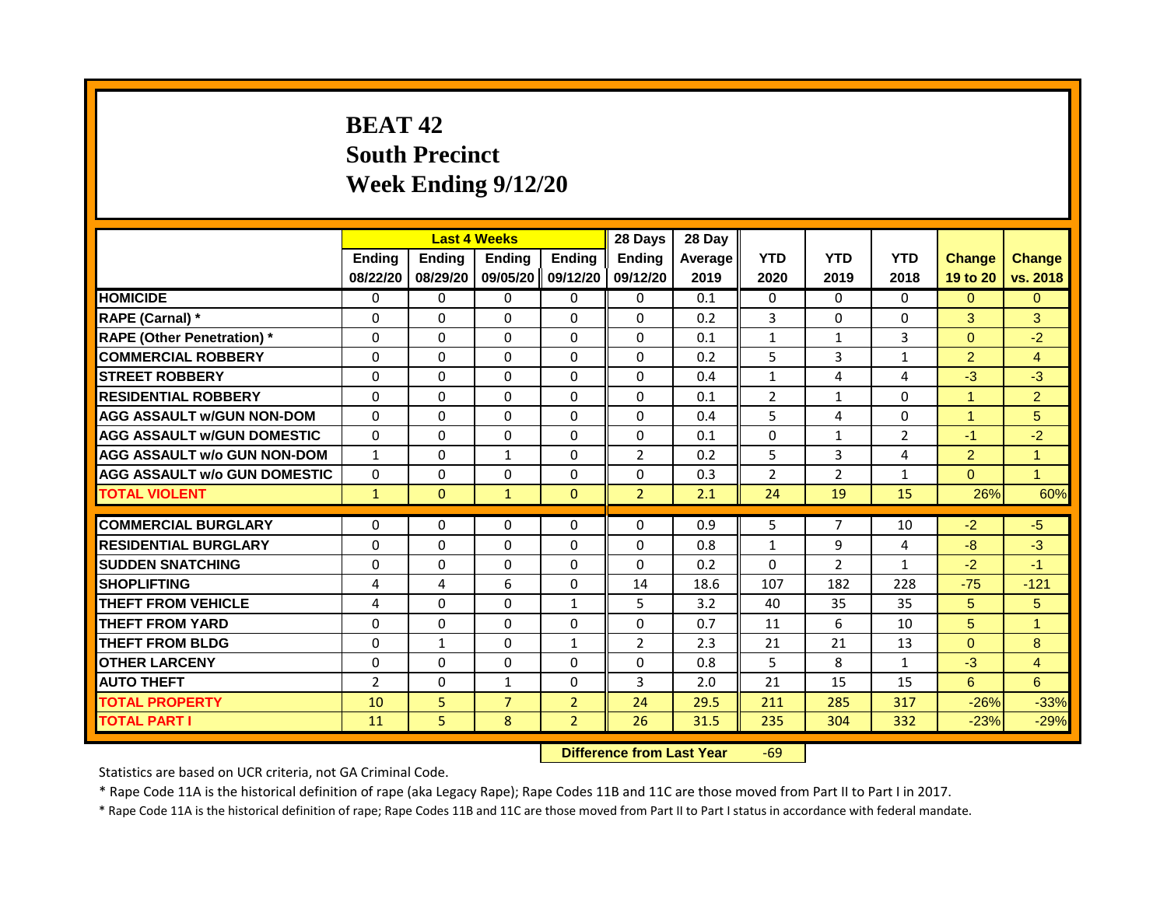# **BEAT 42 South Precinct Week Ending 9/12/20**

|                                     |                |                | <b>Last 4 Weeks</b> |                | 28 Days                   | 28 Day  |                                           |                |                |                |                |
|-------------------------------------|----------------|----------------|---------------------|----------------|---------------------------|---------|-------------------------------------------|----------------|----------------|----------------|----------------|
|                                     | <b>Ending</b>  | Ending         | Ending              | <b>Ending</b>  | <b>Endina</b>             | Average | <b>YTD</b>                                | <b>YTD</b>     | <b>YTD</b>     | <b>Change</b>  | <b>Change</b>  |
|                                     | 08/22/20       | 08/29/20       | 09/05/20            | 09/12/20       | 09/12/20                  | 2019    | 2020                                      | 2019           | 2018           | 19 to 20       | vs. 2018       |
| <b>HOMICIDE</b>                     | 0              | $\mathbf{0}$   | $\mathbf{0}$        | $\Omega$       | $\Omega$                  | 0.1     | 0                                         | $\Omega$       | $\Omega$       | $\Omega$       | $\Omega$       |
| RAPE (Carnal) *                     | $\Omega$       | $\Omega$       | $\Omega$            | $\Omega$       | $\Omega$                  | 0.2     | 3                                         | $\Omega$       | 0              | 3              | 3              |
| <b>RAPE (Other Penetration)</b> *   | $\Omega$       | $\Omega$       | $\Omega$            | $\Omega$       | $\Omega$                  | 0.1     | $\mathbf{1}$                              | $\mathbf{1}$   | 3              | $\mathbf{0}$   | $-2$           |
| <b>COMMERCIAL ROBBERY</b>           | $\Omega$       | $\Omega$       | $\Omega$            | $\Omega$       | $\Omega$                  | 0.2     | 5                                         | $\overline{3}$ | $\mathbf{1}$   | $\overline{2}$ | $\overline{4}$ |
| <b>STREET ROBBERY</b>               | $\Omega$       | $\Omega$       | $\Omega$            | $\Omega$       | $\Omega$                  | 0.4     | $\mathbf{1}$                              | 4              | 4              | $-3$           | $-3$           |
| <b>RESIDENTIAL ROBBERY</b>          | $\Omega$       | $\Omega$       | $\Omega$            | $\Omega$       | $\Omega$                  | 0.1     | $\overline{2}$                            | $\mathbf{1}$   | $\Omega$       | $\mathbf{1}$   | $\overline{2}$ |
| <b>AGG ASSAULT W/GUN NON-DOM</b>    | $\Omega$       | $\Omega$       | $\Omega$            | $\Omega$       | $\Omega$                  | 0.4     | 5                                         | 4              | $\Omega$       | $\mathbf{1}$   | 5              |
| <b>AGG ASSAULT w/GUN DOMESTIC</b>   | $\Omega$       | $\Omega$       | $\Omega$            | $\Omega$       | $\Omega$                  | 0.1     | $\Omega$                                  | $\mathbf{1}$   | $\overline{2}$ | $-1$           | $-2$           |
| <b>AGG ASSAULT w/o GUN NON-DOM</b>  | $\mathbf{1}$   | $\Omega$       | $\mathbf{1}$        | $\Omega$       | $\overline{2}$            | 0.2     | 5                                         | $\mathbf{3}$   | 4              | $\overline{2}$ | $\mathbf{1}$   |
| <b>AGG ASSAULT w/o GUN DOMESTIC</b> | $\Omega$       | $\Omega$       | $\Omega$            | $\Omega$       | $\Omega$                  | 0.3     | $\overline{2}$                            | $\overline{2}$ | $\mathbf{1}$   | $\overline{0}$ | $\mathbf{1}$   |
| <b>TOTAL VIOLENT</b>                | $\mathbf{1}$   | $\mathbf{0}$   | $\mathbf{1}$        | $\mathbf{0}$   | $\overline{2}$            | 2.1     | 24                                        | 19             | 15             | 26%            | 60%            |
| <b>COMMERCIAL BURGLARY</b>          | $\Omega$       | $\Omega$       | $\Omega$            | $\Omega$       | $\Omega$                  | 0.9     | 5                                         | $\overline{7}$ | 10             | $-2$           | $-5$           |
| <b>RESIDENTIAL BURGLARY</b>         | $\Omega$       | $\Omega$       | $\Omega$            | $\Omega$       | $\Omega$                  | 0.8     | $\mathbf{1}$                              | 9              | 4              | $-8$           | $-3$           |
| <b>SUDDEN SNATCHING</b>             | $\Omega$       | $\Omega$       | $\Omega$            | $\Omega$       | $\Omega$                  | 0.2     | $\Omega$                                  | $\overline{2}$ | $\mathbf{1}$   | $-2$           | $-1$           |
| <b>SHOPLIFTING</b>                  | 4              | 4              | 6                   | $\Omega$       | 14                        | 18.6    | 107                                       | 182            | 228            | $-75$          | $-121$         |
| <b>THEFT FROM VEHICLE</b>           | 4              | $\Omega$       | $\Omega$            | $\mathbf{1}$   | 5                         | 3.2     | 40                                        | 35             | 35             | 5              | 5              |
| <b>THEFT FROM YARD</b>              | $\Omega$       | $\Omega$       | $\Omega$            | $\Omega$       | $\Omega$                  | 0.7     | 11                                        | 6              | 10             | 5              | $\mathbf{1}$   |
| <b>THEFT FROM BLDG</b>              | $\Omega$       | $\mathbf{1}$   | $\Omega$            | $\mathbf{1}$   | $\overline{2}$            | 2.3     | 21                                        | 21             | 13             | $\mathbf{0}$   | 8              |
| <b>OTHER LARCENY</b>                | $\Omega$       | $\Omega$       | $\Omega$            | $\Omega$       | $\Omega$                  | 0.8     | 5                                         | 8              | $\mathbf{1}$   | $-3$           | $\overline{4}$ |
| <b>AUTO THEFT</b>                   | $\overline{2}$ | $\Omega$       | $\mathbf{1}$        | $\Omega$       | 3                         | 2.0     | 21                                        | 15             | 15             | $6^{\circ}$    | 6              |
| <b>TOTAL PROPERTY</b>               | 10             | 5 <sup>1</sup> | $\overline{7}$      | 2 <sup>1</sup> | 24                        | 29.5    | 211                                       | 285            | 317            | $-26%$         | $-33%$         |
| <b>TOTAL PART I</b>                 | 11             | 5              | 8                   | 2 <sup>1</sup> | 26                        | 31.5    | 235                                       | 304            | 332            | $-23%$         | $-29%$         |
|                                     |                |                |                     |                | Difference from Loot Voor |         | $\epsilon$ <sup><math>\alpha</math></sup> |                |                |                |                |

**Difference from Last Year** -69

Statistics are based on UCR criteria, not GA Criminal Code.

\* Rape Code 11A is the historical definition of rape (aka Legacy Rape); Rape Codes 11B and 11C are those moved from Part II to Part I in 2017.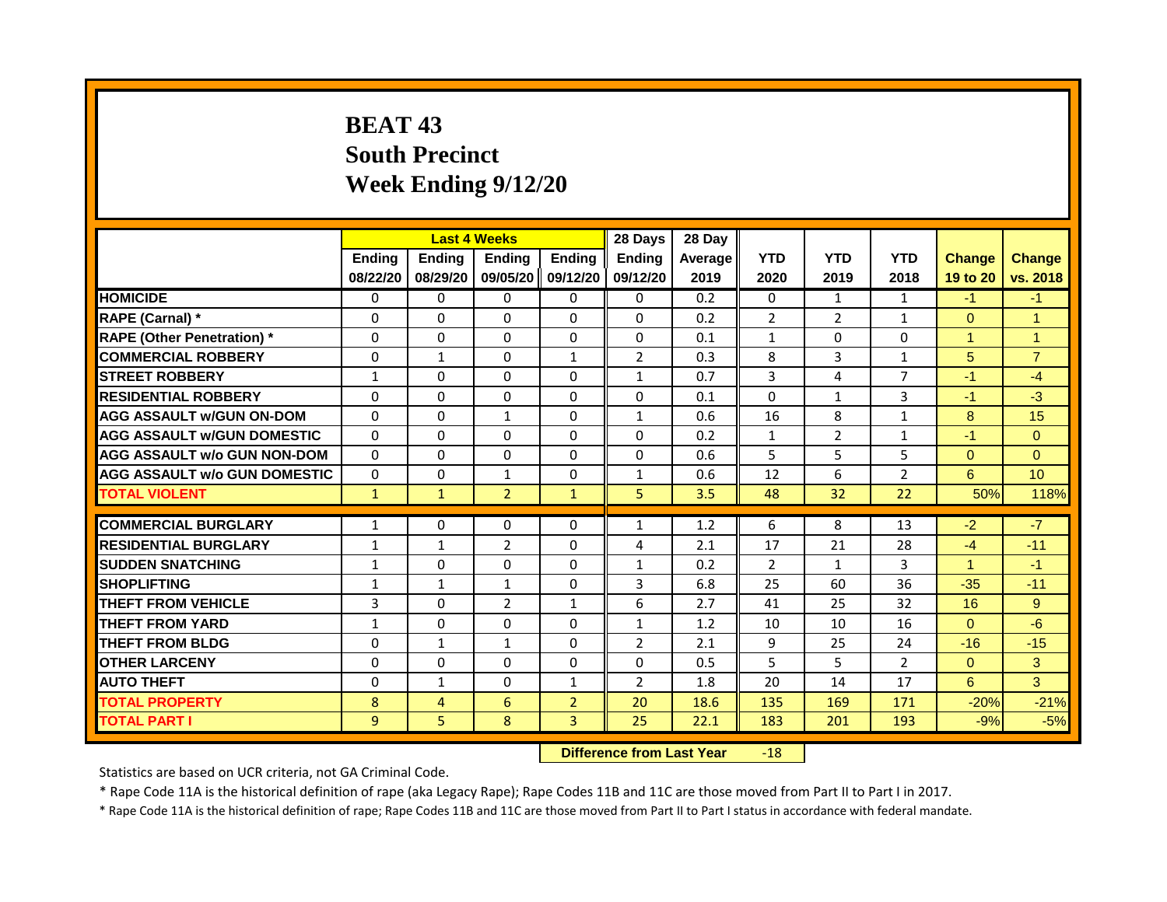# **BEAT 43 South Precinct Week Ending 9/12/20**

|                                     |               |                | <b>Last 4 Weeks</b>              |                   | 28 Days        | 28 Day  |                |                |                |                      |                |
|-------------------------------------|---------------|----------------|----------------------------------|-------------------|----------------|---------|----------------|----------------|----------------|----------------------|----------------|
|                                     | <b>Ending</b> | Ending         | <b>Ending</b>                    | <b>Ending</b>     | <b>Endina</b>  | Average | <b>YTD</b>     | <b>YTD</b>     | <b>YTD</b>     | <b>Change</b>        | <b>Change</b>  |
|                                     | 08/22/20      | 08/29/20       |                                  | 09/05/20 09/12/20 | 09/12/20       | 2019    | 2020           | 2019           | 2018           | 19 to 20             | vs. 2018       |
| <b>HOMICIDE</b>                     | 0             | 0              | $\mathbf{0}$                     | 0                 | 0              | 0.2     | $\mathbf{0}$   | $\mathbf{1}$   | $\mathbf{1}$   | $-1$                 | $-1$           |
| RAPE (Carnal) *                     | 0             | $\Omega$       | 0                                | $\Omega$          | $\Omega$       | 0.2     | $\overline{2}$ | 2              | 1              | $\Omega$             | $\overline{1}$ |
| <b>RAPE (Other Penetration)</b> *   | $\Omega$      | $\Omega$       | $\Omega$                         | $\Omega$          | $\Omega$       | 0.1     | $\mathbf{1}$   | $\Omega$       | $\Omega$       | $\overline{1}$       | $\mathbf{1}$   |
| <b>COMMERCIAL ROBBERY</b>           | $\Omega$      | $\mathbf{1}$   | $\Omega$                         | $\mathbf{1}$      | $\overline{2}$ | 0.3     | 8              | $\overline{3}$ | 1              | 5                    | $\overline{7}$ |
| <b>STREET ROBBERY</b>               | 1             | $\Omega$       | 0                                | $\Omega$          | $\mathbf{1}$   | 0.7     | 3              | 4              | $\overline{7}$ | $-1$                 | $-4$           |
| <b>RESIDENTIAL ROBBERY</b>          | $\Omega$      | $\Omega$       | $\Omega$                         | $\Omega$          | $\Omega$       | 0.1     | $\Omega$       | $\mathbf{1}$   | 3              | $-1$                 | $-3$           |
| <b>AGG ASSAULT w/GUN ON-DOM</b>     | $\Omega$      | $\Omega$       | $\mathbf{1}$                     | $\Omega$          | $\mathbf{1}$   | 0.6     | 16             | 8              | $\mathbf{1}$   | 8                    | 15             |
| <b>AGG ASSAULT W/GUN DOMESTIC</b>   | $\Omega$      | $\Omega$       | $\Omega$                         | $\Omega$          | $\Omega$       | 0.2     | $\mathbf{1}$   | $\overline{2}$ | $\mathbf{1}$   | $-1$                 | $\Omega$       |
| <b>AGG ASSAULT w/o GUN NON-DOM</b>  | $\Omega$      | $\Omega$       | 0                                | $\Omega$          | $\Omega$       | 0.6     | 5              | 5              | 5              | $\Omega$             | $\Omega$       |
| <b>AGG ASSAULT w/o GUN DOMESTIC</b> | $\Omega$      | $\Omega$       | $\mathbf{1}$                     | $\Omega$          | 1              | 0.6     | 12             | 6              | 2              | 6                    | 10             |
| <b>TOTAL VIOLENT</b>                | $\mathbf{1}$  | $\mathbf{1}$   | $\overline{2}$                   | $\mathbf{1}$      | 5              | 3.5     | 48             | 32             | 22             | 50%                  | 118%           |
|                                     |               |                |                                  |                   |                |         |                |                |                |                      |                |
| <b>COMMERCIAL BURGLARY</b>          | $\mathbf{1}$  | $\Omega$       | $\Omega$                         | $\Omega$          | 1              | 1.2     | 6              | 8              | 13             | $-2$                 | $-7$           |
| <b>RESIDENTIAL BURGLARY</b>         | $\mathbf{1}$  | $\mathbf{1}$   | $\overline{2}$                   | $\Omega$          | 4              | 2.1     | 17             | 21             | 28             | $-4$                 | $-11$          |
| <b>SUDDEN SNATCHING</b>             | $\mathbf{1}$  | $\Omega$       | 0                                | $\Omega$          | $\mathbf{1}$   | 0.2     | $\overline{2}$ | $\mathbf{1}$   | 3              | $\blacktriangleleft$ | $-1$           |
| <b>SHOPLIFTING</b>                  | 1             | $\mathbf{1}$   | $\mathbf{1}$                     | $\Omega$          | 3              | 6.8     | 25             | 60             | 36             | $-35$                | $-11$          |
| <b>THEFT FROM VEHICLE</b>           | 3             | $\Omega$       | $\overline{2}$                   | $\mathbf{1}$      | 6              | 2.7     | 41             | 25             | 32             | 16                   | 9              |
| <b>THEFT FROM YARD</b>              | $\mathbf{1}$  | $\Omega$       | $\Omega$                         | $\Omega$          | $\mathbf{1}$   | 1.2     | 10             | 10             | 16             | $\Omega$             | $-6$           |
| <b>THEFT FROM BLDG</b>              | $\Omega$      | $\mathbf{1}$   | $\mathbf{1}$                     | $\Omega$          | $\overline{2}$ | 2.1     | 9              | 25             | 24             | $-16$                | $-15$          |
| <b>OTHER LARCENY</b>                | $\Omega$      | $\Omega$       | 0                                | $\Omega$          | 0              | 0.5     | 5              | 5              | $\overline{2}$ | $\Omega$             | 3              |
| <b>AUTO THEFT</b>                   | $\Omega$      | $\mathbf{1}$   | $\Omega$                         | $\mathbf{1}$      | $\overline{2}$ | 1.8     | 20             | 14             | 17             | 6                    | $\overline{3}$ |
| <b>TOTAL PROPERTY</b>               | 8             | $\overline{4}$ | 6                                | $\overline{2}$    | 20             | 18.6    | 135            | 169            | 171            | $-20%$               | $-21%$         |
| <b>TOTAL PART I</b>                 | 9             | 5              | 8                                | 3                 | 25             | 22.1    | 183            | 201            | 193            | $-9%$                | $-5%$          |
|                                     |               |                | <b>Difference from Last Year</b> |                   | $-18$          |         |                |                |                |                      |                |

Statistics are based on UCR criteria, not GA Criminal Code.

\* Rape Code 11A is the historical definition of rape (aka Legacy Rape); Rape Codes 11B and 11C are those moved from Part II to Part I in 2017.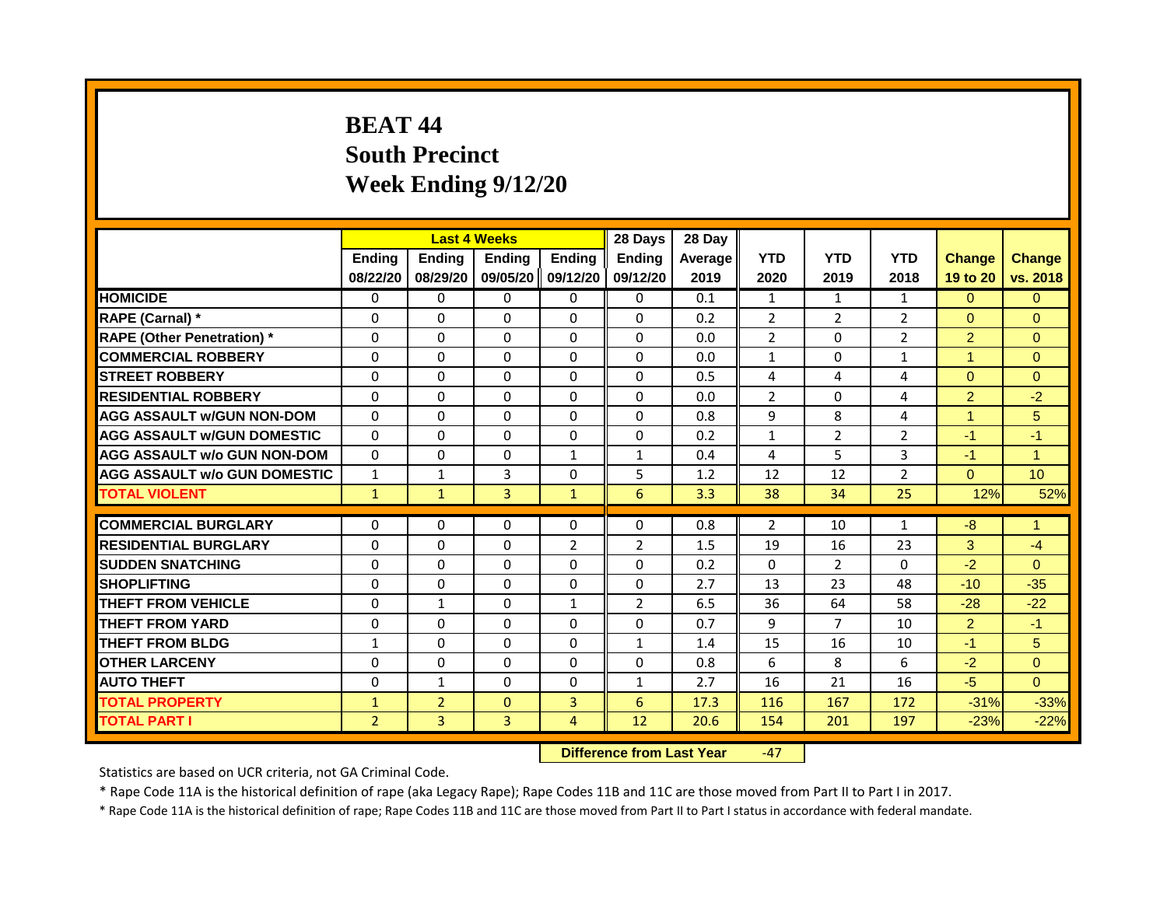# **BEAT 44 South Precinct Week Ending 9/12/20**

|                                     |                |                | <b>Last 4 Weeks</b> |                | 28 Days                               | 28 Day  |                |                |                |                      |                      |
|-------------------------------------|----------------|----------------|---------------------|----------------|---------------------------------------|---------|----------------|----------------|----------------|----------------------|----------------------|
|                                     | Ending         | <b>Ending</b>  | <b>Ending</b>       | <b>Ending</b>  | <b>Ending</b>                         | Average | <b>YTD</b>     | <b>YTD</b>     | <b>YTD</b>     | <b>Change</b>        | <b>Change</b>        |
|                                     | 08/22/20       | 08/29/20       | 09/05/20 09/12/20   |                | 09/12/20                              | 2019    | 2020           | 2019           | 2018           | 19 to 20             | vs. 2018             |
| <b>HOMICIDE</b>                     | 0              | $\Omega$       | $\Omega$            | $\Omega$       | 0                                     | 0.1     | $\mathbf{1}$   | $\mathbf{1}$   | $\mathbf{1}$   | $\Omega$             | $\Omega$             |
| RAPE (Carnal) *                     | 0              | $\Omega$       | $\Omega$            | $\Omega$       | $\Omega$                              | 0.2     | $\overline{2}$ | $\overline{2}$ | $\overline{2}$ | $\overline{0}$       | $\Omega$             |
| <b>RAPE (Other Penetration) *</b>   | $\Omega$       | $\Omega$       | $\Omega$            | $\Omega$       | $\Omega$                              | 0.0     | $\overline{2}$ | $\Omega$       | $\overline{2}$ | $\overline{2}$       | $\Omega$             |
| <b>COMMERCIAL ROBBERY</b>           | $\Omega$       | $\Omega$       | $\mathbf{0}$        | $\Omega$       | $\Omega$                              | 0.0     | $\mathbf{1}$   | $\Omega$       | $\mathbf{1}$   | $\blacktriangleleft$ | $\Omega$             |
| <b>STREET ROBBERY</b>               | $\Omega$       | $\Omega$       | $\Omega$            | $\Omega$       | $\Omega$                              | 0.5     | 4              | 4              | 4              | $\Omega$             | $\Omega$             |
| <b>RESIDENTIAL ROBBERY</b>          | 0              | 0              | $\Omega$            | 0              | $\Omega$                              | 0.0     | $\overline{2}$ | $\Omega$       | 4              | $\overline{2}$       | $-2$                 |
| AGG ASSAULT w/GUN NON-DOM           | $\Omega$       | $\Omega$       | $\Omega$            | $\Omega$       | $\Omega$                              | 0.8     | 9              | 8              | 4              | 4                    | 5                    |
| <b>AGG ASSAULT w/GUN DOMESTIC</b>   | $\Omega$       | $\Omega$       | $\Omega$            | $\Omega$       | $\Omega$                              | 0.2     | 1              | 2              | $\overline{2}$ | $-1$                 | $-1$                 |
| <b>AGG ASSAULT w/o GUN NON-DOM</b>  | $\Omega$       | $\Omega$       | $\mathbf{0}$        | $\mathbf{1}$   | $\mathbf{1}$                          | 0.4     | 4              | 5              | 3              | $-1$                 | $\blacktriangleleft$ |
| <b>AGG ASSAULT w/o GUN DOMESTIC</b> | $\mathbf{1}$   | $\mathbf{1}$   | 3                   | $\Omega$       | 5                                     | 1.2     | 12             | 12             | $\overline{2}$ | $\Omega$             | 10 <sup>°</sup>      |
| <b>TOTAL VIOLENT</b>                | $\mathbf{1}$   | $\mathbf{1}$   | $\overline{3}$      | $\mathbf{1}$   | 6                                     | 3.3     | 38             | 34             | 25             | 12%                  | 52%                  |
|                                     |                |                |                     |                |                                       |         |                |                |                |                      |                      |
| <b>COMMERCIAL BURGLARY</b>          | $\Omega$       | $\Omega$       | $\Omega$            | $\Omega$       | $\Omega$                              | 0.8     | $\overline{2}$ | 10             | $\mathbf{1}$   | $-8$                 | $\blacktriangleleft$ |
| <b>RESIDENTIAL BURGLARY</b>         | 0              | $\Omega$       | $\Omega$            | $\overline{2}$ | $\overline{2}$                        | 1.5     | 19             | 16             | 23             | 3                    | $-4$                 |
| <b>SUDDEN SNATCHING</b>             | $\Omega$       | $\Omega$       | $\Omega$            | $\Omega$       | $\Omega$                              | 0.2     | $\Omega$       | $\overline{2}$ | $\Omega$       | $-2$                 | $\Omega$             |
| <b>SHOPLIFTING</b>                  | 0              | $\Omega$       | $\Omega$            | $\Omega$       | $\Omega$                              | 2.7     | 13             | 23             | 48             | $-10$                | $-35$                |
| <b>THEFT FROM VEHICLE</b>           | $\Omega$       | $\mathbf{1}$   | $\Omega$            | $\mathbf{1}$   | $\overline{2}$                        | 6.5     | 36             | 64             | 58             | $-28$                | $-22$                |
| <b>THEFT FROM YARD</b>              | $\Omega$       | $\Omega$       | $\Omega$            | $\Omega$       | $\Omega$                              | 0.7     | 9              | $\overline{7}$ | 10             | $\overline{2}$       | $-1$                 |
| <b>THEFT FROM BLDG</b>              | $\mathbf{1}$   | $\Omega$       | $\Omega$            | $\Omega$       | $\mathbf{1}$                          | 1.4     | 15             | 16             | 10             | $-1$                 | 5                    |
| <b>OTHER LARCENY</b>                | $\Omega$       | $\Omega$       | $\Omega$            | $\Omega$       | $\Omega$                              | 0.8     | 6              | 8              | 6              | $-2$                 | $\Omega$             |
| <b>AUTO THEFT</b>                   | $\Omega$       | $\mathbf{1}$   | $\Omega$            | $\Omega$       | $\mathbf{1}$                          | 2.7     | 16             | 21             | 16             | $-5$                 | $\Omega$             |
| <b>TOTAL PROPERTY</b>               | $\mathbf{1}$   | $\overline{2}$ | $\mathbf{0}$        | 3              | 6                                     | 17.3    | 116            | 167            | 172            | $-31%$               | $-33%$               |
| <b>TOTAL PART I</b>                 | $\overline{2}$ | 3              | 3                   | $\overline{4}$ | 12                                    | 20.6    | 154            | 201            | 197            | $-23%$               | $-22%$               |
|                                     |                |                |                     | <b>DOM:</b>    | and the company of the control with a |         | $\sim$         |                |                |                      |                      |

**Difference from Last Year** -47

Statistics are based on UCR criteria, not GA Criminal Code.

\* Rape Code 11A is the historical definition of rape (aka Legacy Rape); Rape Codes 11B and 11C are those moved from Part II to Part I in 2017.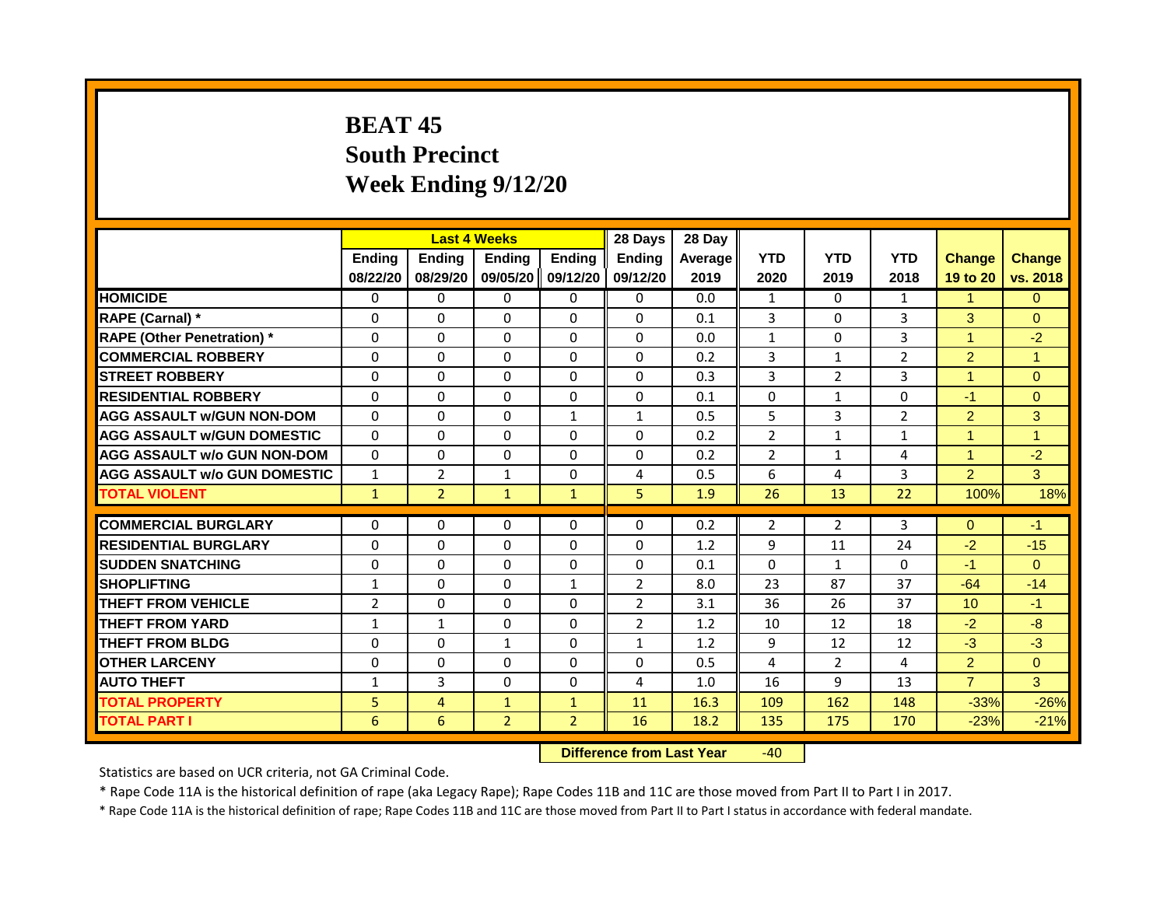# **BEAT 45 South Precinct Week Ending 9/12/20**

|                                     |                |                | <b>Last 4 Weeks</b> |                | 28 Days                   | 28 Day  |                |                |                |                      |                      |
|-------------------------------------|----------------|----------------|---------------------|----------------|---------------------------|---------|----------------|----------------|----------------|----------------------|----------------------|
|                                     | Ending         | Ending         | Ending              | <b>Ending</b>  | <b>Ending</b>             | Average | <b>YTD</b>     | <b>YTD</b>     | <b>YTD</b>     | <b>Change</b>        | <b>Change</b>        |
|                                     | 08/22/20       | 08/29/20       | 09/05/20            | 09/12/20       | 09/12/20                  | 2019    | 2020           | 2019           | 2018           | 19 to 20             | vs. 2018             |
| <b>HOMICIDE</b>                     | 0              | 0              | $\Omega$            | $\Omega$       | 0                         | 0.0     | $\mathbf{1}$   | $\Omega$       | 1              | $\blacktriangleleft$ | $\Omega$             |
| RAPE (Carnal) *                     | 0              | $\Omega$       | $\Omega$            | $\Omega$       | $\Omega$                  | 0.1     | 3              | $\Omega$       | $\overline{3}$ | 3                    | $\Omega$             |
| <b>RAPE (Other Penetration) *</b>   | $\Omega$       | $\Omega$       | $\Omega$            | $\Omega$       | $\Omega$                  | 0.0     | $\mathbf{1}$   | $\Omega$       | 3              | $\overline{1}$       | $-2$                 |
| <b>COMMERCIAL ROBBERY</b>           | $\Omega$       | $\Omega$       | $\mathbf{0}$        | $\Omega$       | $\Omega$                  | 0.2     | $\overline{3}$ | $\mathbf{1}$   | $\overline{2}$ | $\overline{2}$       | $\blacktriangleleft$ |
| <b>STREET ROBBERY</b>               | $\Omega$       | $\Omega$       | $\Omega$            | $\Omega$       | $\Omega$                  | 0.3     | 3              | $\overline{2}$ | 3              | $\blacktriangleleft$ | $\Omega$             |
| <b>RESIDENTIAL ROBBERY</b>          | $\Omega$       | 0              | $\Omega$            | 0              | 0                         | 0.1     | $\Omega$       | $\mathbf{1}$   | 0              | $-1$                 | $\Omega$             |
| <b>AGG ASSAULT w/GUN NON-DOM</b>    | $\Omega$       | $\Omega$       | $\Omega$            | $\mathbf{1}$   | $\mathbf{1}$              | 0.5     | 5              | $\overline{3}$ | $\overline{2}$ | $\overline{2}$       | 3                    |
| <b>AGG ASSAULT w/GUN DOMESTIC</b>   | $\Omega$       | $\Omega$       | $\Omega$            | $\Omega$       | $\Omega$                  | 0.2     | $\overline{2}$ | $\mathbf{1}$   | 1              | $\blacktriangleleft$ | $\blacktriangleleft$ |
| <b>AGG ASSAULT w/o GUN NON-DOM</b>  | $\Omega$       | $\Omega$       | $\Omega$            | $\Omega$       | $\Omega$                  | 0.2     | $\overline{2}$ | $\mathbf{1}$   | 4              | $\blacktriangleleft$ | $-2$                 |
| <b>AGG ASSAULT w/o GUN DOMESTIC</b> | $\mathbf{1}$   | $\overline{2}$ | $\mathbf{1}$        | $\Omega$       | 4                         | 0.5     | 6              | 4              | 3              | $\overline{2}$       | 3                    |
| <b>TOTAL VIOLENT</b>                | $\mathbf{1}$   | $\overline{2}$ | $\mathbf{1}$        | $\mathbf{1}$   | 5                         | 1.9     | 26             | 13             | 22             | 100%                 | 18%                  |
| <b>COMMERCIAL BURGLARY</b>          | $\Omega$       | $\Omega$       | $\Omega$            | $\Omega$       | $\Omega$                  | 0.2     | $\overline{2}$ | $\overline{2}$ | $\overline{3}$ | $\Omega$             | $-1$                 |
|                                     |                |                |                     |                |                           |         |                |                |                |                      |                      |
| <b>RESIDENTIAL BURGLARY</b>         | 0              | $\Omega$       | $\Omega$            | $\Omega$       | $\Omega$                  | 1.2     | 9              | 11             | 24             | $-2$                 | $-15$                |
| <b>SUDDEN SNATCHING</b>             | $\Omega$       | $\mathbf{0}$   | $\Omega$            | $\Omega$       | $\Omega$                  | 0.1     | $\Omega$       | $\mathbf{1}$   | $\Omega$       | $-1$                 | $\Omega$             |
| <b>SHOPLIFTING</b>                  | $\mathbf{1}$   | $\Omega$       | $\Omega$            | $\mathbf{1}$   | $\overline{2}$            | 8.0     | 23             | 87             | 37             | $-64$                | $-14$                |
| <b>THEFT FROM VEHICLE</b>           | $\overline{2}$ | $\Omega$       | $\Omega$            | $\Omega$       | $\overline{2}$            | 3.1     | 36             | 26             | 37             | 10                   | $-1$                 |
| <b>THEFT FROM YARD</b>              | $\mathbf{1}$   | $\mathbf{1}$   | $\Omega$            | $\Omega$       | $\overline{2}$            | 1.2     | 10             | 12             | 18             | $-2$                 | $-8-$                |
| <b>THEFT FROM BLDG</b>              | $\Omega$       | $\Omega$       | $\mathbf{1}$        | $\Omega$       | $\mathbf{1}$              | 1.2     | 9              | 12             | 12             | $-3$                 | $-3$                 |
| <b>OTHER LARCENY</b>                | $\Omega$       | $\Omega$       | $\Omega$            | $\Omega$       | $\Omega$                  | 0.5     | 4              | $\overline{2}$ | 4              | 2 <sup>1</sup>       | $\Omega$             |
| <b>AUTO THEFT</b>                   | $\mathbf{1}$   | 3              | $\Omega$            | $\Omega$       | 4                         | 1.0     | 16             | 9              | 13             | $\overline{7}$       | 3                    |
| <b>TOTAL PROPERTY</b>               | 5              | $\overline{4}$ | $\mathbf{1}$        | $\mathbf{1}$   | 11                        | 16.3    | 109            | 162            | 148            | $-33%$               | $-26%$               |
| <b>TOTAL PART I</b>                 | 6              | 6              | $\overline{2}$      | $\overline{2}$ | 16                        | 18.2    | 135            | 175            | 170            | $-23%$               | $-21%$               |
|                                     |                |                |                     |                | Difference from Look Voor |         | $\sqrt{2}$     |                |                |                      |                      |

**Difference from Last Year** -40

Statistics are based on UCR criteria, not GA Criminal Code.

\* Rape Code 11A is the historical definition of rape (aka Legacy Rape); Rape Codes 11B and 11C are those moved from Part II to Part I in 2017.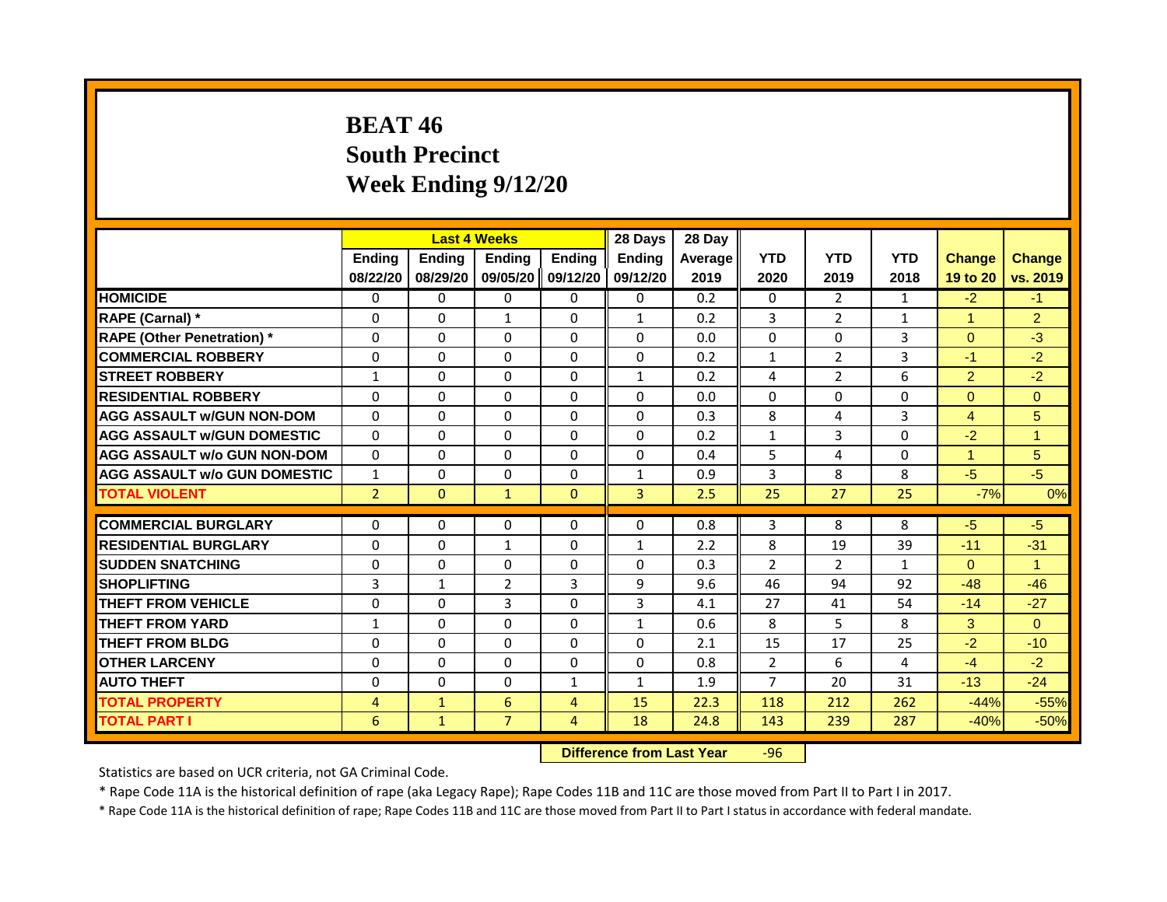#### **BEAT 46 South Precinct Week Ending 9/12/20**

|                                     |                |               | <b>Last 4 Weeks</b>              |                | 28 Days        | 28 Day  |                |                |              |                      |                      |
|-------------------------------------|----------------|---------------|----------------------------------|----------------|----------------|---------|----------------|----------------|--------------|----------------------|----------------------|
|                                     | <b>Ending</b>  | <b>Ending</b> | <b>Ending</b>                    | <b>Ending</b>  | <b>Endina</b>  | Average | <b>YTD</b>     | <b>YTD</b>     | <b>YTD</b>   | <b>Change</b>        | <b>Change</b>        |
|                                     | 08/22/20       | 08/29/20      | 09/05/20 09/12/20                |                | 09/12/20       | 2019    | 2020           | 2019           | 2018         | 19 to 20             | vs. 2019             |
| <b>HOMICIDE</b>                     | 0              | 0             | $\mathbf{0}$                     | 0              | 0              | 0.2     | 0              | $\overline{2}$ | $\mathbf{1}$ | $-2$                 | $-1$                 |
| RAPE (Carnal) *                     | 0              | $\Omega$      | $\mathbf{1}$                     | $\Omega$       | $\mathbf{1}$   | 0.2     | 3              | $\overline{2}$ | $\mathbf{1}$ | $\blacktriangleleft$ | $\overline{2}$       |
| <b>RAPE (Other Penetration) *</b>   | $\Omega$       | $\Omega$      | $\Omega$                         | $\Omega$       | $\Omega$       | 0.0     | $\Omega$       | $\Omega$       | 3            | $\Omega$             | $-3$                 |
| <b>COMMERCIAL ROBBERY</b>           | $\Omega$       | $\Omega$      | $\Omega$                         | $\Omega$       | $\Omega$       | 0.2     | $\mathbf{1}$   | $\overline{2}$ | 3            | $-1$                 | $-2$                 |
| <b>STREET ROBBERY</b>               | 1              | $\Omega$      | $\Omega$                         | $\Omega$       | $\mathbf{1}$   | 0.2     | 4              | $\overline{2}$ | 6            | $\overline{2}$       | $-2$                 |
| <b>RESIDENTIAL ROBBERY</b>          | $\Omega$       | $\Omega$      | $\Omega$                         | $\Omega$       | $\Omega$       | 0.0     | $\Omega$       | $\Omega$       | $\Omega$     | $\Omega$             | $\Omega$             |
| <b>AGG ASSAULT w/GUN NON-DOM</b>    | $\Omega$       | $\Omega$      | $\Omega$                         | $\Omega$       | $\Omega$       | 0.3     | 8              | 4              | 3            | $\overline{4}$       | 5                    |
| <b>AGG ASSAULT W/GUN DOMESTIC</b>   | $\Omega$       | $\Omega$      | $\Omega$                         | $\Omega$       | $\Omega$       | 0.2     | $\mathbf{1}$   | 3              | $\Omega$     | $-2$                 | $\mathbf{1}$         |
| <b>AGG ASSAULT w/o GUN NON-DOM</b>  | $\Omega$       | $\Omega$      | $\Omega$                         | $\Omega$       | $\Omega$       | 0.4     | 5              | 4              | $\Omega$     | 1                    | 5                    |
| <b>AGG ASSAULT w/o GUN DOMESTIC</b> | $\mathbf{1}$   | $\Omega$      | $\Omega$                         | $\Omega$       | $\mathbf{1}$   | 0.9     | 3              | 8              | 8            | $-5$                 | $-5$                 |
| <b>TOTAL VIOLENT</b>                | $\overline{2}$ | $\mathbf{0}$  | $\mathbf{1}$                     | $\Omega$       | $\overline{3}$ | 2.5     | 25             | 27             | 25           | $-7%$                | 0%                   |
|                                     |                |               |                                  |                |                |         |                |                |              |                      |                      |
| <b>COMMERCIAL BURGLARY</b>          | $\Omega$       | $\Omega$      | $\Omega$                         | $\Omega$       | $\Omega$       | 0.8     | 3              | 8              | 8            | $-5$                 | $-5$                 |
| <b>RESIDENTIAL BURGLARY</b>         | $\Omega$       | $\Omega$      | $\mathbf{1}$                     | $\Omega$       | $\mathbf{1}$   | 2.2     | 8              | 19             | 39           | $-11$                | $-31$                |
| <b>SUDDEN SNATCHING</b>             | $\Omega$       | $\Omega$      | $\Omega$                         | $\Omega$       | $\Omega$       | 0.3     | $\overline{2}$ | $\overline{2}$ | 1            | $\Omega$             | $\blacktriangleleft$ |
| <b>SHOPLIFTING</b>                  | 3              | $\mathbf{1}$  | $\overline{2}$                   | $\overline{3}$ | 9              | 9.6     | 46             | 94             | 92           | $-48$                | $-46$                |
| <b>THEFT FROM VEHICLE</b>           | $\Omega$       | $\Omega$      | 3                                | $\Omega$       | 3              | 4.1     | 27             | 41             | 54           | $-14$                | $-27$                |
| <b>THEFT FROM YARD</b>              | $\mathbf{1}$   | $\Omega$      | $\mathbf{0}$                     | $\Omega$       | $\mathbf{1}$   | 0.6     | 8              | 5              | 8            | 3                    | $\Omega$             |
| <b>THEFT FROM BLDG</b>              | $\Omega$       | $\Omega$      | $\Omega$                         | $\Omega$       | $\Omega$       | 2.1     | 15             | 17             | 25           | $-2$                 | $-10$                |
| <b>OTHER LARCENY</b>                | $\Omega$       | $\Omega$      | $\Omega$                         | $\Omega$       | $\Omega$       | 0.8     | $\overline{2}$ | 6              | 4            | $-4$                 | $-2$                 |
| <b>AUTO THEFT</b>                   | 0              | $\Omega$      | $\Omega$                         | $\mathbf{1}$   | $\mathbf{1}$   | 1.9     | $\overline{7}$ | 20             | 31           | $-13$                | $-24$                |
| <b>TOTAL PROPERTY</b>               | $\overline{4}$ | $\mathbf{1}$  | 6                                | $\overline{4}$ | 15             | 22.3    | 118            | 212            | 262          | $-44%$               | $-55%$               |
| <b>TOTAL PART I</b>                 | 6              | $\mathbf{1}$  | $\overline{7}$                   | $\overline{4}$ | 18             | 24.8    | 143            | 239            | 287          | $-40%$               | $-50%$               |
|                                     |                |               | <b>Difference from Last Year</b> |                | $-96$          |         |                |                |              |                      |                      |

Statistics are based on UCR criteria, not GA Criminal Code.

\* Rape Code 11A is the historical definition of rape (aka Legacy Rape); Rape Codes 11B and 11C are those moved from Part II to Part I in 2017.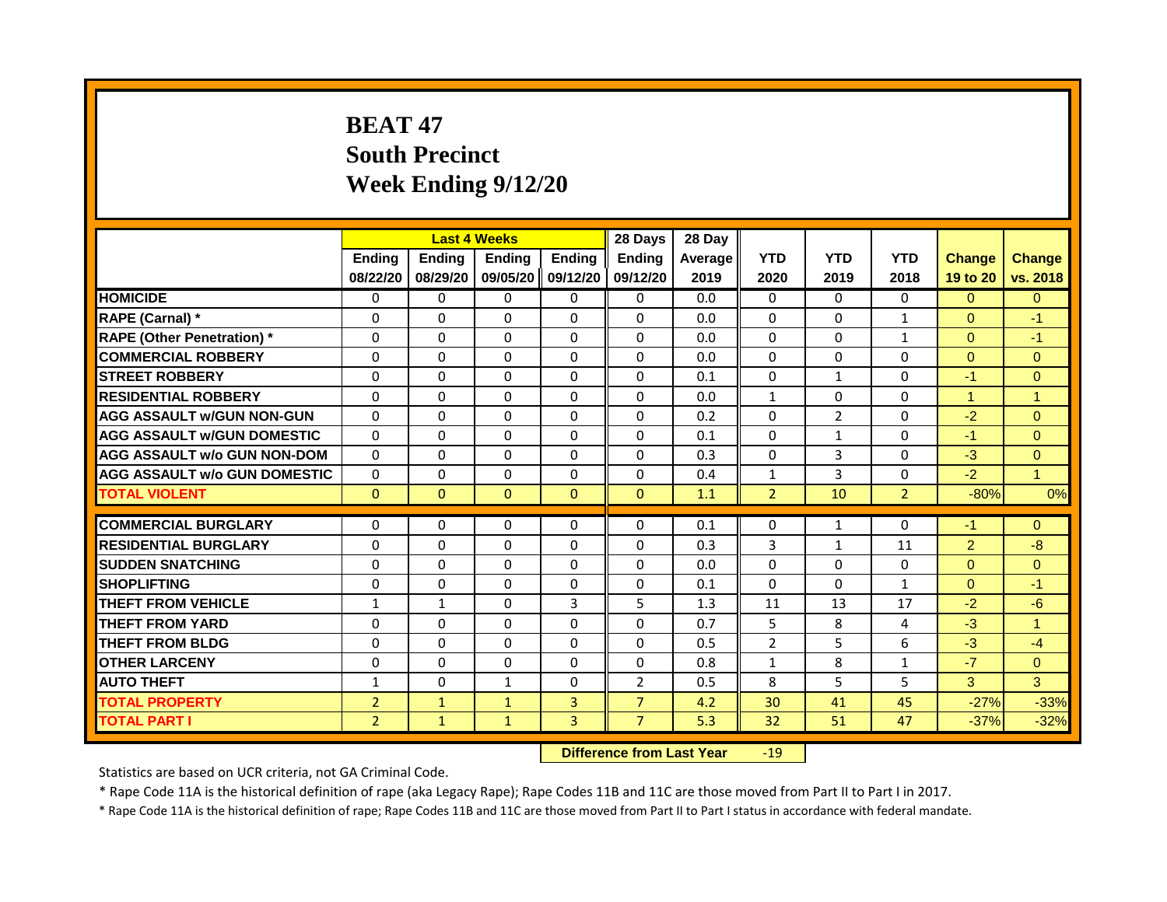# **BEAT 47 South Precinct Week Ending 9/12/20**

|                                     |                |              | <b>Last 4 Weeks</b> |                | 28 Days                   | 28 Day  |                 |                |                |                |                |
|-------------------------------------|----------------|--------------|---------------------|----------------|---------------------------|---------|-----------------|----------------|----------------|----------------|----------------|
|                                     | Ending         | Ending       | <b>Ending</b>       | Ending         | <b>Ending</b>             | Average | <b>YTD</b>      | <b>YTD</b>     | <b>YTD</b>     | <b>Change</b>  | <b>Change</b>  |
|                                     | 08/22/20       | 08/29/20     | 09/05/20            | 09/12/20       | 09/12/20                  | 2019    | 2020            | 2019           | 2018           | 19 to 20       | vs. 2018       |
| <b>HOMICIDE</b>                     | 0              | $\Omega$     | $\mathbf{0}$        | $\Omega$       | $\mathbf 0$               | 0.0     | $\mathbf{0}$    | $\Omega$       | $\Omega$       | $\overline{0}$ | $\overline{0}$ |
| RAPE (Carnal) *                     | $\Omega$       | $\Omega$     | $\Omega$            | $\Omega$       | $\Omega$                  | 0.0     | $\Omega$        | $\Omega$       | $\mathbf{1}$   | $\mathbf{0}$   | $-1$           |
| <b>RAPE (Other Penetration) *</b>   | 0              | $\Omega$     | $\Omega$            | $\Omega$       | $\Omega$                  | 0.0     | $\Omega$        | $\Omega$       | $\mathbf{1}$   | $\Omega$       | $-1$           |
| <b>COMMERCIAL ROBBERY</b>           | $\Omega$       | $\Omega$     | $\Omega$            | $\Omega$       | $\Omega$                  | 0.0     | $\mathbf{0}$    | $\Omega$       | 0              | $\mathbf{0}$   | $\Omega$       |
| <b>STREET ROBBERY</b>               | $\Omega$       | $\Omega$     | $\Omega$            | $\Omega$       | $\Omega$                  | 0.1     | $\Omega$        | $\mathbf{1}$   | $\Omega$       | $-1$           | $\overline{0}$ |
| <b>RESIDENTIAL ROBBERY</b>          | $\Omega$       | $\Omega$     | $\Omega$            | $\Omega$       | $\Omega$                  | 0.0     | $\mathbf{1}$    | $\Omega$       | 0              | $\mathbf{1}$   | 1              |
| <b>AGG ASSAULT w/GUN NON-GUN</b>    | $\Omega$       | $\Omega$     | $\Omega$            | $\Omega$       | $\Omega$                  | 0.2     | $\Omega$        | $\overline{2}$ | $\Omega$       | $-2$           | $\Omega$       |
| <b>AGG ASSAULT W/GUN DOMESTIC</b>   | $\Omega$       | $\Omega$     | $\Omega$            | $\mathbf{0}$   | $\Omega$                  | 0.1     | $\Omega$        | $\mathbf{1}$   | $\Omega$       | $-1$           | $\Omega$       |
| <b>AGG ASSAULT w/o GUN NON-DOM</b>  | $\Omega$       | $\Omega$     | $\Omega$            | $\Omega$       | $\Omega$                  | 0.3     | $\Omega$        | $\overline{3}$ | 0              | $-3$           | $\overline{0}$ |
| <b>AGG ASSAULT w/o GUN DOMESTIC</b> | $\Omega$       | $\Omega$     | $\Omega$            | $\Omega$       | $\Omega$                  | 0.4     | $\mathbf{1}$    | 3              | $\Omega$       | $-2$           | $\mathbf{1}$   |
| <b>TOTAL VIOLENT</b>                | $\Omega$       | $\mathbf{0}$ | $\mathbf{0}$        | $\mathbf{0}$   | $\mathbf{0}$              | 1.1     | $\overline{2}$  | 10             | 2 <sup>1</sup> | $-80%$         | 0%             |
|                                     |                |              |                     |                |                           |         |                 |                |                |                |                |
| <b>COMMERCIAL BURGLARY</b>          | $\Omega$       | $\Omega$     | $\Omega$            | $\Omega$       | $\Omega$                  | 0.1     | $\Omega$        | $\mathbf{1}$   | $\Omega$       | $-1$           | $\Omega$       |
| <b>RESIDENTIAL BURGLARY</b>         | $\Omega$       | $\Omega$     | $\Omega$            | $\Omega$       | $\Omega$                  | 0.3     | 3               | $\mathbf{1}$   | 11             | $\overline{2}$ | $-8$           |
| <b>SUDDEN SNATCHING</b>             | $\Omega$       | $\Omega$     | $\Omega$            | $\Omega$       | $\Omega$                  | 0.0     | $\Omega$        | $\Omega$       | 0              | $\mathbf{0}$   | $\Omega$       |
| <b>SHOPLIFTING</b>                  | $\Omega$       | $\Omega$     | $\Omega$            | $\Omega$       | $\Omega$                  | 0.1     | $\Omega$        | $\Omega$       | $\mathbf{1}$   | $\Omega$       | $-1$           |
| <b>THEFT FROM VEHICLE</b>           | $\mathbf{1}$   | $\mathbf{1}$ | $\Omega$            | $\overline{3}$ | 5                         | 1.3     | 11              | 13             | 17             | $-2$           | $-6$           |
| <b>THEFT FROM YARD</b>              | $\Omega$       | $\Omega$     | $\Omega$            | $\Omega$       | $\Omega$                  | 0.7     | 5               | 8              | 4              | $-3$           | $\mathbf{1}$   |
| <b>THEFT FROM BLDG</b>              | 0              | $\Omega$     | $\Omega$            | $\Omega$       | $\Omega$                  | 0.5     | $\overline{2}$  | 5              | 6              | $-3$           | $-4$           |
| <b>OTHER LARCENY</b>                | $\Omega$       | $\Omega$     | $\Omega$            | $\Omega$       | $\Omega$                  | 0.8     | $\mathbf{1}$    | 8              | $\mathbf{1}$   | $-7$           | $\Omega$       |
| <b>AUTO THEFT</b>                   | $\mathbf{1}$   | $\Omega$     | $\mathbf{1}$        | $\Omega$       | $\overline{2}$            | 0.5     | 8               | 5              | 5              | 3              | 3              |
| <b>TOTAL PROPERTY</b>               | $\overline{2}$ | $\mathbf{1}$ | $\mathbf{1}$        | $\overline{3}$ | $\overline{7}$            | 4.2     | 30              | 41             | 45             | $-27%$         | $-33%$         |
| <b>TOTAL PART I</b>                 | $\overline{2}$ | $\mathbf{1}$ | $\mathbf{1}$        | $\overline{3}$ | $\overline{7}$            | 5.3     | 32 <sup>2</sup> | 51             | 47             | $-37%$         | $-32%$         |
|                                     |                |              |                     | P              | a a a dheann 1 anns Malan |         | $\sqrt{2}$      |                |                |                |                |

**Difference from Last Year** -19

Statistics are based on UCR criteria, not GA Criminal Code.

\* Rape Code 11A is the historical definition of rape (aka Legacy Rape); Rape Codes 11B and 11C are those moved from Part II to Part I in 2017.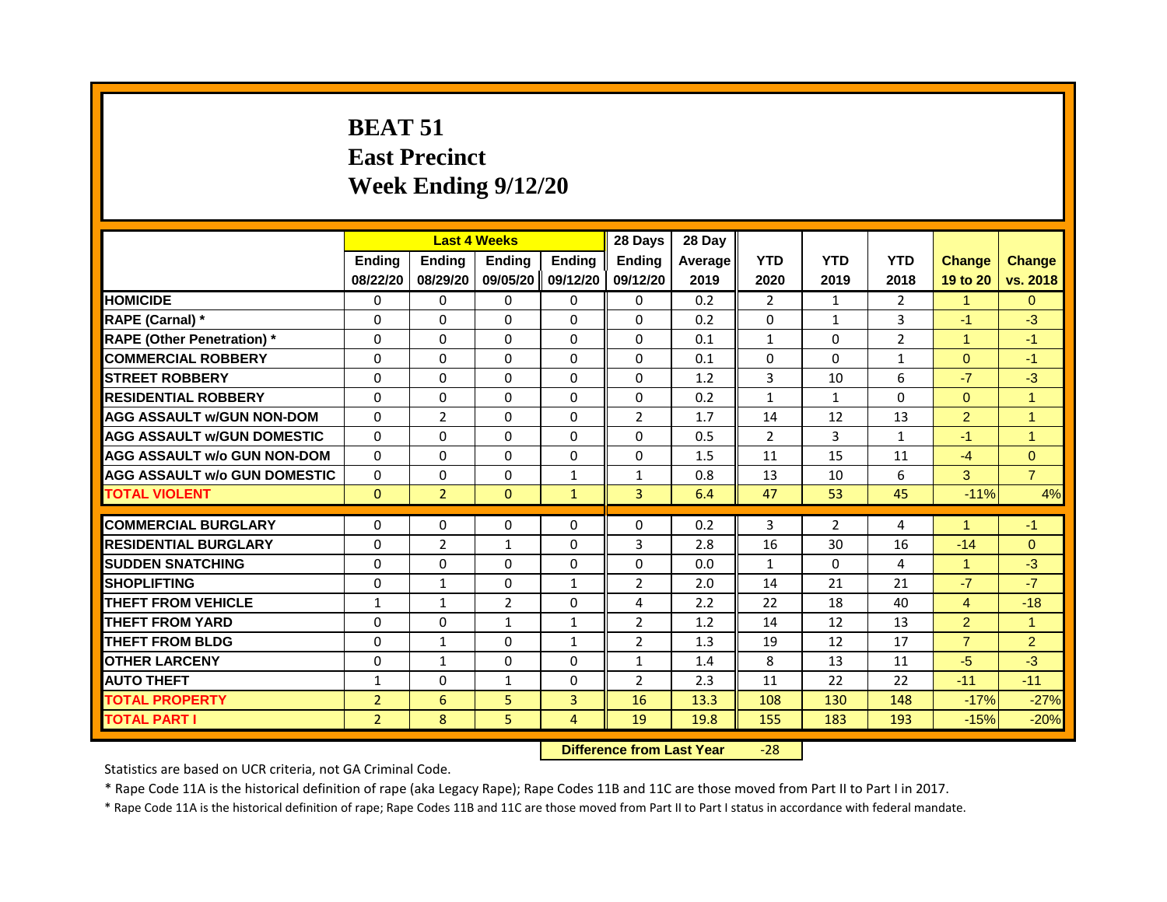# **BEAT 51 East Precinct Week Ending 9/12/20**

|                                     |                |                | <b>Last 4 Weeks</b> |                | 28 Days        | 28 Day  |                |              |                |                      |                |
|-------------------------------------|----------------|----------------|---------------------|----------------|----------------|---------|----------------|--------------|----------------|----------------------|----------------|
|                                     | <b>Ending</b>  | <b>Ending</b>  | <b>Ending</b>       | <b>Ending</b>  | <b>Ending</b>  | Average | <b>YTD</b>     | <b>YTD</b>   | <b>YTD</b>     | <b>Change</b>        | <b>Change</b>  |
|                                     | 08/22/20       | 08/29/20       | 09/05/20            | 09/12/20       | 09/12/20       | 2019    | 2020           | 2019         | 2018           | 19 to 20             | vs. 2018       |
| <b>HOMICIDE</b>                     | 0              | 0              | $\Omega$            | $\mathbf{0}$   | 0              | 0.2     | $\overline{2}$ | $\mathbf{1}$ | $\overline{2}$ | $\blacktriangleleft$ | $\Omega$       |
| RAPE (Carnal) *                     | 0              | $\Omega$       | $\Omega$            | $\Omega$       | $\Omega$       | 0.2     | $\Omega$       | $\mathbf{1}$ | 3              | $-1$                 | $-3$           |
| <b>RAPE (Other Penetration)</b> *   | $\Omega$       | $\Omega$       | $\Omega$            | $\Omega$       | $\Omega$       | 0.1     | $\mathbf{1}$   | $\Omega$     | $\overline{2}$ | $\mathbf{1}$         | $-1$           |
| <b>COMMERCIAL ROBBERY</b>           | $\Omega$       | $\Omega$       | $\Omega$            | $\Omega$       | $\Omega$       | 0.1     | $\Omega$       | $\Omega$     | $\mathbf{1}$   | $\Omega$             | $-1$           |
| <b>STREET ROBBERY</b>               | $\Omega$       | $\Omega$       | $\Omega$            | $\Omega$       | $\Omega$       | 1.2     | $\overline{3}$ | 10           | 6              | $-7$                 | $-3$           |
| <b>RESIDENTIAL ROBBERY</b>          | $\Omega$       | $\Omega$       | $\Omega$            | $\Omega$       | $\Omega$       | 0.2     | $\mathbf{1}$   | $\mathbf{1}$ | $\Omega$       | $\Omega$             | $\mathbf{1}$   |
| <b>AGG ASSAULT w/GUN NON-DOM</b>    | $\Omega$       | $\overline{2}$ | $\Omega$            | $\Omega$       | $\overline{2}$ | 1.7     | 14             | 12           | 13             | $\overline{2}$       | $\mathbf{1}$   |
| <b>AGG ASSAULT W/GUN DOMESTIC</b>   | $\Omega$       | $\Omega$       | $\Omega$            | $\Omega$       | 0              | 0.5     | $\overline{2}$ | 3            | 1              | $-1$                 | $\mathbf{1}$   |
| <b>AGG ASSAULT w/o GUN NON-DOM</b>  | $\Omega$       | $\Omega$       | $\Omega$            | $\Omega$       | $\Omega$       | 1.5     | 11             | 15           | 11             | $-4$                 | $\Omega$       |
| <b>AGG ASSAULT W/o GUN DOMESTIC</b> | $\Omega$       | $\Omega$       | $\Omega$            | $\mathbf{1}$   | $\mathbf{1}$   | 0.8     | 13             | 10           | 6              | 3                    | $\overline{7}$ |
| <b>TOTAL VIOLENT</b>                | $\mathbf{0}$   | $\overline{2}$ | $\mathbf{0}$        | $\mathbf{1}$   | $\overline{3}$ | 6.4     | 47             | 53           | 45             | $-11%$               | 4%             |
| <b>COMMERCIAL BURGLARY</b>          | 0              | 0              | 0                   | $\Omega$       | $\Omega$       | 0.2     | 3              | 2            | 4              | 1                    | $-1$           |
| <b>RESIDENTIAL BURGLARY</b>         | $\Omega$       | $\overline{2}$ | $\mathbf{1}$        | $\Omega$       | 3              | 2.8     | 16             | 30           | 16             | $-14$                | $\Omega$       |
| <b>SUDDEN SNATCHING</b>             | $\Omega$       | $\Omega$       | $\Omega$            | $\Omega$       | $\Omega$       | 0.0     | $\mathbf{1}$   | $\Omega$     | 4              | $\blacktriangleleft$ | $-3$           |
| <b>SHOPLIFTING</b>                  | 0              | $\mathbf{1}$   | $\Omega$            | $\mathbf{1}$   | $\overline{2}$ | 2.0     | 14             | 21           | 21             | $-7$                 | $-7$           |
| THEFT FROM VEHICLE                  | $\mathbf{1}$   | $\mathbf{1}$   | $\overline{2}$      | $\Omega$       | 4              | 2.2     | 22             | 18           | 40             | $\overline{4}$       | $-18$          |
| <b>THEFT FROM YARD</b>              | $\Omega$       | $\Omega$       | $\mathbf{1}$        | $\mathbf{1}$   | 2              | 1.2     | 14             | 12           | 13             | $\overline{2}$       | $\mathbf{1}$   |
| <b>THEFT FROM BLDG</b>              | $\Omega$       | $\mathbf{1}$   | $\Omega$            | $\mathbf{1}$   | $\overline{2}$ | 1.3     | 19             | 12           | 17             | $\overline{7}$       | $\overline{2}$ |
| <b>OTHER LARCENY</b>                | $\Omega$       | $\mathbf{1}$   | $\Omega$            | $\Omega$       | $\mathbf{1}$   | 1.4     | 8              | 13           | 11             | $-5$                 | $-3$           |
| <b>AUTO THEFT</b>                   | $\mathbf{1}$   | $\Omega$       | $\mathbf{1}$        | $\Omega$       | $\overline{2}$ | 2.3     | 11             | 22           | 22             | $-11$                | $-11$          |
| <b>TOTAL PROPERTY</b>               | $\overline{2}$ | 6              | 5                   | $\overline{3}$ | 16             | 13.3    | 108            | 130          | 148            | $-17%$               | $-27%$         |
| <b>TOTAL PART I</b>                 | $\overline{2}$ | 8              | 5                   | $\overline{4}$ | 19             | 19.8    | 155            | 183          | 193            | $-15%$               | $-20%$         |
|                                     |                |                |                     |                |                |         |                |              |                |                      |                |

**Difference from Last Year** -28

Statistics are based on UCR criteria, not GA Criminal Code.

\* Rape Code 11A is the historical definition of rape (aka Legacy Rape); Rape Codes 11B and 11C are those moved from Part II to Part I in 2017.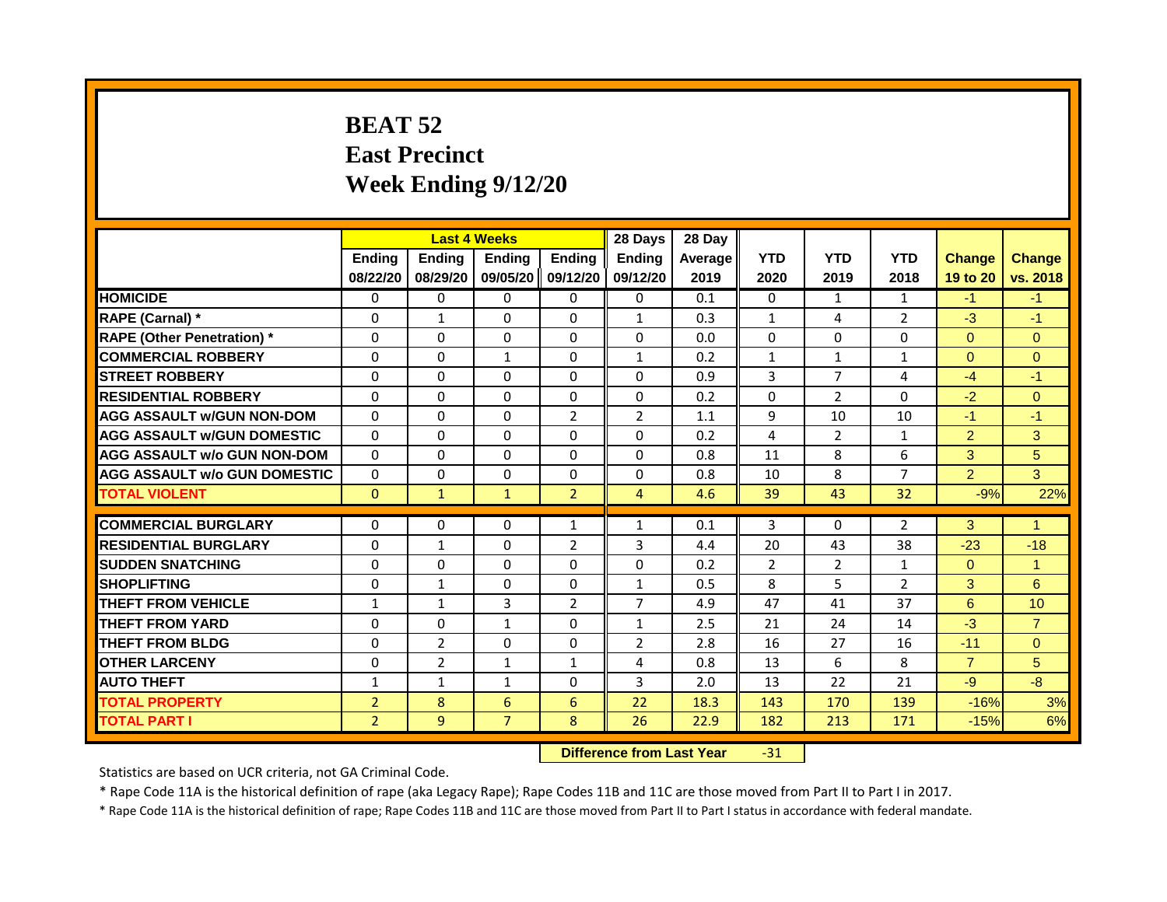# **BEAT 52 East Precinct Week Ending 9/12/20**

|                                     |                |                | <b>Last 4 Weeks</b> |                | 28 Days                   | 28 Day  |                |                |                |                |                      |
|-------------------------------------|----------------|----------------|---------------------|----------------|---------------------------|---------|----------------|----------------|----------------|----------------|----------------------|
|                                     | Ending         | Ending         | Ending              | <b>Ending</b>  | <b>Ending</b>             | Average | <b>YTD</b>     | <b>YTD</b>     | <b>YTD</b>     | <b>Change</b>  | <b>Change</b>        |
|                                     | 08/22/20       | 08/29/20       | 09/05/20            | 09/12/20       | 09/12/20                  | 2019    | 2020           | 2019           | 2018           | 19 to 20       | vs. 2018             |
| <b>HOMICIDE</b>                     | 0              | 0              | 0                   | $\Omega$       | 0                         | 0.1     | $\Omega$       | $\mathbf{1}$   | $\mathbf{1}$   | $-1$           | $-1$                 |
| RAPE (Carnal) *                     | $\Omega$       | $\mathbf{1}$   | $\Omega$            | $\Omega$       | $\mathbf{1}$              | 0.3     | $\mathbf{1}$   | 4              | $\overline{2}$ | $-3$           | $-1$                 |
| <b>RAPE (Other Penetration)</b> *   | $\Omega$       | $\Omega$       | $\Omega$            | $\Omega$       | $\Omega$                  | 0.0     | $\Omega$       | $\Omega$       | $\mathbf{0}$   | $\Omega$       | $\Omega$             |
| <b>COMMERCIAL ROBBERY</b>           | $\Omega$       | $\Omega$       | $\mathbf{1}$        | $\Omega$       | $\mathbf{1}$              | 0.2     | $\mathbf{1}$   | $\mathbf{1}$   | $\mathbf{1}$   | $\overline{0}$ | $\Omega$             |
| <b>STREET ROBBERY</b>               | $\Omega$       | $\Omega$       | $\Omega$            | $\Omega$       | $\Omega$                  | 0.9     | 3              | $\overline{7}$ | 4              | $-4$           | $-1$                 |
| <b>RESIDENTIAL ROBBERY</b>          | $\Omega$       | $\mathbf{0}$   | $\Omega$            | $\Omega$       | $\Omega$                  | 0.2     | $\Omega$       | $\overline{2}$ | $\Omega$       | $-2$           | $\Omega$             |
| <b>AGG ASSAULT w/GUN NON-DOM</b>    | $\Omega$       | $\Omega$       | $\Omega$            | $\overline{2}$ | $\overline{2}$            | 1.1     | 9              | 10             | 10             | $-1$           | $-1$                 |
| <b>AGG ASSAULT w/GUN DOMESTIC</b>   | $\Omega$       | $\Omega$       | $\Omega$            | $\Omega$       | $\Omega$                  | 0.2     | 4              | $\overline{2}$ | $\mathbf{1}$   | 2              | 3                    |
| <b>AGG ASSAULT w/o GUN NON-DOM</b>  | $\Omega$       | $\Omega$       | $\Omega$            | $\Omega$       | $\Omega$                  | 0.8     | 11             | 8              | 6              | 3              | 5                    |
| <b>AGG ASSAULT w/o GUN DOMESTIC</b> | 0              | 0              | $\Omega$            | $\Omega$       | $\Omega$                  | 0.8     | 10             | 8              | $\overline{7}$ | 2 <sup>1</sup> | 3 <sup>1</sup>       |
| <b>TOTAL VIOLENT</b>                | $\mathbf{0}$   | $\mathbf{1}$   | $\mathbf{1}$        | $\overline{2}$ | $\overline{4}$            | 4.6     | 39             | 43             | 32             | $-9%$          | 22%                  |
| <b>COMMERCIAL BURGLARY</b>          | $\Omega$       | $\Omega$       | $\Omega$            | $\mathbf{1}$   | $\mathbf{1}$              | 0.1     | 3              | $\Omega$       | $\overline{2}$ | 3              | $\blacktriangleleft$ |
| <b>RESIDENTIAL BURGLARY</b>         | 0              | $\mathbf{1}$   | $\Omega$            | 2              | 3                         | 4.4     | 20             | 43             | 38             | $-23$          | $-18$                |
| <b>SUDDEN SNATCHING</b>             | 0              | 0              | $\Omega$            | $\Omega$       | 0                         | 0.2     | $\overline{2}$ | $\overline{2}$ | $\mathbf{1}$   | $\Omega$       | $\blacktriangleleft$ |
| <b>SHOPLIFTING</b>                  | $\mathbf 0$    | $\mathbf{1}$   | $\Omega$            | $\Omega$       | $\mathbf{1}$              | 0.5     | 8              | 5              | $\overline{2}$ | 3              | 6                    |
| <b>THEFT FROM VEHICLE</b>           | $\mathbf{1}$   | $\mathbf{1}$   | 3                   | $\overline{2}$ | $\overline{7}$            | 4.9     | 47             | 41             | 37             | 6              | 10                   |
| <b>THEFT FROM YARD</b>              | $\Omega$       | $\Omega$       | $\mathbf{1}$        | $\Omega$       | $\mathbf{1}$              | 2.5     | 21             | 24             | 14             | $-3$           | $\mathbf{7}$         |
| <b>THEFT FROM BLDG</b>              | $\Omega$       | $\overline{2}$ | $\Omega$            | $\Omega$       | $\overline{2}$            | 2.8     | 16             | 27             | 16             | $-11$          | $\Omega$             |
| <b>OTHER LARCENY</b>                | $\Omega$       | $\overline{2}$ | $\mathbf{1}$        | $\mathbf{1}$   | 4                         | 0.8     | 13             | 6              | 8              | $\overline{7}$ | 5                    |
| <b>AUTO THEFT</b>                   | $\mathbf{1}$   | $\mathbf{1}$   | $\mathbf{1}$        | $\Omega$       | 3                         | 2.0     | 13             | 22             | 21             | $-9$           | $-8$                 |
| <b>TOTAL PROPERTY</b>               | $\overline{2}$ | 8              | 6                   | 6              | 22                        | 18.3    | 143            | 170            | 139            | $-16%$         | 3%                   |
| <b>TOTAL PART I</b>                 | $\overline{2}$ | 9              | $\overline{7}$      | 8              | 26                        | 22.9    | 182            | 213            | 171            | $-15%$         | 6%                   |
|                                     |                |                |                     |                | Difference from Loot Voor |         | 24             |                |                |                |                      |

**Difference from Last Year** -31

Statistics are based on UCR criteria, not GA Criminal Code.

\* Rape Code 11A is the historical definition of rape (aka Legacy Rape); Rape Codes 11B and 11C are those moved from Part II to Part I in 2017.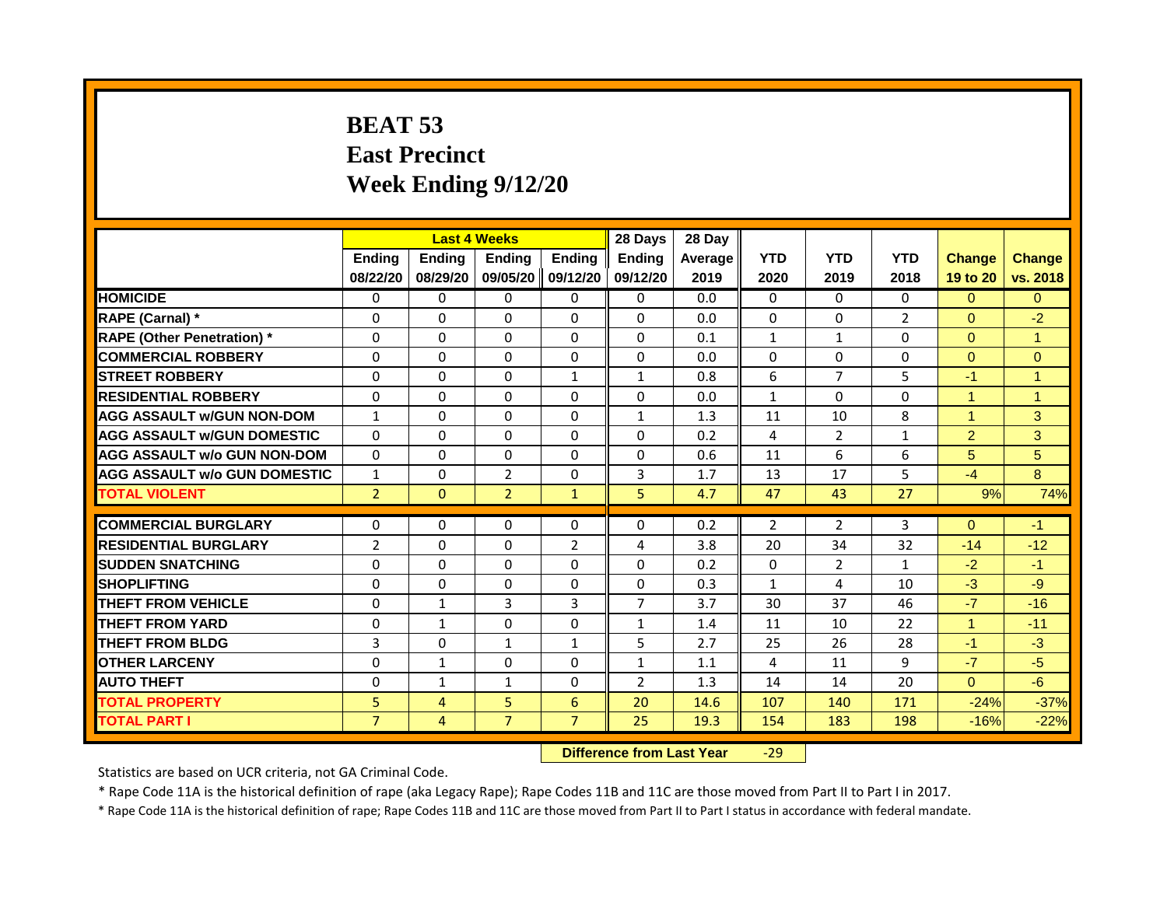# **BEAT 53 East Precinct Week Ending 9/12/20**

|                                     |                |                | <b>Last 4 Weeks</b>              |                | 28 Days        | 28 Day  |              |                |                |                      |                      |
|-------------------------------------|----------------|----------------|----------------------------------|----------------|----------------|---------|--------------|----------------|----------------|----------------------|----------------------|
|                                     | <b>Ending</b>  | <b>Ending</b>  | <b>Ending</b>                    | <b>Ending</b>  | <b>Endina</b>  | Average | <b>YTD</b>   | <b>YTD</b>     | <b>YTD</b>     | <b>Change</b>        | <b>Change</b>        |
|                                     | 08/22/20       | 08/29/20       | 09/05/20 09/12/20                |                | 09/12/20       | 2019    | 2020         | 2019           | 2018           | 19 to 20             | vs. 2018             |
| <b>HOMICIDE</b>                     | 0              | $\Omega$       | $\mathbf{0}$                     | $\mathbf{0}$   | 0              | 0.0     | 0            | $\Omega$       | $\mathbf{0}$   | $\Omega$             | $\Omega$             |
| RAPE (Carnal) *                     | 0              | $\mathbf{0}$   | $\Omega$                         | $\Omega$       | $\Omega$       | 0.0     | $\Omega$     | $\Omega$       | $\overline{2}$ | $\Omega$             | $-2$                 |
| <b>RAPE (Other Penetration) *</b>   | $\Omega$       | $\mathbf{0}$   | $\Omega$                         | $\Omega$       | $\Omega$       | 0.1     | $\mathbf{1}$ | $\mathbf{1}$   | $\Omega$       | $\Omega$             | $\blacktriangleleft$ |
| <b>COMMERCIAL ROBBERY</b>           | $\Omega$       | $\mathbf{0}$   | $\Omega$                         | $\Omega$       | $\Omega$       | 0.0     | $\Omega$     | $\Omega$       | $\Omega$       | $\Omega$             | $\Omega$             |
| <b>STREET ROBBERY</b>               | $\Omega$       | $\Omega$       | $\Omega$                         | $\mathbf{1}$   | $\mathbf{1}$   | 0.8     | 6            | $\overline{7}$ | 5              | $-1$                 | $\blacktriangleleft$ |
| <b>RESIDENTIAL ROBBERY</b>          | $\Omega$       | $\Omega$       | $\Omega$                         | $\Omega$       | $\Omega$       | 0.0     | $\mathbf{1}$ | $\Omega$       | $\Omega$       | $\overline{1}$       | $\overline{1}$       |
| <b>AGG ASSAULT w/GUN NON-DOM</b>    | $\mathbf{1}$   | $\mathbf{0}$   | $\Omega$                         | $\Omega$       | $\mathbf{1}$   | 1.3     | 11           | 10             | 8              | $\blacktriangleleft$ | 3                    |
| <b>AGG ASSAULT W/GUN DOMESTIC</b>   | $\Omega$       | $\Omega$       | $\Omega$                         | $\Omega$       | $\Omega$       | 0.2     | 4            | $\overline{2}$ | $\mathbf{1}$   | $\overline{2}$       | 3                    |
| <b>AGG ASSAULT w/o GUN NON-DOM</b>  | $\Omega$       | $\Omega$       | $\Omega$                         | $\Omega$       | $\Omega$       | 0.6     | 11           | 6              | 6              | 5                    | 5                    |
| <b>AGG ASSAULT W/o GUN DOMESTIC</b> | $\mathbf{1}$   | $\Omega$       | 2                                | $\Omega$       | 3              | 1.7     | 13           | 17             | 5              | $-4$                 | 8                    |
| <b>TOTAL VIOLENT</b>                | $\overline{2}$ | $\mathbf{0}$   | $\overline{2}$                   | $\mathbf{1}$   | 5              | 4.7     | 47           | 43             | 27             | 9%                   | 74%                  |
|                                     |                |                |                                  |                |                |         |              |                |                |                      |                      |
| <b>COMMERCIAL BURGLARY</b>          | $\Omega$       | $\Omega$       | $\Omega$                         | $\Omega$       | $\Omega$       | 0.2     | 2            | 2              | 3              | $\Omega$             | $-1$                 |
| <b>RESIDENTIAL BURGLARY</b>         | $\overline{2}$ | $\Omega$       | $\Omega$                         | $\overline{2}$ | 4              | 3.8     | 20           | 34             | 32             | $-14$                | $-12$                |
| <b>SUDDEN SNATCHING</b>             | $\Omega$       | $\Omega$       | $\Omega$                         | $\Omega$       | $\Omega$       | 0.2     | $\Omega$     | $\overline{2}$ | $\mathbf{1}$   | $-2$                 | $-1$                 |
| <b>SHOPLIFTING</b>                  | 0              | 0              | $\Omega$                         | $\Omega$       | 0              | 0.3     | $\mathbf{1}$ | 4              | 10             | $-3$                 | $-9$                 |
| <b>THEFT FROM VEHICLE</b>           | $\Omega$       | $\mathbf{1}$   | $\overline{3}$                   | 3              | $\overline{7}$ | 3.7     | 30           | 37             | 46             | $-7$                 | $-16$                |
| <b>THEFT FROM YARD</b>              | $\Omega$       | $\mathbf{1}$   | $\Omega$                         | $\Omega$       | $\mathbf{1}$   | 1.4     | 11           | 10             | 22             | $\overline{1}$       | $-11$                |
| <b>THEFT FROM BLDG</b>              | 3              | $\Omega$       | $\mathbf{1}$                     | $\mathbf{1}$   | 5              | 2.7     | 25           | 26             | 28             | $-1$                 | $-3$                 |
| <b>OTHER LARCENY</b>                | 0              | $\mathbf{1}$   | $\Omega$                         | $\Omega$       | $\mathbf{1}$   | 1.1     | 4            | 11             | 9              | $-7$                 | $-5$                 |
| <b>AUTO THEFT</b>                   | $\Omega$       | $\mathbf{1}$   | $\mathbf{1}$                     | $\Omega$       | $\overline{2}$ | 1.3     | 14           | 14             | 20             | $\Omega$             | $-6$                 |
| <b>TOTAL PROPERTY</b>               | 5              | $\overline{4}$ | 5                                | 6              | 20             | 14.6    | 107          | 140            | 171            | $-24%$               | $-37%$               |
| <b>TOTAL PART I</b>                 | $\overline{7}$ | 4              | $\overline{7}$                   | $\overline{7}$ | 25             | 19.3    | 154          | 183            | 198            | $-16%$               | $-22%$               |
|                                     |                |                | <b>Difference from Last Year</b> |                | $-29$          |         |              |                |                |                      |                      |

Statistics are based on UCR criteria, not GA Criminal Code.

\* Rape Code 11A is the historical definition of rape (aka Legacy Rape); Rape Codes 11B and 11C are those moved from Part II to Part I in 2017.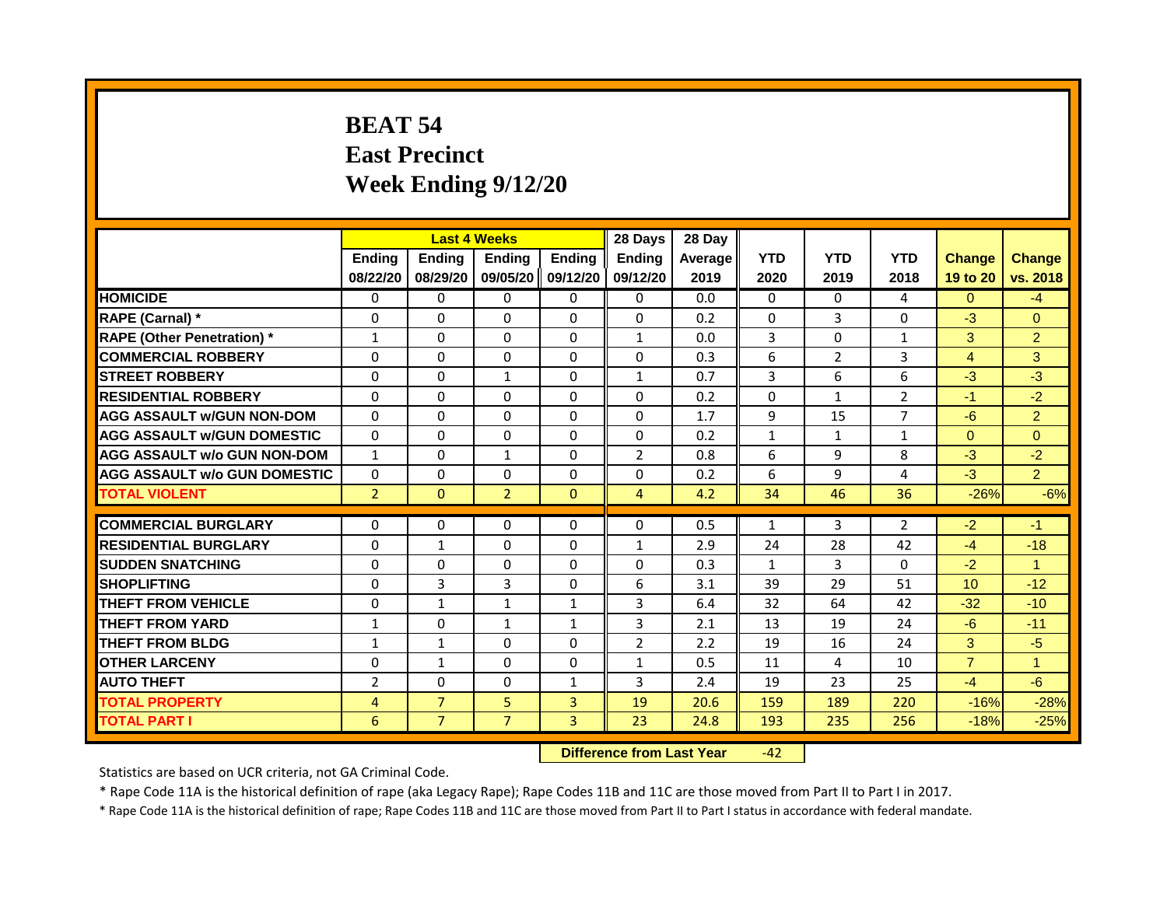# **BEAT 54 East Precinct Week Ending 9/12/20**

|                                     |                |                | <b>Last 4 Weeks</b>              |                   | 28 Days        | 28 Day  |              |                |                |                 |                      |
|-------------------------------------|----------------|----------------|----------------------------------|-------------------|----------------|---------|--------------|----------------|----------------|-----------------|----------------------|
|                                     | Ending         | Ending         | <b>Ending</b>                    | <b>Ending</b>     | <b>Ending</b>  | Average | <b>YTD</b>   | <b>YTD</b>     | <b>YTD</b>     | <b>Change</b>   | <b>Change</b>        |
|                                     | 08/22/20       | 08/29/20       |                                  | 09/05/20 09/12/20 | 09/12/20       | 2019    | 2020         | 2019           | 2018           | 19 to 20        | vs. 2018             |
| <b>HOMICIDE</b>                     | 0              | $\mathbf{0}$   | $\mathbf{0}$                     | $\mathbf{0}$      | $\mathbf{0}$   | 0.0     | $\mathbf{0}$ | $\mathbf{0}$   | 4              | $\Omega$        | $-4$                 |
| RAPE (Carnal) *                     | 0              | $\Omega$       | 0                                | $\Omega$          | $\Omega$       | 0.2     | $\mathbf{0}$ | 3              | $\Omega$       | $-3$            | $\Omega$             |
| <b>RAPE (Other Penetration) *</b>   | $\mathbf{1}$   | $\Omega$       | $\Omega$                         | $\Omega$          | $\mathbf{1}$   | 0.0     | 3            | $\Omega$       | $\mathbf{1}$   | 3               | $\overline{2}$       |
| <b>COMMERCIAL ROBBERY</b>           | $\Omega$       | $\Omega$       | $\Omega$                         | $\Omega$          | $\Omega$       | 0.3     | 6            | $\overline{2}$ | 3              | $\overline{4}$  | 3                    |
| <b>STREET ROBBERY</b>               | $\Omega$       | $\Omega$       | $\mathbf{1}$                     | $\Omega$          | $\mathbf{1}$   | 0.7     | 3            | 6              | 6              | $-3$            | $-3$                 |
| <b>RESIDENTIAL ROBBERY</b>          | $\Omega$       | $\Omega$       | $\Omega$                         | $\Omega$          | $\Omega$       | 0.2     | $\mathbf{0}$ | $\mathbf{1}$   | $\overline{2}$ | $-1$            | $-2$                 |
| <b>AGG ASSAULT w/GUN NON-DOM</b>    | $\Omega$       | $\Omega$       | $\Omega$                         | $\Omega$          | $\Omega$       | 1.7     | 9            | 15             | $\overline{7}$ | $-6$            | 2 <sup>1</sup>       |
| <b>AGG ASSAULT w/GUN DOMESTIC</b>   | $\Omega$       | $\Omega$       | $\Omega$                         | $\Omega$          | $\Omega$       | 0.2     | $\mathbf{1}$ | $\mathbf{1}$   | $\mathbf{1}$   | $\Omega$        | $\Omega$             |
| <b>AGG ASSAULT w/o GUN NON-DOM</b>  | $\mathbf{1}$   | $\Omega$       | $\mathbf{1}$                     | $\Omega$          | $\overline{2}$ | 0.8     | 6            | 9              | 8              | $-3$            | $-2$                 |
| <b>AGG ASSAULT W/o GUN DOMESTIC</b> | $\Omega$       | $\Omega$       | $\Omega$                         | $\Omega$          | $\Omega$       | 0.2     | 6            | 9              | 4              | $-3$            | $\overline{2}$       |
| <b>TOTAL VIOLENT</b>                | $\overline{2}$ | $\mathbf{0}$   | $\overline{2}$                   | $\mathbf{0}$      | $\overline{4}$ | 4.2     | 34           | 46             | 36             | $-26%$          | $-6%$                |
| <b>COMMERCIAL BURGLARY</b>          | $\Omega$       | $\Omega$       | $\Omega$                         | $\Omega$          | $\Omega$       | 0.5     | $\mathbf{1}$ | 3              | $\overline{2}$ | $-2$            | $-1$                 |
| <b>RESIDENTIAL BURGLARY</b>         | $\Omega$       | $\mathbf{1}$   | $\Omega$                         | $\Omega$          | $\mathbf{1}$   | 2.9     | 24           | 28             | 42             | $-4$            | $-18$                |
| <b>SUDDEN SNATCHING</b>             | $\Omega$       | $\Omega$       | $\Omega$                         | $\Omega$          | 0              | 0.3     |              | $\overline{3}$ | $\Omega$       | $-2$            | $\blacktriangleleft$ |
| <b>SHOPLIFTING</b>                  |                |                |                                  |                   |                |         | $\mathbf{1}$ |                |                |                 |                      |
|                                     | 0              | 3              | 3                                | $\Omega$          | 6              | 3.1     | 39           | 29             | 51             | 10 <sup>°</sup> | $-12$                |
| <b>THEFT FROM VEHICLE</b>           | $\Omega$       | $\mathbf{1}$   | $\mathbf{1}$                     | $\mathbf{1}$      | 3              | 6.4     | 32           | 64             | 42             | $-32$           | $-10$                |
| <b>THEFT FROM YARD</b>              | $\mathbf{1}$   | $\Omega$       | $\mathbf{1}$                     | $\mathbf{1}$      | 3              | 2.1     | 13           | 19             | 24             | $-6$            | $-11$                |
| <b>THEFT FROM BLDG</b>              | $\mathbf{1}$   | $\mathbf{1}$   | $\Omega$                         | $\Omega$          | $\overline{2}$ | 2.2     | 19           | 16             | 24             | 3               | $-5$                 |
| <b>OTHER LARCENY</b>                | 0              | $\mathbf{1}$   | $\Omega$                         | $\Omega$          | $\mathbf{1}$   | 0.5     | 11           | 4              | 10             | $\overline{7}$  | 1                    |
| <b>AUTO THEFT</b>                   | $\overline{2}$ | $\Omega$       | $\Omega$                         | $\mathbf{1}$      | 3              | 2.4     | 19           | 23             | 25             | $-4$            | $-6$                 |
| <b>TOTAL PROPERTY</b>               | $\overline{4}$ | $\overline{7}$ | 5                                | $\overline{3}$    | 19             | 20.6    | 159          | 189            | 220            | $-16%$          | $-28%$               |
| <b>TOTAL PART I</b>                 | 6              | $\overline{7}$ | $\overline{7}$                   | 3                 | 23             | 24.8    | 193          | 235            | 256            | $-18%$          | $-25%$               |
|                                     |                |                | <b>Difference from Last Year</b> |                   | $-42$          |         |              |                |                |                 |                      |

Statistics are based on UCR criteria, not GA Criminal Code.

\* Rape Code 11A is the historical definition of rape (aka Legacy Rape); Rape Codes 11B and 11C are those moved from Part II to Part I in 2017.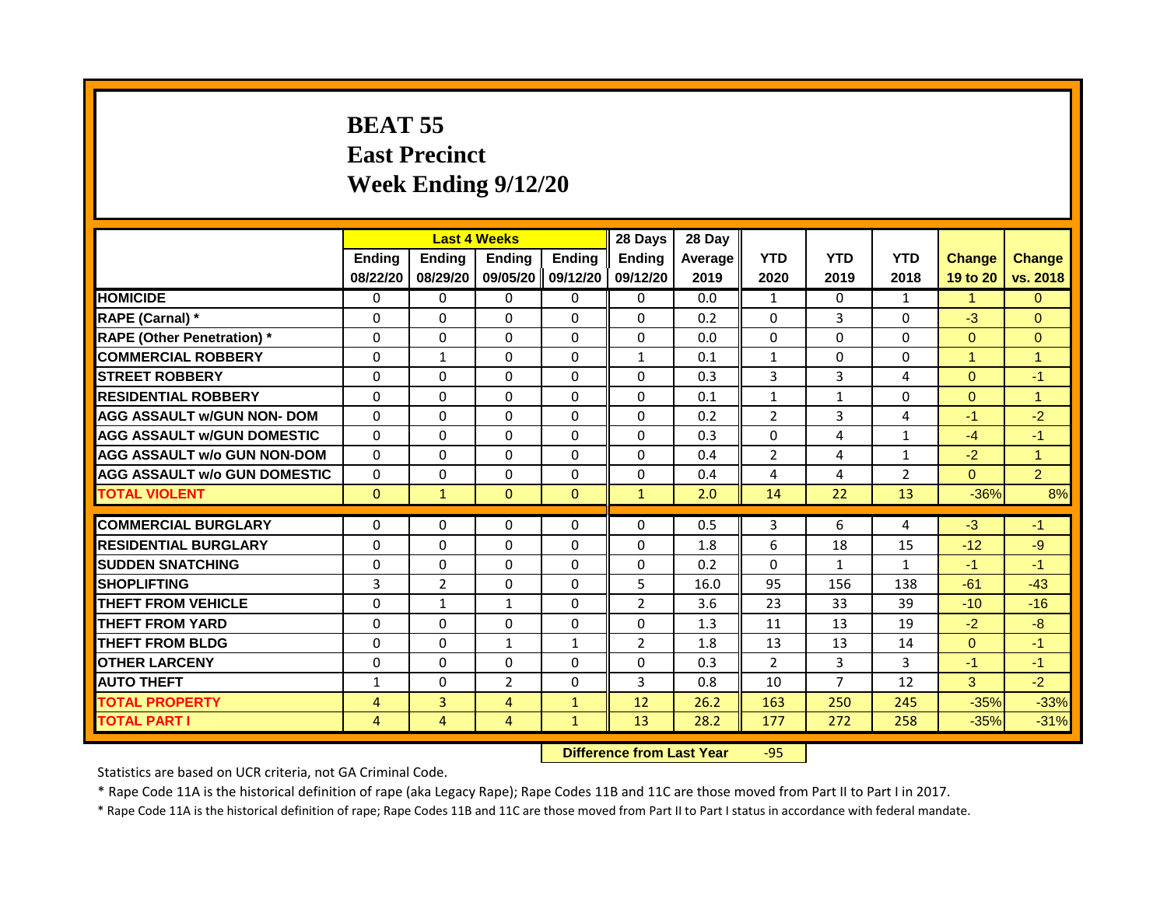# **BEAT 55 East Precinct Week Ending 9/12/20**

|                                     |                | <b>Last 4 Weeks</b> |                           |                | 28 Days        | 28 Day  |                |                |                |                      |                      |
|-------------------------------------|----------------|---------------------|---------------------------|----------------|----------------|---------|----------------|----------------|----------------|----------------------|----------------------|
|                                     | <b>Ending</b>  | <b>Ending</b>       | Ending                    | <b>Ending</b>  | <b>Endina</b>  | Average | <b>YTD</b>     | <b>YTD</b>     | <b>YTD</b>     | <b>Change</b>        | <b>Change</b>        |
|                                     | 08/22/20       | 08/29/20            | 09/05/20                  | 09/12/20       | 09/12/20       | 2019    | 2020           | 2019           | 2018           | 19 to 20             | vs. 2018             |
| <b>HOMICIDE</b>                     | 0              | 0                   | 0                         | 0              | 0              | 0.0     | 1              | 0              | $\mathbf{1}$   | -1                   | $\overline{0}$       |
| RAPE (Carnal) *                     | $\mathbf{0}$   | $\Omega$            | $\Omega$                  | $\Omega$       | $\Omega$       | 0.2     | $\Omega$       | 3              | $\mathbf{0}$   | $-3$                 | $\Omega$             |
| <b>RAPE (Other Penetration) *</b>   | $\Omega$       | $\Omega$            | $\Omega$                  | $\Omega$       | $\Omega$       | 0.0     | $\Omega$       | $\Omega$       | $\Omega$       | $\Omega$             | $\overline{0}$       |
| <b>COMMERCIAL ROBBERY</b>           | $\mathbf{0}$   | 1                   | $\mathbf{0}$              | $\Omega$       | 1              | 0.1     | 1              | $\Omega$       | 0              | $\blacktriangleleft$ | $\mathbf{1}$         |
| <b>STREET ROBBERY</b>               | $\Omega$       | $\Omega$            | $\Omega$                  | $\Omega$       | $\Omega$       | 0.3     | 3              | 3              | 4              | $\Omega$             | $-1$                 |
| <b>RESIDENTIAL ROBBERY</b>          | $\mathbf{0}$   | $\Omega$            | $\mathbf{0}$              | $\mathbf{0}$   | $\Omega$       | 0.1     | $\mathbf{1}$   | 1              | $\Omega$       | $\Omega$             | $\blacktriangleleft$ |
| <b>AGG ASSAULT w/GUN NON- DOM</b>   | $\Omega$       | $\Omega$            | $\Omega$                  | $\Omega$       | $\Omega$       | 0.2     | $\overline{2}$ | 3              | 4              | $-1$                 | $-2$                 |
| <b>AGG ASSAULT W/GUN DOMESTIC</b>   | $\mathbf{0}$   | $\Omega$            | $\Omega$                  | $\Omega$       | $\Omega$       | 0.3     | $\Omega$       | 4              | 1              | $-4$                 | $-1$                 |
| <b>AGG ASSAULT w/o GUN NON-DOM</b>  | $\mathbf{0}$   | $\Omega$            | $\Omega$                  | $\Omega$       | $\Omega$       | 0.4     | $\overline{2}$ | 4              | 1              | $-2$                 | $\blacktriangleleft$ |
| <b>AGG ASSAULT W/o GUN DOMESTIC</b> | $\Omega$       | $\Omega$            | $\mathbf{0}$              | $\mathbf{0}$   | $\Omega$       | 0.4     | 4              | 4              | $\overline{2}$ | $\Omega$             | $\overline{2}$       |
| <b>TOTAL VIOLENT</b>                | $\mathbf{0}$   | $\mathbf{1}$        | $\mathbf{0}$              | $\overline{0}$ | $\mathbf{1}$   | 2.0     | 14             | 22             | 13             | $-36%$               | 8%                   |
|                                     |                |                     |                           |                |                |         |                |                |                |                      |                      |
| <b>COMMERCIAL BURGLARY</b>          | $\mathbf{0}$   | $\Omega$            | $\mathbf{0}$              | $\Omega$       | $\Omega$       | 0.5     | 3              | 6              | 4              | $-3$                 | $-1$                 |
| <b>RESIDENTIAL BURGLARY</b>         | $\Omega$       | $\Omega$            | $\Omega$                  | $\Omega$       | $\Omega$       | 1.8     | 6              | 18             | 15             | $-12$                | $-9$                 |
| <b>SUDDEN SNATCHING</b>             | $\Omega$       | $\Omega$            | $\Omega$                  | $\Omega$       | $\Omega$       | 0.2     | $\Omega$       | $\mathbf{1}$   | $\mathbf{1}$   | $-1$                 | $-1$                 |
| <b>SHOPLIFTING</b>                  | 3              | $\overline{2}$      | $\mathbf{0}$              | $\Omega$       | 5              | 16.0    | 95             | 156            | 138            | $-61$                | $-43$                |
| <b>THEFT FROM VEHICLE</b>           | $\Omega$       | $\mathbf{1}$        | $\mathbf{1}$              | $\Omega$       | $\overline{2}$ | 3.6     | 23             | 33             | 39             | $-10$                | $-16$                |
| <b>THEFT FROM YARD</b>              | $\Omega$       | $\Omega$            | $\Omega$                  | $\Omega$       | $\Omega$       | 1.3     | 11             | 13             | 19             | $-2$                 | $-8$                 |
| <b>THEFT FROM BLDG</b>              | $\mathbf{0}$   | $\Omega$            | $\mathbf{1}$              | $\mathbf{1}$   | $\overline{2}$ | 1.8     | 13             | 13             | 14             | $\Omega$             | $-1$                 |
| <b>OTHER LARCENY</b>                | $\mathbf{0}$   | $\Omega$            | $\Omega$                  | $\Omega$       | $\Omega$       | 0.3     | $\overline{2}$ | 3              | $\mathbf{3}$   | $-1$                 | $-1$                 |
| <b>AUTO THEFT</b>                   | $\mathbf{1}$   | $\Omega$            | $\overline{2}$            | $\mathbf{0}$   | 3              | 0.8     | 10             | $\overline{7}$ | 12             | 3                    | $-2$                 |
| <b>TOTAL PROPERTY</b>               | $\overline{4}$ | $\overline{3}$      | $\overline{4}$            | $\mathbf{1}$   | 12             | 26.2    | 163            | 250            | 245            | $-35%$               | $-33%$               |
| <b>TOTAL PART I</b>                 | $\overline{4}$ | $\overline{4}$      | $\overline{4}$            | $\mathbf{1}$   | 13             | 28.2    | 177            | 272            | 258            | $-35%$               | $-31%$               |
|                                     |                |                     | Difference from Last Year |                | $-95$          |         |                |                |                |                      |                      |

Statistics are based on UCR criteria, not GA Criminal Code.

\* Rape Code 11A is the historical definition of rape (aka Legacy Rape); Rape Codes 11B and 11C are those moved from Part II to Part I in 2017.